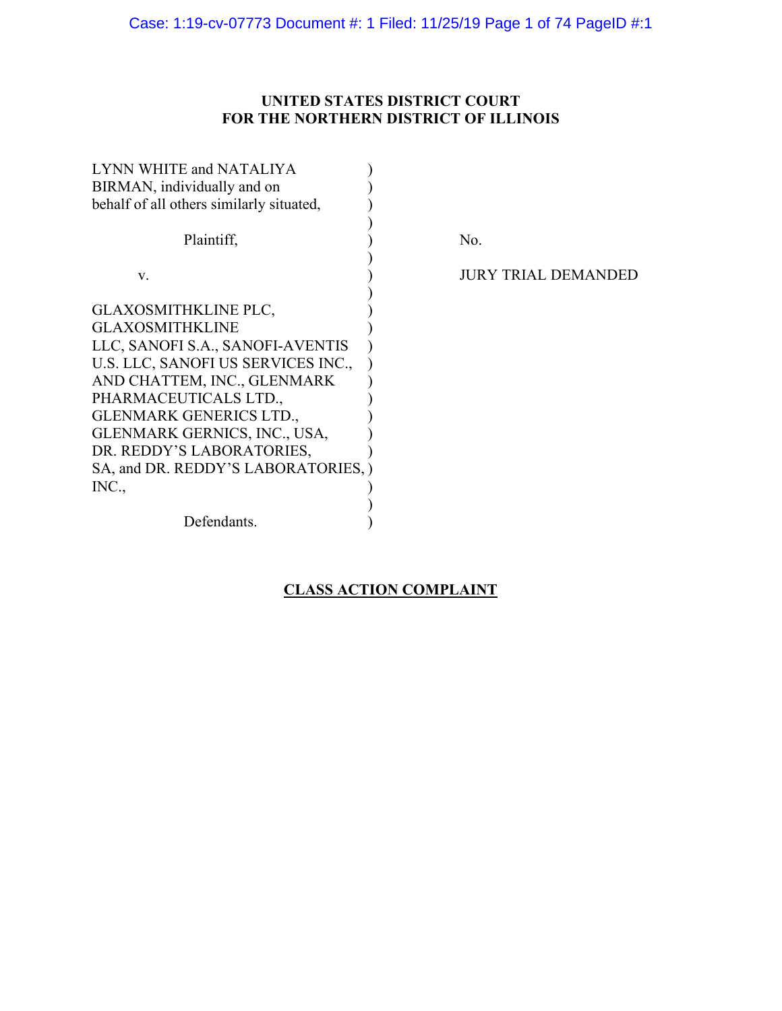Case: 1:19-cv-07773 Document #: 1 Filed: 11/25/19 Page 1 of 74 PageID #:1

# **UNITED STATES DISTRICT COURT FOR THE NORTHERN DISTRICT OF ILLINOIS**

| LYNN WHITE and NATALIYA                  |                            |
|------------------------------------------|----------------------------|
| BIRMAN, individually and on              |                            |
| behalf of all others similarly situated, |                            |
|                                          |                            |
| Plaintiff,                               | No.                        |
|                                          |                            |
| V.                                       | <b>JURY TRIAL DEMANDED</b> |
|                                          |                            |
| <b>GLAXOSMITHKLINE PLC,</b>              |                            |
| <b>GLAXOSMITHKLINE</b>                   |                            |
| LLC, SANOFI S.A., SANOFI-AVENTIS         |                            |
| U.S. LLC, SANOFI US SERVICES INC.,       |                            |
| AND CHATTEM, INC., GLENMARK              |                            |
| PHARMACEUTICALS LTD.,                    |                            |
| <b>GLENMARK GENERICS LTD.,</b>           |                            |
| GLENMARK GERNICS, INC., USA,             |                            |
| DR. REDDY'S LABORATORIES,                |                            |
| SA, and DR. REDDY'S LABORATORIES,        |                            |
| INC.,                                    |                            |
|                                          |                            |
| Defendants.                              |                            |
|                                          |                            |

# **CLASS ACTION COMPLAINT**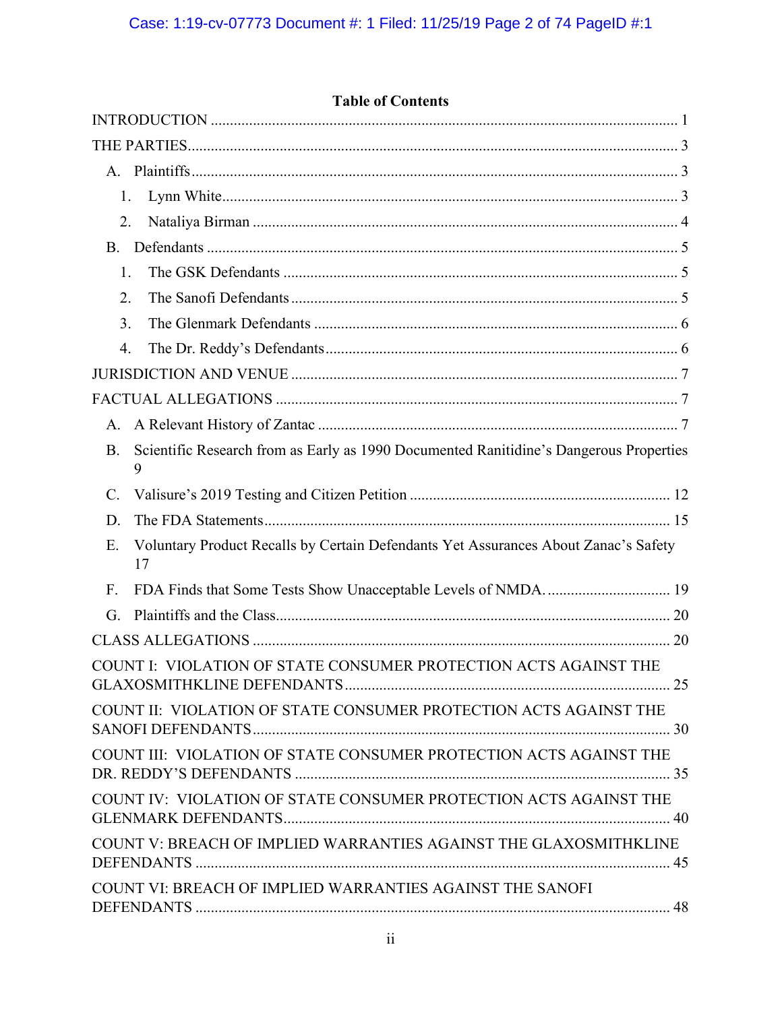| <b>Table of Contents</b>                                                                                 |  |  |  |  |
|----------------------------------------------------------------------------------------------------------|--|--|--|--|
|                                                                                                          |  |  |  |  |
|                                                                                                          |  |  |  |  |
| A.                                                                                                       |  |  |  |  |
| 1.                                                                                                       |  |  |  |  |
| 2.                                                                                                       |  |  |  |  |
| <b>B.</b>                                                                                                |  |  |  |  |
| 1.                                                                                                       |  |  |  |  |
| 2.                                                                                                       |  |  |  |  |
| 3.                                                                                                       |  |  |  |  |
| 4.                                                                                                       |  |  |  |  |
|                                                                                                          |  |  |  |  |
|                                                                                                          |  |  |  |  |
| A.                                                                                                       |  |  |  |  |
| Scientific Research from as Early as 1990 Documented Ranitidine's Dangerous Properties<br><b>B.</b><br>9 |  |  |  |  |
| C.                                                                                                       |  |  |  |  |
| D.                                                                                                       |  |  |  |  |
| Voluntary Product Recalls by Certain Defendants Yet Assurances About Zanac's Safety<br>E.<br>17          |  |  |  |  |
| F.                                                                                                       |  |  |  |  |
| G.                                                                                                       |  |  |  |  |
|                                                                                                          |  |  |  |  |
| COUNT I: VIOLATION OF STATE CONSUMER PROTECTION ACTS AGAINST THE                                         |  |  |  |  |
| COUNT II: VIOLATION OF STATE CONSUMER PROTECTION ACTS AGAINST THE                                        |  |  |  |  |
| COUNT III: VIOLATION OF STATE CONSUMER PROTECTION ACTS AGAINST THE                                       |  |  |  |  |
| COUNT IV: VIOLATION OF STATE CONSUMER PROTECTION ACTS AGAINST THE                                        |  |  |  |  |
| COUNT V: BREACH OF IMPLIED WARRANTIES AGAINST THE GLAXOSMITHKLINE                                        |  |  |  |  |
| COUNT VI: BREACH OF IMPLIED WARRANTIES AGAINST THE SANOFI                                                |  |  |  |  |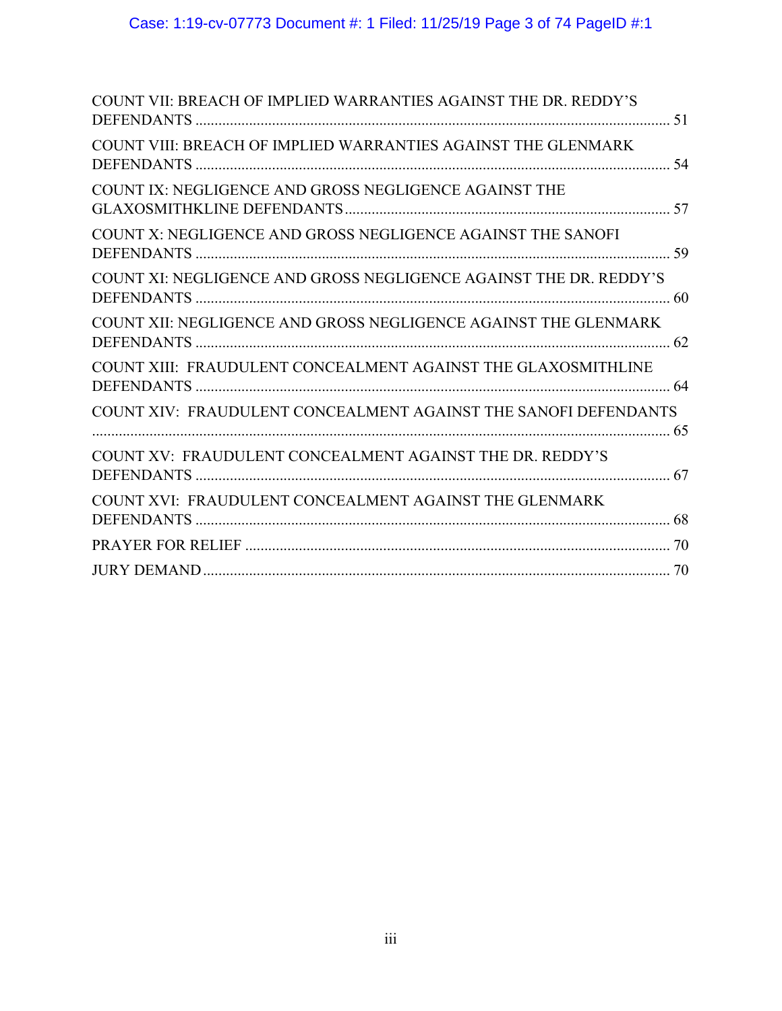| COUNT VII: BREACH OF IMPLIED WARRANTIES AGAINST THE DR. REDDY'S   |  |
|-------------------------------------------------------------------|--|
| COUNT VIII: BREACH OF IMPLIED WARRANTIES AGAINST THE GLENMARK     |  |
| COUNT IX: NEGLIGENCE AND GROSS NEGLIGENCE AGAINST THE             |  |
| COUNT X: NEGLIGENCE AND GROSS NEGLIGENCE AGAINST THE SANOFI       |  |
| COUNT XI: NEGLIGENCE AND GROSS NEGLIGENCE AGAINST THE DR. REDDY'S |  |
| COUNT XII: NEGLIGENCE AND GROSS NEGLIGENCE AGAINST THE GLENMARK   |  |
| COUNT XIII: FRAUDULENT CONCEALMENT AGAINST THE GLAXOSMITHLINE     |  |
| COUNT XIV: FRAUDULENT CONCEALMENT AGAINST THE SANOFI DEFENDANTS   |  |
| COUNT XV: FRAUDULENT CONCEALMENT AGAINST THE DR. REDDY'S          |  |
| COUNT XVI: FRAUDULENT CONCEALMENT AGAINST THE GLENMARK            |  |
|                                                                   |  |
|                                                                   |  |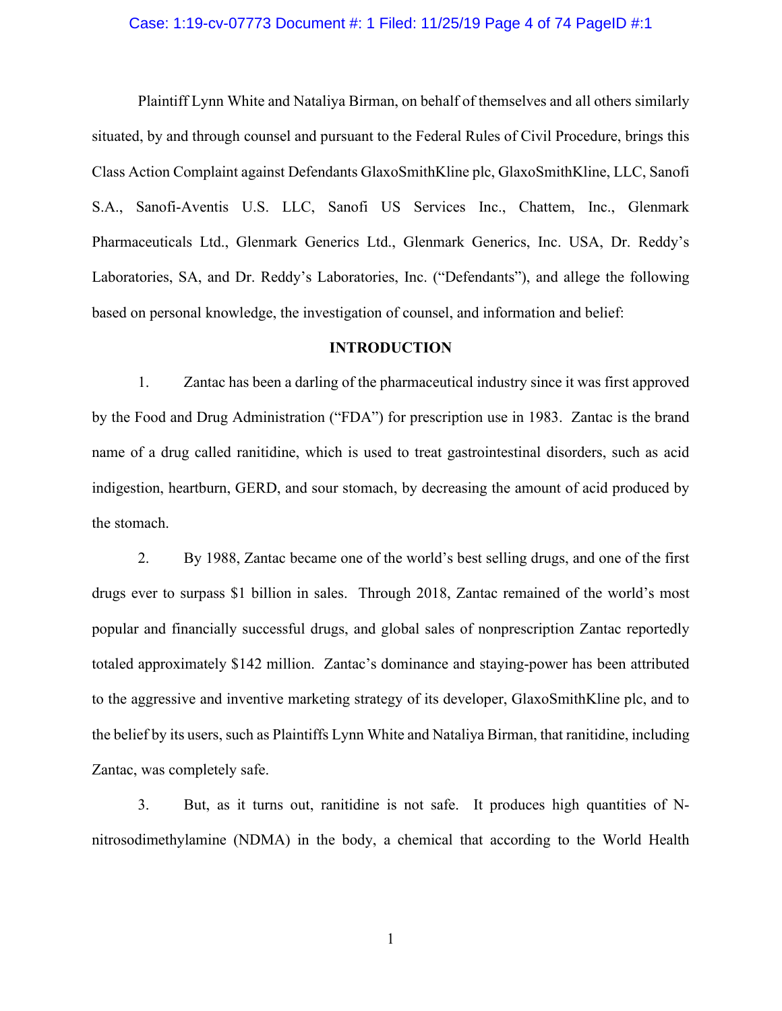### Case: 1:19-cv-07773 Document #: 1 Filed: 11/25/19 Page 4 of 74 PageID #:1

Plaintiff Lynn White and Nataliya Birman, on behalf of themselves and all others similarly situated, by and through counsel and pursuant to the Federal Rules of Civil Procedure, brings this Class Action Complaint against Defendants GlaxoSmithKline plc, GlaxoSmithKline, LLC, Sanofi S.A., Sanofi-Aventis U.S. LLC, Sanofi US Services Inc., Chattem, Inc., Glenmark Pharmaceuticals Ltd., Glenmark Generics Ltd., Glenmark Generics, Inc. USA, Dr. Reddy's Laboratories, SA, and Dr. Reddy's Laboratories, Inc. ("Defendants"), and allege the following based on personal knowledge, the investigation of counsel, and information and belief:

#### **INTRODUCTION**

<span id="page-3-0"></span>1. Zantac has been a darling of the pharmaceutical industry since it was first approved by the Food and Drug Administration ("FDA") for prescription use in 1983. Zantac is the brand name of a drug called ranitidine, which is used to treat gastrointestinal disorders, such as acid indigestion, heartburn, GERD, and sour stomach, by decreasing the amount of acid produced by the stomach.

2. By 1988, Zantac became one of the world's best selling drugs, and one of the first drugs ever to surpass \$1 billion in sales. Through 2018, Zantac remained of the world's most popular and financially successful drugs, and global sales of nonprescription Zantac reportedly totaled approximately \$142 million. Zantac's dominance and staying-power has been attributed to the aggressive and inventive marketing strategy of its developer, GlaxoSmithKline plc, and to the belief by its users, such as Plaintiffs Lynn White and Nataliya Birman, that ranitidine, including Zantac, was completely safe.

3. But, as it turns out, ranitidine is not safe. It produces high quantities of Nnitrosodimethylamine (NDMA) in the body, a chemical that according to the World Health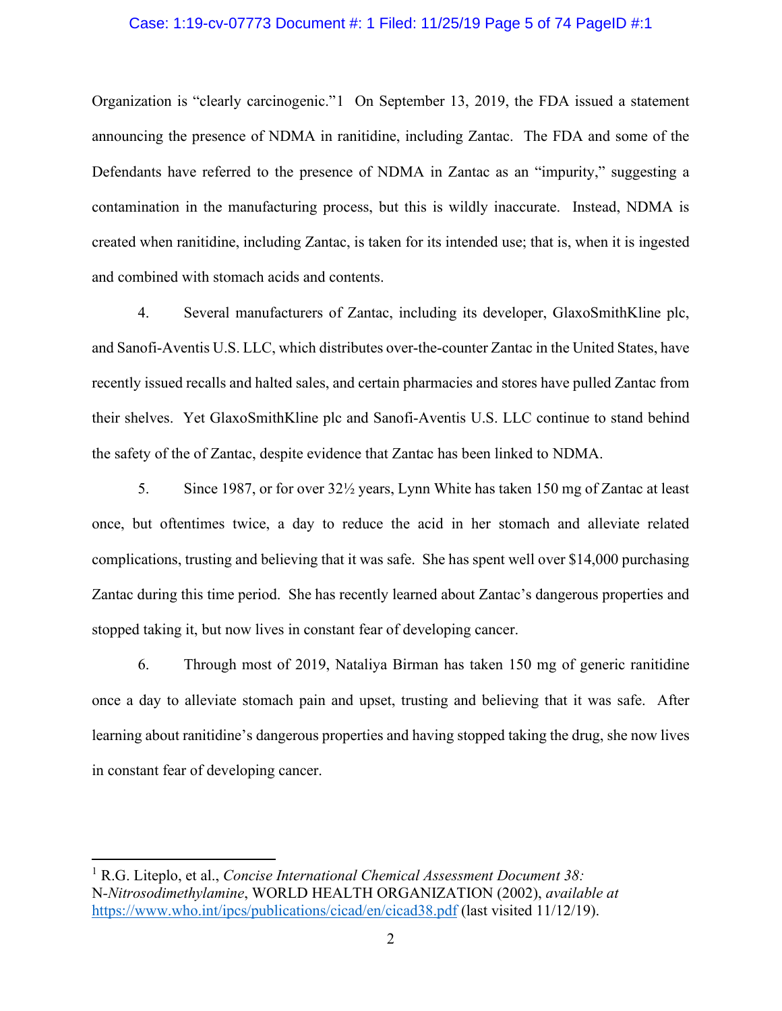#### Case: 1:19-cv-07773 Document #: 1 Filed: 11/25/19 Page 5 of 74 PageID #:1

Organization is "clearly carcinogenic."[1](#page-4-0) On September 13, 2019, the FDA issued a statement announcing the presence of NDMA in ranitidine, including Zantac. The FDA and some of the Defendants have referred to the presence of NDMA in Zantac as an "impurity," suggesting a contamination in the manufacturing process, but this is wildly inaccurate. Instead, NDMA is created when ranitidine, including Zantac, is taken for its intended use; that is, when it is ingested and combined with stomach acids and contents.

4. Several manufacturers of Zantac, including its developer, GlaxoSmithKline plc, and Sanofi-Aventis U.S. LLC, which distributes over-the-counter Zantac in the United States, have recently issued recalls and halted sales, and certain pharmacies and stores have pulled Zantac from their shelves. Yet GlaxoSmithKline plc and Sanofi-Aventis U.S. LLC continue to stand behind the safety of the of Zantac, despite evidence that Zantac has been linked to NDMA.

5. Since 1987, or for over 32½ years, Lynn White has taken 150 mg of Zantac at least once, but oftentimes twice, a day to reduce the acid in her stomach and alleviate related complications, trusting and believing that it was safe. She has spent well over \$14,000 purchasing Zantac during this time period. She has recently learned about Zantac's dangerous properties and stopped taking it, but now lives in constant fear of developing cancer.

6. Through most of 2019, Nataliya Birman has taken 150 mg of generic ranitidine once a day to alleviate stomach pain and upset, trusting and believing that it was safe. After learning about ranitidine's dangerous properties and having stopped taking the drug, she now lives in constant fear of developing cancer.

<span id="page-4-0"></span><sup>1</sup> R.G. Liteplo, et al., *Concise International Chemical Assessment Document 38:* N*-Nitrosodimethylamine*, WORLD HEALTH ORGANIZATION (2002), *available at*  <https://www.who.int/ipcs/publications/cicad/en/cicad38.pdf> (last visited 11/12/19).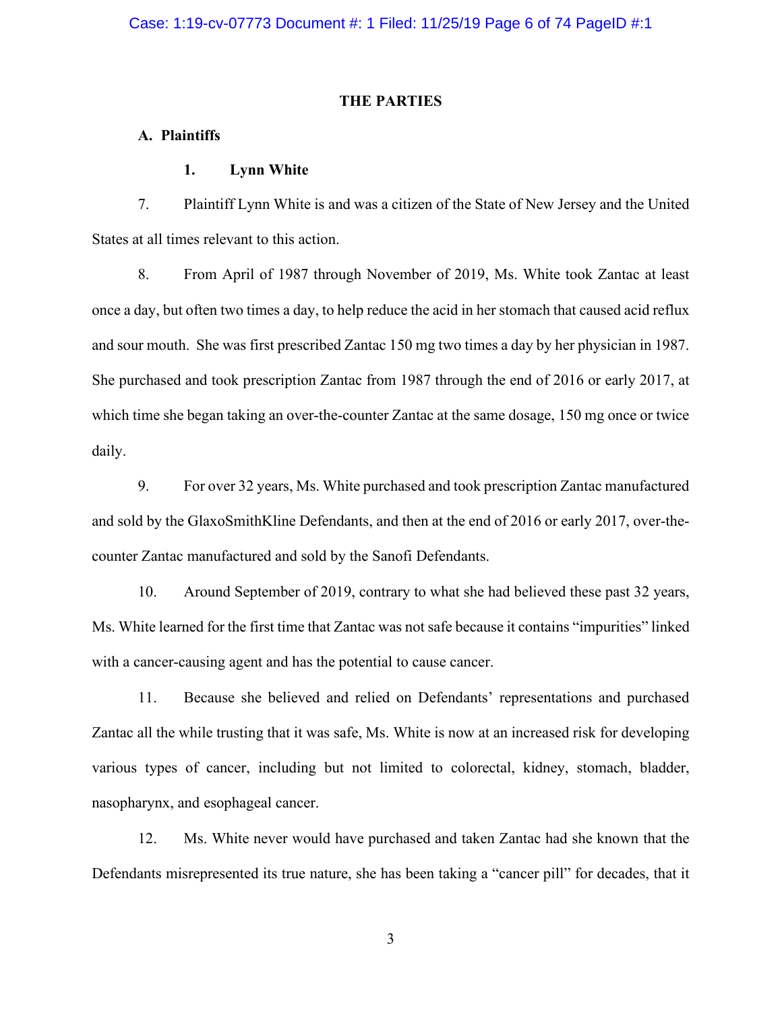#### **THE PARTIES**

#### <span id="page-5-1"></span><span id="page-5-0"></span>**A. Plaintiffs**

## **1. Lynn White**

<span id="page-5-2"></span>7. Plaintiff Lynn White is and was a citizen of the State of New Jersey and the United States at all times relevant to this action.

8. From April of 1987 through November of 2019, Ms. White took Zantac at least once a day, but often two times a day, to help reduce the acid in her stomach that caused acid reflux and sour mouth. She was first prescribed Zantac 150 mg two times a day by her physician in 1987. She purchased and took prescription Zantac from 1987 through the end of 2016 or early 2017, at which time she began taking an over-the-counter Zantac at the same dosage, 150 mg once or twice daily.

9. For over 32 years, Ms. White purchased and took prescription Zantac manufactured and sold by the GlaxoSmithKline Defendants, and then at the end of 2016 or early 2017, over-thecounter Zantac manufactured and sold by the Sanofi Defendants.

10. Around September of 2019, contrary to what she had believed these past 32 years, Ms. White learned for the first time that Zantac was not safe because it contains "impurities" linked with a cancer-causing agent and has the potential to cause cancer.

11. Because she believed and relied on Defendants' representations and purchased Zantac all the while trusting that it was safe, Ms. White is now at an increased risk for developing various types of cancer, including but not limited to colorectal, kidney, stomach, bladder, nasopharynx, and esophageal cancer.

12. Ms. White never would have purchased and taken Zantac had she known that the Defendants misrepresented its true nature, she has been taking a "cancer pill" for decades, that it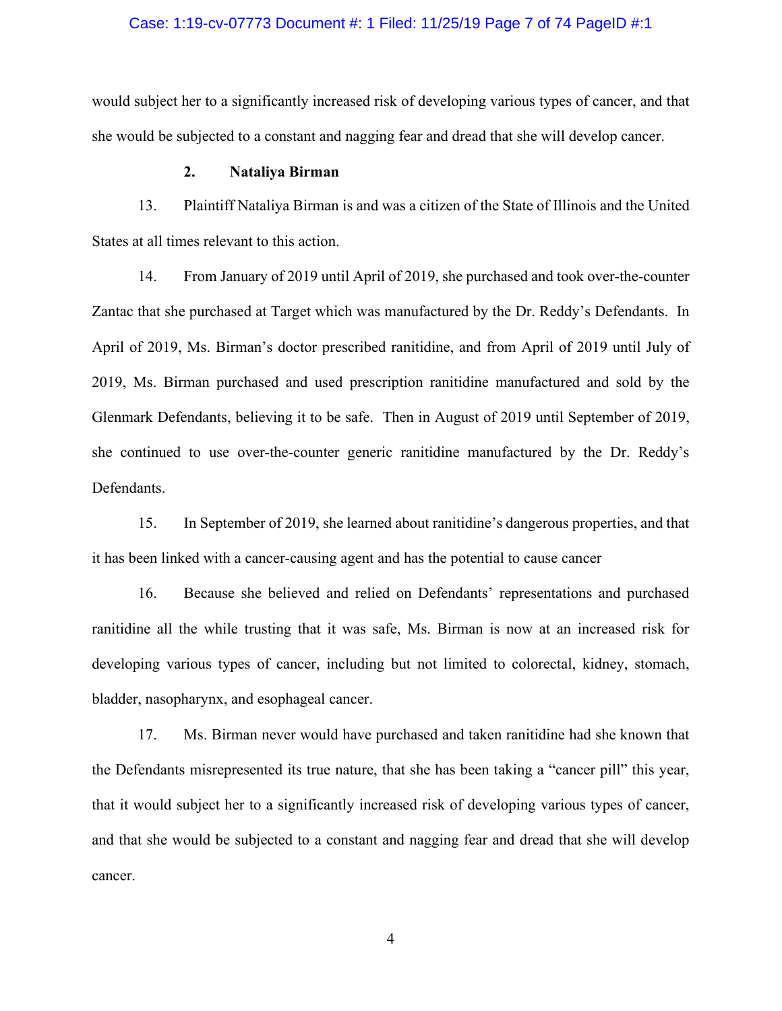#### Case: 1:19-cv-07773 Document #: 1 Filed: 11/25/19 Page 7 of 74 PageID #:1

would subject her to a significantly increased risk of developing various types of cancer, and that she would be subjected to a constant and nagging fear and dread that she will develop cancer.

## **2. Nataliya Birman**

<span id="page-6-0"></span>13. Plaintiff Nataliya Birman is and was a citizen of the State of Illinois and the United States at all times relevant to this action.

14. From January of 2019 until April of 2019, she purchased and took over-the-counter Zantac that she purchased at Target which was manufactured by the Dr. Reddy's Defendants. In April of 2019, Ms. Birman's doctor prescribed ranitidine, and from April of 2019 until July of 2019, Ms. Birman purchased and used prescription ranitidine manufactured and sold by the Glenmark Defendants, believing it to be safe. Then in August of 2019 until September of 2019, she continued to use over-the-counter generic ranitidine manufactured by the Dr. Reddy's Defendants.

15. In September of 2019, she learned about ranitidine's dangerous properties, and that it has been linked with a cancer-causing agent and has the potential to cause cancer

16. Because she believed and relied on Defendants' representations and purchased ranitidine all the while trusting that it was safe, Ms. Birman is now at an increased risk for developing various types of cancer, including but not limited to colorectal, kidney, stomach, bladder, nasopharynx, and esophageal cancer.

17. Ms. Birman never would have purchased and taken ranitidine had she known that the Defendants misrepresented its true nature, that she has been taking a "cancer pill" this year, that it would subject her to a significantly increased risk of developing various types of cancer, and that she would be subjected to a constant and nagging fear and dread that she will develop cancer.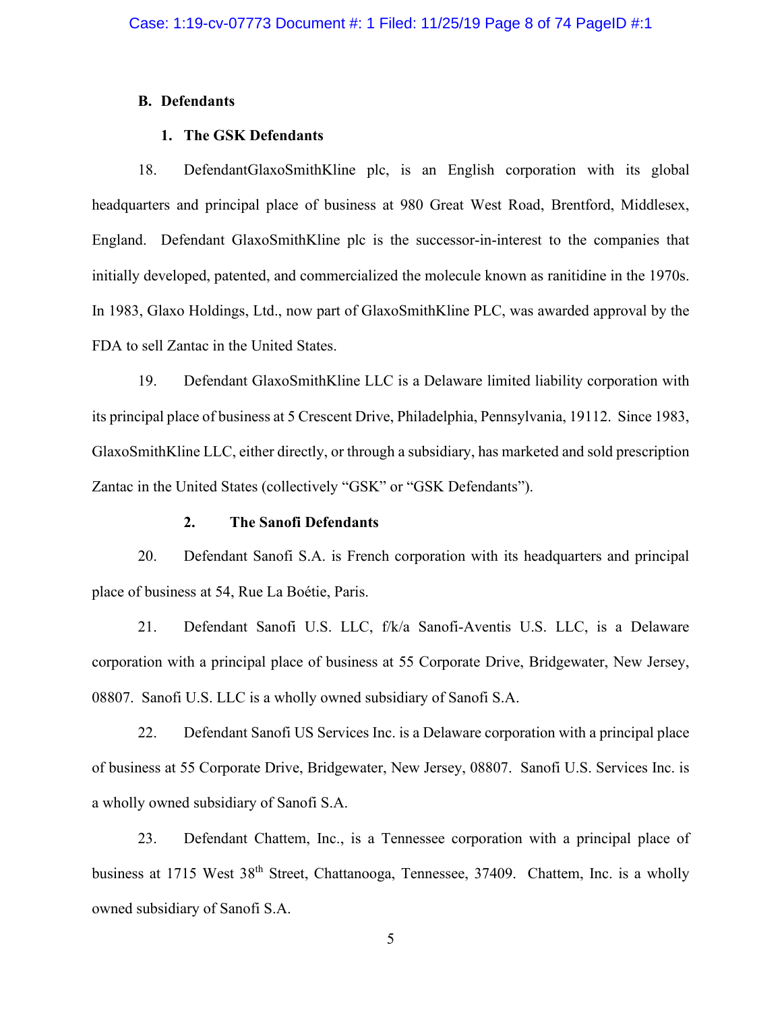#### <span id="page-7-0"></span>**B. Defendants**

## **1. The GSK Defendants**

<span id="page-7-1"></span>18. DefendantGlaxoSmithKline plc, is an English corporation with its global headquarters and principal place of business at 980 Great West Road, Brentford, Middlesex, England. Defendant GlaxoSmithKline plc is the successor-in-interest to the companies that initially developed, patented, and commercialized the molecule known as ranitidine in the 1970s. In 1983, Glaxo Holdings, Ltd., now part of GlaxoSmithKline PLC, was awarded approval by the FDA to sell Zantac in the United States.

19. Defendant GlaxoSmithKline LLC is a Delaware limited liability corporation with its principal place of business at 5 Crescent Drive, Philadelphia, Pennsylvania, 19112. Since 1983, GlaxoSmithKline LLC, either directly, or through a subsidiary, has marketed and sold prescription Zantac in the United States (collectively "GSK" or "GSK Defendants").

## **2. The Sanofi Defendants**

<span id="page-7-2"></span>20. Defendant Sanofi S.A. is French corporation with its headquarters and principal place of business at 54, Rue La Boétie, Paris.

21. Defendant Sanofi U.S. LLC, f/k/a Sanofi-Aventis U.S. LLC, is a Delaware corporation with a principal place of business at 55 Corporate Drive, Bridgewater, New Jersey, 08807. Sanofi U.S. LLC is a wholly owned subsidiary of Sanofi S.A.

22. Defendant Sanofi US Services Inc. is a Delaware corporation with a principal place of business at 55 Corporate Drive, Bridgewater, New Jersey, 08807. Sanofi U.S. Services Inc. is a wholly owned subsidiary of Sanofi S.A.

23. Defendant Chattem, Inc., is a Tennessee corporation with a principal place of business at 1715 West 38<sup>th</sup> Street, Chattanooga, Tennessee, 37409. Chattem, Inc. is a wholly owned subsidiary of Sanofi S.A.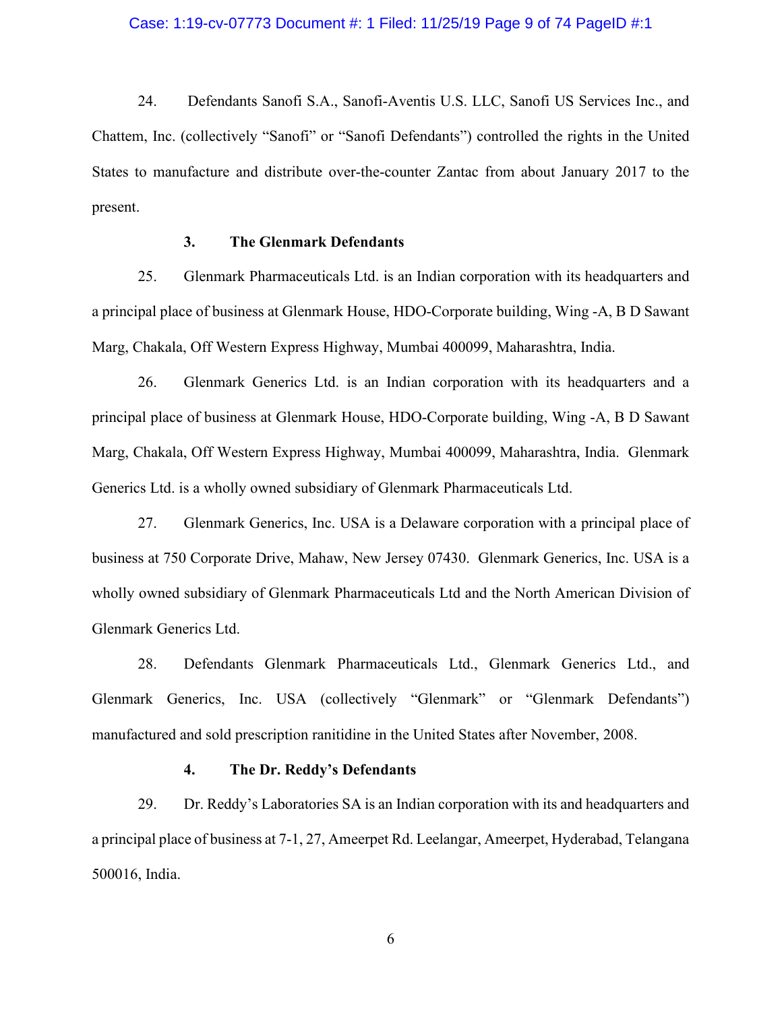#### Case: 1:19-cv-07773 Document #: 1 Filed: 11/25/19 Page 9 of 74 PageID #:1

24. Defendants Sanofi S.A., Sanofi-Aventis U.S. LLC, Sanofi US Services Inc., and Chattem, Inc. (collectively "Sanofi" or "Sanofi Defendants") controlled the rights in the United States to manufacture and distribute over-the-counter Zantac from about January 2017 to the present.

### **3. The Glenmark Defendants**

<span id="page-8-0"></span>25. Glenmark Pharmaceuticals Ltd. is an Indian corporation with its headquarters and a principal place of business at Glenmark House, HDO-Corporate building, Wing -A, B D Sawant Marg, Chakala, Off Western Express Highway, Mumbai 400099, Maharashtra, India.

26. Glenmark Generics Ltd. is an Indian corporation with its headquarters and a principal place of business at Glenmark House, HDO-Corporate building, Wing -A, B D Sawant Marg, Chakala, Off Western Express Highway, Mumbai 400099, Maharashtra, India. Glenmark Generics Ltd. is a wholly owned subsidiary of Glenmark Pharmaceuticals Ltd.

27. Glenmark Generics, Inc. USA is a Delaware corporation with a principal place of business at 750 Corporate Drive, Mahaw, New Jersey 07430. Glenmark Generics, Inc. USA is a wholly owned subsidiary of Glenmark Pharmaceuticals Ltd and the North American Division of Glenmark Generics Ltd.

28. Defendants Glenmark Pharmaceuticals Ltd., Glenmark Generics Ltd., and Glenmark Generics, Inc. USA (collectively "Glenmark" or "Glenmark Defendants") manufactured and sold prescription ranitidine in the United States after November, 2008.

#### **4. The Dr. Reddy's Defendants**

<span id="page-8-1"></span>29. Dr. Reddy's Laboratories SA is an Indian corporation with its and headquarters and a principal place of business at 7-1, 27, Ameerpet Rd. Leelangar, Ameerpet, Hyderabad, Telangana 500016, India.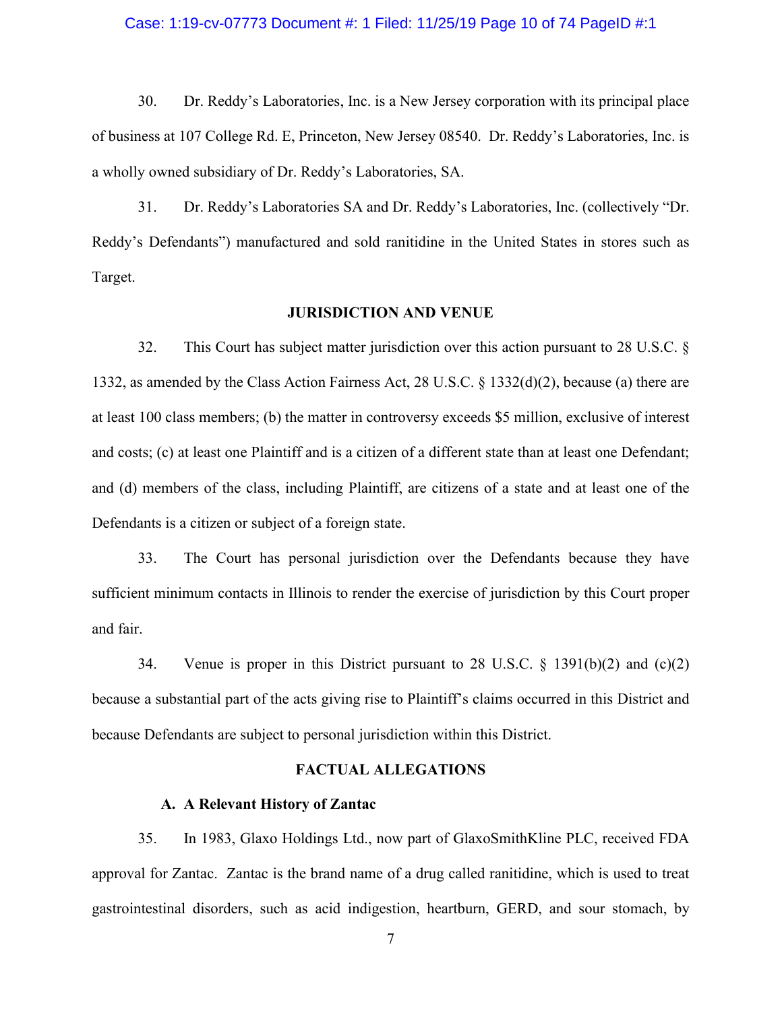#### Case: 1:19-cv-07773 Document #: 1 Filed: 11/25/19 Page 10 of 74 PageID #:1

30. Dr. Reddy's Laboratories, Inc. is a New Jersey corporation with its principal place of business at 107 College Rd. E, Princeton, New Jersey 08540. Dr. Reddy's Laboratories, Inc. is a wholly owned subsidiary of Dr. Reddy's Laboratories, SA.

31. Dr. Reddy's Laboratories SA and Dr. Reddy's Laboratories, Inc. (collectively "Dr. Reddy's Defendants") manufactured and sold ranitidine in the United States in stores such as Target.

#### **JURISDICTION AND VENUE**

<span id="page-9-0"></span>32. This Court has subject matter jurisdiction over this action pursuant to 28 U.S.C. § 1332, as amended by the Class Action Fairness Act, 28 U.S.C. § 1332(d)(2), because (a) there are at least 100 class members; (b) the matter in controversy exceeds \$5 million, exclusive of interest and costs; (c) at least one Plaintiff and is a citizen of a different state than at least one Defendant; and (d) members of the class, including Plaintiff, are citizens of a state and at least one of the Defendants is a citizen or subject of a foreign state.

33. The Court has personal jurisdiction over the Defendants because they have sufficient minimum contacts in Illinois to render the exercise of jurisdiction by this Court proper and fair.

34. Venue is proper in this District pursuant to 28 U.S.C. § 1391(b)(2) and (c)(2) because a substantial part of the acts giving rise to Plaintiff's claims occurred in this District and because Defendants are subject to personal jurisdiction within this District.

#### **FACTUAL ALLEGATIONS**

#### **A. A Relevant History of Zantac**

<span id="page-9-2"></span><span id="page-9-1"></span>35. In 1983, Glaxo Holdings Ltd., now part of GlaxoSmithKline PLC, received FDA approval for Zantac. Zantac is the brand name of a drug called ranitidine, which is used to treat gastrointestinal disorders, such as acid indigestion, heartburn, GERD, and sour stomach, by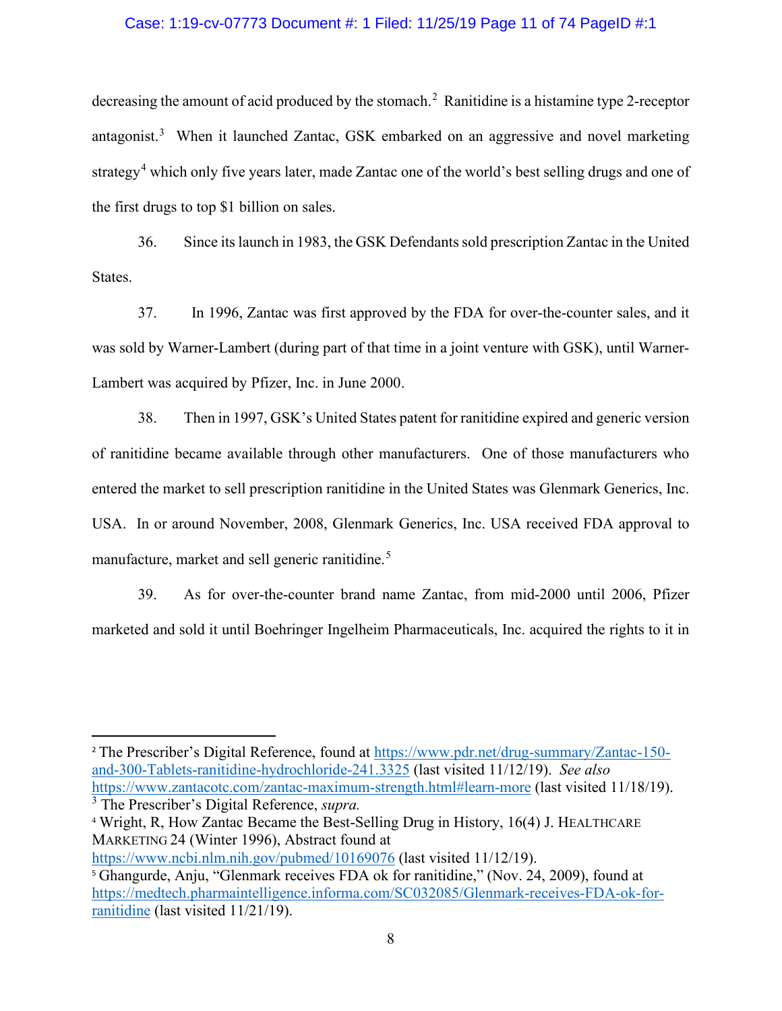#### Case: 1:19-cv-07773 Document #: 1 Filed: 11/25/19 Page 11 of 74 PageID #:1

decreasing the amount of acid produced by the stomach.<sup>[2](#page-10-0)</sup> Ranitidine is a histamine type 2-receptor antagonist.<sup>[3](#page-10-1)</sup> When it launched Zantac, GSK embarked on an aggressive and novel marketing strategy<sup>[4](#page-10-2)</sup> which only five years later, made Zantac one of the world's best selling drugs and one of the first drugs to top \$1 billion on sales.

36. Since its launch in 1983, the GSK Defendants sold prescription Zantac in the United States.

37. In 1996, Zantac was first approved by the FDA for over-the-counter sales, and it was sold by Warner-Lambert (during part of that time in a joint venture with GSK), until Warner-Lambert was acquired by Pfizer, Inc. in June 2000.

38. Then in 1997, GSK's United States patent for ranitidine expired and generic version of ranitidine became available through other manufacturers. One of those manufacturers who entered the market to sell prescription ranitidine in the United States was Glenmark Generics, Inc. USA. In or around November, 2008, Glenmark Generics, Inc. USA received FDA approval to manufacture, market and sell generic ranitidine.<sup>[5](#page-10-3)</sup>

39. As for over-the-counter brand name Zantac, from mid-2000 until 2006, Pfizer marketed and sold it until Boehringer Ingelheim Pharmaceuticals, Inc. acquired the rights to it in

<span id="page-10-2"></span><span id="page-10-1"></span><sup>4</sup> Wright, R, How Zantac Became the Best-Selling Drug in History, 16(4) J. HEALTHCARE MARKETING 24 (Winter 1996), Abstract found at

<https://www.ncbi.nlm.nih.gov/pubmed/10169076> (last visited 11/12/19).

<span id="page-10-0"></span><sup>2</sup> The Prescriber's Digital Reference, found at [https://www.pdr.net/drug-summary/Zantac-150](https://www.pdr.net/drug-summary/Zantac-150-and-300-Tablets-ranitidine-hydrochloride-241.3325) [and-300-Tablets-ranitidine-hydrochloride-241.3325](https://www.pdr.net/drug-summary/Zantac-150-and-300-Tablets-ranitidine-hydrochloride-241.3325) (last visited 11/12/19). *See also*  <https://www.zantacotc.com/zantac-maximum-strength.html#learn-more> (last visited 11/18/19). <sup>3</sup> The Prescriber's Digital Reference, *supra.* 

<span id="page-10-3"></span><sup>&</sup>lt;sup>5</sup> Ghangurde, Anju, "Glenmark receives FDA ok for ranitidine," (Nov. 24, 2009), found at [https://medtech.pharmaintelligence.informa.com/SC032085/Glenmark-receives-FDA-ok-for](https://medtech.pharmaintelligence.informa.com/SC032085/Glenmark-receives-FDA-ok-for-ranitidine)[ranitidine](https://medtech.pharmaintelligence.informa.com/SC032085/Glenmark-receives-FDA-ok-for-ranitidine) (last visited 11/21/19).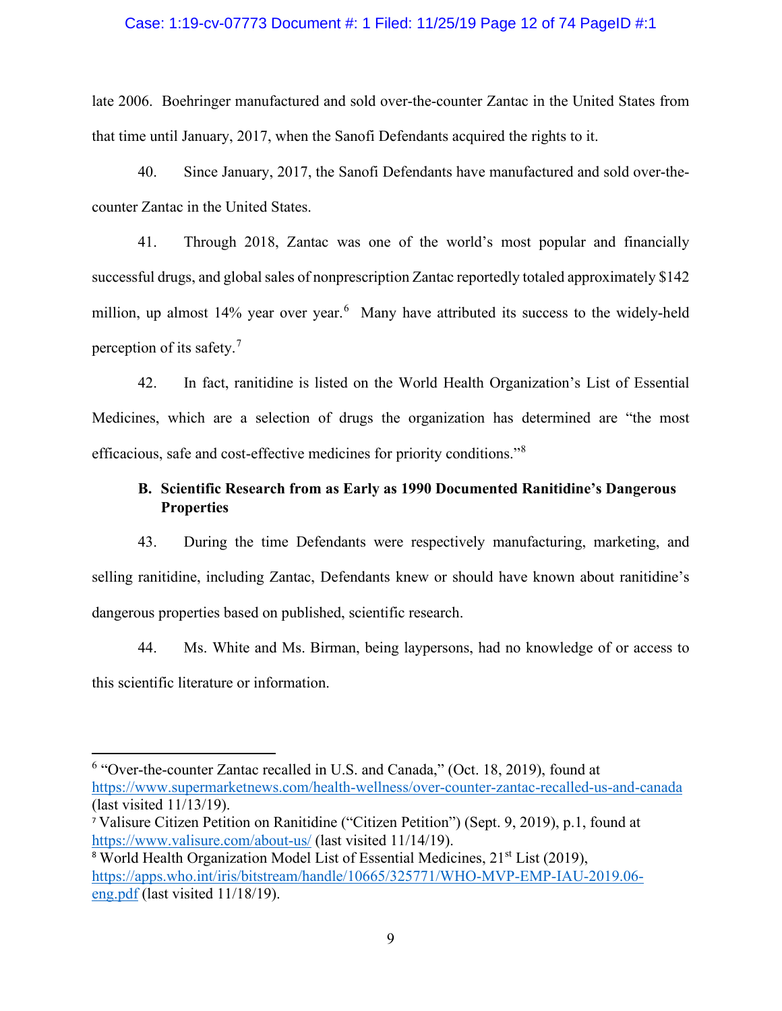#### Case: 1:19-cv-07773 Document #: 1 Filed: 11/25/19 Page 12 of 74 PageID #:1

late 2006. Boehringer manufactured and sold over-the-counter Zantac in the United States from that time until January, 2017, when the Sanofi Defendants acquired the rights to it.

40. Since January, 2017, the Sanofi Defendants have manufactured and sold over-thecounter Zantac in the United States.

41. Through 2018, Zantac was one of the world's most popular and financially successful drugs, and global sales of nonprescription Zantac reportedly totaled approximately \$142 million, up almost 14% year over year.<sup>[6](#page-11-1)</sup> Many have attributed its success to the widely-held perception of its safety.<sup>[7](#page-11-2)</sup>

42. In fact, ranitidine is listed on the World Health Organization's List of Essential Medicines, which are a selection of drugs the organization has determined are "the most efficacious, safe and cost-effective medicines for priority conditions."[8](#page-11-3)

# <span id="page-11-0"></span>**B. Scientific Research from as Early as 1990 Documented Ranitidine's Dangerous Properties**

43. During the time Defendants were respectively manufacturing, marketing, and selling ranitidine, including Zantac, Defendants knew or should have known about ranitidine's dangerous properties based on published, scientific research.

44. Ms. White and Ms. Birman, being laypersons, had no knowledge of or access to this scientific literature or information.

<span id="page-11-1"></span><sup>6</sup> "Over-the-counter Zantac recalled in U.S. and Canada," (Oct. 18, 2019), found at <https://www.supermarketnews.com/health-wellness/over-counter-zantac-recalled-us-and-canada> (last visited 11/13/19).

<span id="page-11-2"></span><sup>7</sup> Valisure Citizen Petition on Ranitidine ("Citizen Petition") (Sept. 9, 2019), p.1, found at <https://www.valisure.com/about-us/> (last visited 11/14/19).

<span id="page-11-3"></span><sup>&</sup>lt;sup>8</sup> World Health Organization Model List of Essential Medicines, 21<sup>st</sup> List (2019), [https://apps.who.int/iris/bitstream/handle/10665/325771/WHO-MVP-EMP-IAU-2019.06](https://apps.who.int/iris/bitstream/handle/10665/325771/WHO-MVP-EMP-IAU-2019.06-eng.pdf) [eng.pdf](https://apps.who.int/iris/bitstream/handle/10665/325771/WHO-MVP-EMP-IAU-2019.06-eng.pdf) (last visited 11/18/19).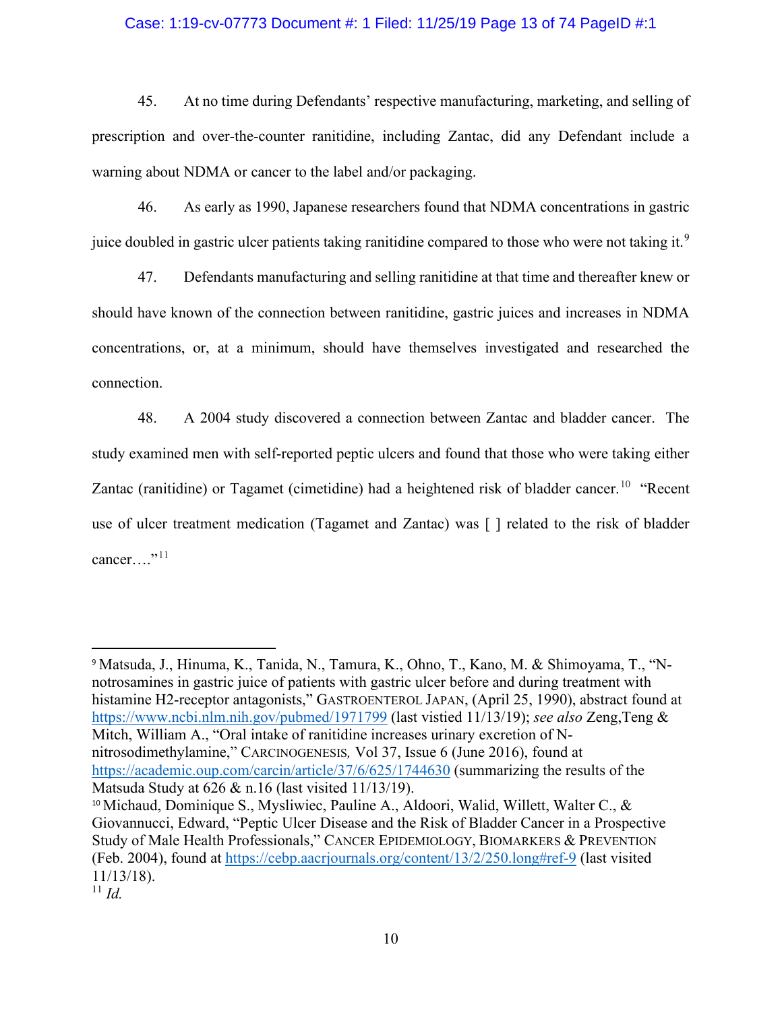### Case: 1:19-cv-07773 Document #: 1 Filed: 11/25/19 Page 13 of 74 PageID #:1

45. At no time during Defendants' respective manufacturing, marketing, and selling of prescription and over-the-counter ranitidine, including Zantac, did any Defendant include a warning about NDMA or cancer to the label and/or packaging.

46. As early as 1990, Japanese researchers found that NDMA concentrations in gastric juice doubled in gastric ulcer patients taking ranitidine compared to those who were not taking it.<sup>[9](#page-12-0)</sup>

47. Defendants manufacturing and selling ranitidine at that time and thereafter knew or should have known of the connection between ranitidine, gastric juices and increases in NDMA concentrations, or, at a minimum, should have themselves investigated and researched the connection.

48. A 2004 study discovered a connection between Zantac and bladder cancer. The study examined men with self-reported peptic ulcers and found that those who were taking either Zantac (ranitidine) or Tagamet (cimetidine) had a heightened risk of bladder cancer.<sup>10</sup> "Recent use of ulcer treatment medication (Tagamet and Zantac) was [ ] related to the risk of bladder cancer... $"$ <sup>[11](#page-12-2)</sup>

<span id="page-12-0"></span><sup>9</sup> Matsuda, J., Hinuma, K., Tanida, N., Tamura, K., Ohno, T., Kano, M. & Shimoyama, T., "Nnotrosamines in gastric juice of patients with gastric ulcer before and during treatment with histamine H2-receptor antagonists," GASTROENTEROL JAPAN, (April 25, 1990), abstract found at <https://www.ncbi.nlm.nih.gov/pubmed/1971799> (last vistied 11/13/19); *see also* Zeng,Teng & Mitch, William A., "Oral intake of ranitidine increases urinary excretion of Nnitrosodimethylamine," CARCINOGENESIS*,* Vol 37, Issue 6 (June 2016), found at <https://academic.oup.com/carcin/article/37/6/625/1744630> (summarizing the results of the Matsuda Study at 626 & n.16 (last visited 11/13/19).

<span id="page-12-1"></span><sup>10</sup> Michaud, Dominique S., Mysliwiec, Pauline A., Aldoori, Walid, Willett, Walter C., & Giovannucci, Edward, "Peptic Ulcer Disease and the Risk of Bladder Cancer in a Prospective Study of Male Health Professionals," CANCER EPIDEMIOLOGY, BIOMARKERS & PREVENTION (Feb. 2004), found at<https://cebp.aacrjournals.org/content/13/2/250.long#ref-9> (last visited 11/13/18).

<span id="page-12-2"></span><sup>11</sup> *Id.*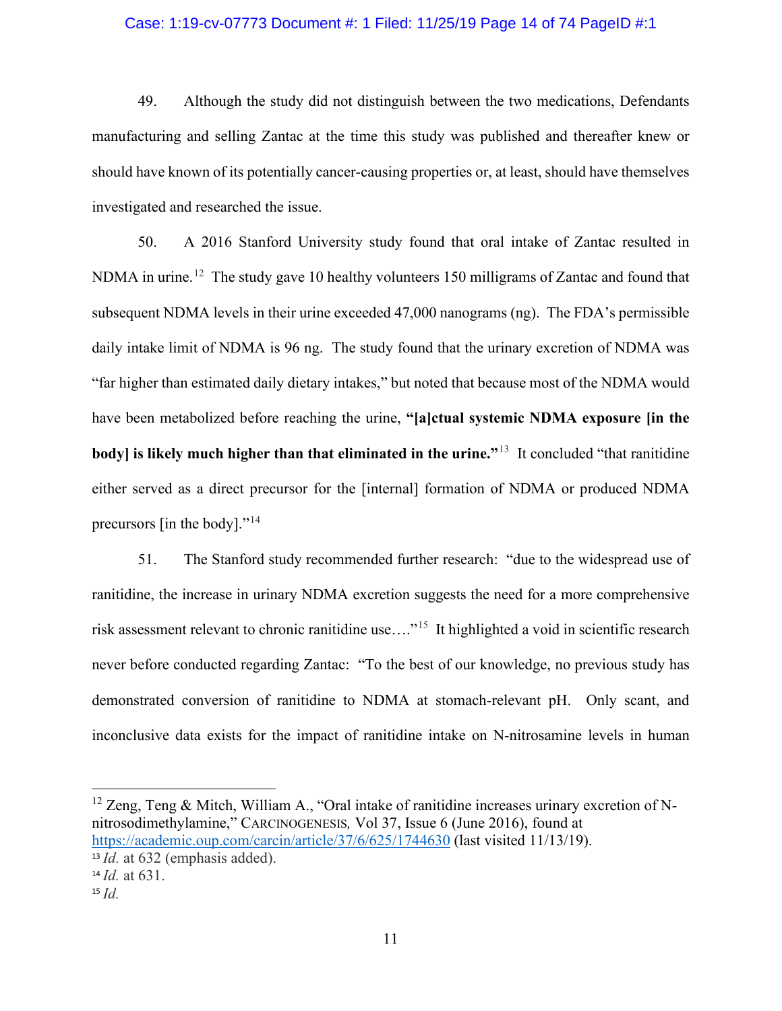### Case: 1:19-cv-07773 Document #: 1 Filed: 11/25/19 Page 14 of 74 PageID #:1

49. Although the study did not distinguish between the two medications, Defendants manufacturing and selling Zantac at the time this study was published and thereafter knew or should have known of its potentially cancer-causing properties or, at least, should have themselves investigated and researched the issue.

50. A 2016 Stanford University study found that oral intake of Zantac resulted in NDMA in urine.<sup>12</sup> The study gave 10 healthy volunteers 150 milligrams of Zantac and found that subsequent NDMA levels in their urine exceeded 47,000 nanograms (ng). The FDA's permissible daily intake limit of NDMA is 96 ng. The study found that the urinary excretion of NDMA was "far higher than estimated daily dietary intakes," but noted that because most of the NDMA would have been metabolized before reaching the urine, **"[a]ctual systemic NDMA exposure [in the body** is likely much higher than that eliminated in the urine.<sup>"[13](#page-13-1)</sup> It concluded "that ranitidine" either served as a direct precursor for the [internal] formation of NDMA or produced NDMA precursors [in the body]."<sup>[14](#page-13-2)</sup>

51. The Stanford study recommended further research: "due to the widespread use of ranitidine, the increase in urinary NDMA excretion suggests the need for a more comprehensive risk assessment relevant to chronic ranitidine use...."<sup>15</sup> It highlighted a void in scientific research never before conducted regarding Zantac: "To the best of our knowledge, no previous study has demonstrated conversion of ranitidine to NDMA at stomach-relevant pH. Only scant, and inconclusive data exists for the impact of ranitidine intake on N-nitrosamine levels in human

<span id="page-13-0"></span> $12$  Zeng, Teng & Mitch, William A., "Oral intake of ranitidine increases urinary excretion of Nnitrosodimethylamine," CARCINOGENESIS*,* Vol 37, Issue 6 (June 2016), found at <https://academic.oup.com/carcin/article/37/6/625/1744630> (last visited 11/13/19).

<span id="page-13-1"></span><sup>&</sup>lt;sup>13</sup> *Id.* at 632 (emphasis added).

<span id="page-13-2"></span><sup>14</sup> *Id.* at 631.

<span id="page-13-3"></span><sup>15</sup> *Id.*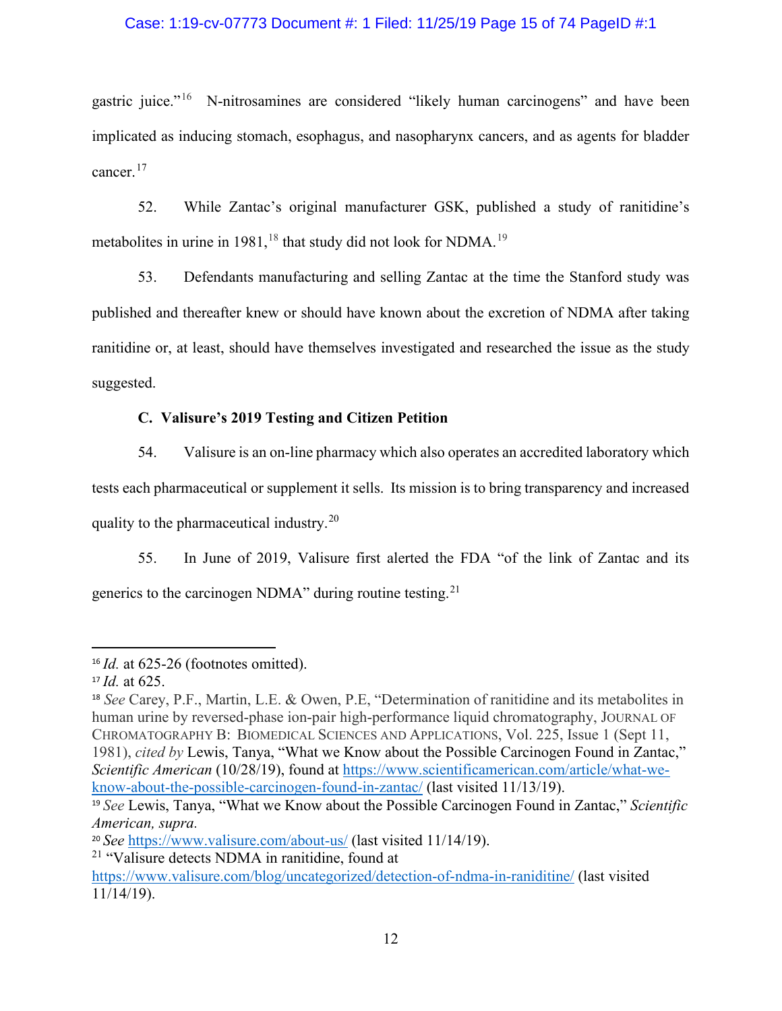## Case: 1:19-cv-07773 Document #: 1 Filed: 11/25/19 Page 15 of 74 PageID #:1

gastric juice."[16](#page-14-1) N-nitrosamines are considered "likely human carcinogens" and have been implicated as inducing stomach, esophagus, and nasopharynx cancers, and as agents for bladder cancer.<sup>17</sup>

52. While Zantac's original manufacturer GSK, published a study of ranitidine's metabolites in urine in [19](#page-14-4)81,  $^{18}$  $^{18}$  $^{18}$  that study did not look for NDMA.  $^{19}$ 

53. Defendants manufacturing and selling Zantac at the time the Stanford study was published and thereafter knew or should have known about the excretion of NDMA after taking ranitidine or, at least, should have themselves investigated and researched the issue as the study suggested.

## **C. Valisure's 2019 Testing and Citizen Petition**

<span id="page-14-0"></span>54. Valisure is an on-line pharmacy which also operates an accredited laboratory which tests each pharmaceutical or supplement it sells. Its mission is to bring transparency and increased quality to the pharmaceutical industry.<sup>20</sup>

55. In June of 2019, Valisure first alerted the FDA "of the link of Zantac and its generics to the carcinogen NDMA" during routine testing.[21](#page-14-6) 

<span id="page-14-6"></span><sup>21</sup> "Valisure detects NDMA in ranitidine, found at

<https://www.valisure.com/blog/uncategorized/detection-of-ndma-in-raniditine/> (last visited 11/14/19).

<span id="page-14-1"></span><sup>&</sup>lt;sup>16</sup> *Id.* at 625-26 (footnotes omitted).

<span id="page-14-2"></span><sup>17</sup> *Id.* at 625.

<span id="page-14-3"></span><sup>18</sup> *See* Carey, P.F., Martin, L.E. & Owen, P.E, "Determination of ranitidine and its metabolites in human urine by reversed-phase ion-pair high-performance liquid chromatography, JOURNAL OF CHROMATOGRAPHY B: BIOMEDICAL SCIENCES AND APPLICATIONS, Vol. 225, Issue 1 (Sept 11, 1981), *cited by* Lewis, Tanya, "What we Know about the Possible Carcinogen Found in Zantac," *Scientific American* (10/28/19), found at [https://www.scientificamerican.com/article/what-we](https://www.scientificamerican.com/article/what-we-know-about-the-possible-carcinogen-found-in-zantac/)[know-about-the-possible-carcinogen-found-in-zantac/](https://www.scientificamerican.com/article/what-we-know-about-the-possible-carcinogen-found-in-zantac/) (last visited 11/13/19).

<span id="page-14-4"></span><sup>19</sup> *See* Lewis, Tanya, "What we Know about the Possible Carcinogen Found in Zantac," *Scientific American, supra*.

<span id="page-14-5"></span><sup>20</sup> *See* <https://www.valisure.com/about-us/> (last visited 11/14/19).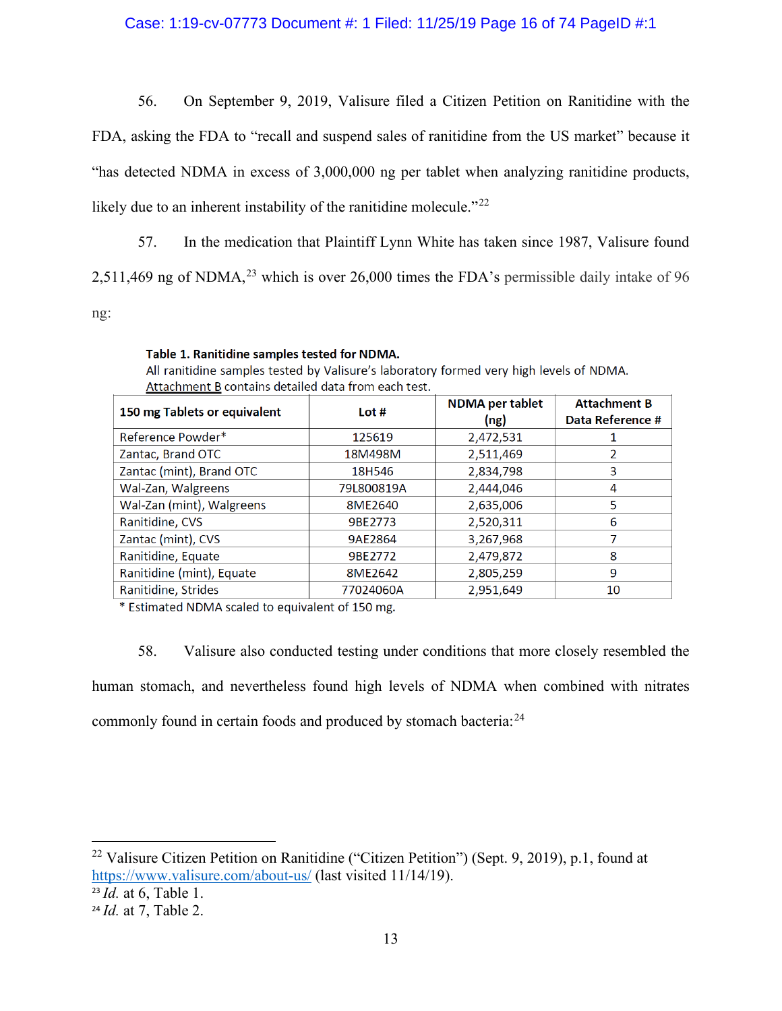## Case: 1:19-cv-07773 Document #: 1 Filed: 11/25/19 Page 16 of 74 PageID #:1

56. On September 9, 2019, Valisure filed a Citizen Petition on Ranitidine with the

FDA, asking the FDA to "recall and suspend sales of ranitidine from the US market" because it "has detected NDMA in excess of 3,000,000 ng per tablet when analyzing ranitidine products, likely due to an inherent instability of the ranitidine molecule."<sup>[22](#page-15-0)</sup>

57. In the medication that Plaintiff Lynn White has taken since 1987, Valisure found 2,511,469 ng of NDMA, $^{23}$  $^{23}$  $^{23}$  which is over 26,000 times the FDA's permissible daily intake of 96 ng:

#### Table 1. Ranitidine samples tested for NDMA.

| All ranitidine samples tested by Valisure's laboratory formed very high levels of NDMA |
|----------------------------------------------------------------------------------------|
| Attachment B contains detailed data from each test.                                    |

| 150 mg Tablets or equivalent | Lot#       | <b>NDMA</b> per tablet<br>(ng) | <b>Attachment B</b><br>Data Reference # |
|------------------------------|------------|--------------------------------|-----------------------------------------|
| Reference Powder*            | 125619     | 2,472,531                      |                                         |
| Zantac, Brand OTC            | 18M498M    | 2,511,469                      |                                         |
| Zantac (mint), Brand OTC     | 18H546     | 2,834,798                      | 3                                       |
| Wal-Zan, Walgreens           | 79L800819A | 2,444,046                      | 4                                       |
| Wal-Zan (mint), Walgreens    | 8ME2640    | 2,635,006                      | 5                                       |
| Ranitidine, CVS              | 9BE2773    | 2,520,311                      | 6                                       |
| Zantac (mint), CVS           | 9AE2864    | 3,267,968                      |                                         |
| Ranitidine, Equate           | 9BE2772    | 2,479,872                      | 8                                       |
| Ranitidine (mint), Equate    | 8ME2642    | 2,805,259                      | 9                                       |
| Ranitidine, Strides          | 77024060A  | 2,951,649                      | 10                                      |

\* Estimated NDMA scaled to equivalent of 150 mg.

58. Valisure also conducted testing under conditions that more closely resembled the human stomach, and nevertheless found high levels of NDMA when combined with nitrates commonly found in certain foods and produced by stomach bacteria:<sup>[24](#page-15-2)</sup>

<span id="page-15-0"></span><sup>22</sup> Valisure Citizen Petition on Ranitidine ("Citizen Petition") (Sept. 9, 2019), p.1, found at <https://www.valisure.com/about-us/> (last visited 11/14/19).

<span id="page-15-1"></span><sup>23</sup> *Id.* at 6, Table 1.

<span id="page-15-2"></span><sup>24</sup> *Id.* at 7, Table 2.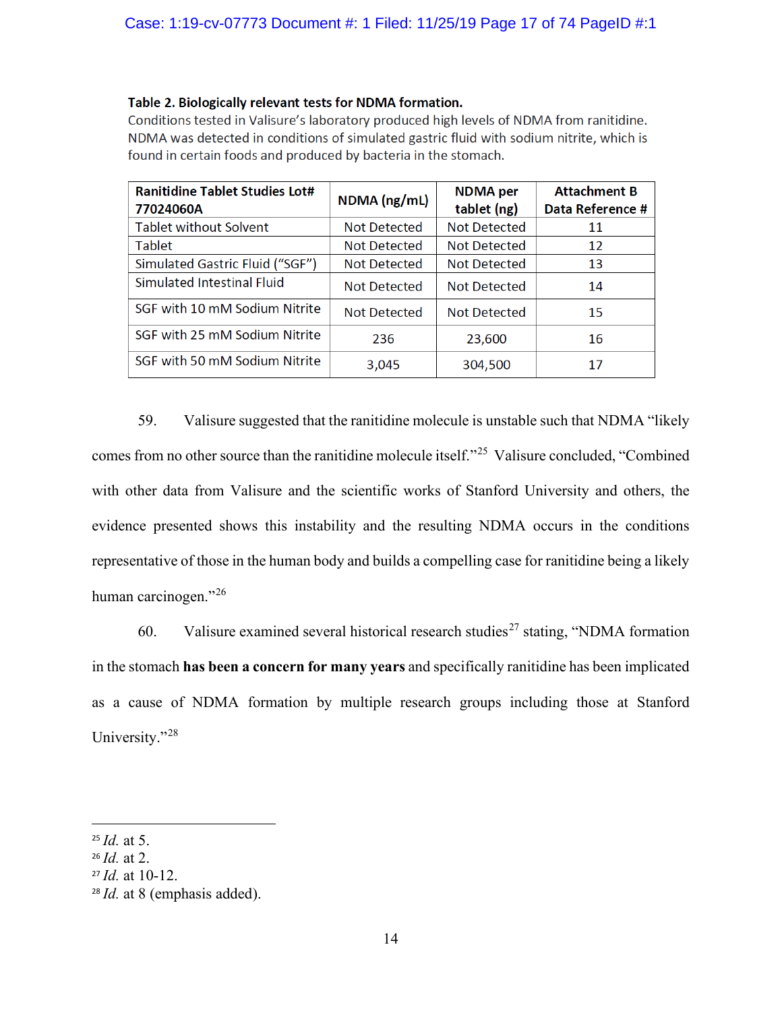## Table 2. Biologically relevant tests for NDMA formation.

Conditions tested in Valisure's laboratory produced high levels of NDMA from ranitidine. NDMA was detected in conditions of simulated gastric fluid with sodium nitrite, which is found in certain foods and produced by bacteria in the stomach.

| <b>Ranitidine Tablet Studies Lot#</b><br>77024060A | NDMA (ng/mL) | <b>NDMA</b> per<br>tablet (ng) | <b>Attachment B</b><br>Data Reference # |
|----------------------------------------------------|--------------|--------------------------------|-----------------------------------------|
|                                                    |              |                                |                                         |
| <b>Tablet without Solvent</b>                      | Not Detected | Not Detected                   | 11                                      |
| <b>Tablet</b>                                      | Not Detected | Not Detected                   | 12                                      |
| Simulated Gastric Fluid ("SGF")                    | Not Detected | Not Detected                   | 13                                      |
| Simulated Intestinal Fluid                         | Not Detected | Not Detected                   | 14                                      |
| SGF with 10 mM Sodium Nitrite                      | Not Detected | Not Detected                   | 15                                      |
| SGF with 25 mM Sodium Nitrite                      | 236          | 23,600                         | 16                                      |
| SGF with 50 mM Sodium Nitrite                      | 3,045        | 304,500                        | 17                                      |

59. Valisure suggested that the ranitidine molecule is unstable such that NDMA "likely comes from no other source than the ranitidine molecule itself."[25](#page-16-0) Valisure concluded, "Combined with other data from Valisure and the scientific works of Stanford University and others, the evidence presented shows this instability and the resulting NDMA occurs in the conditions representative of those in the human body and builds a compelling case for ranitidine being a likely human carcinogen."[26](#page-16-1)

60. Valisure examined several historical research studies<sup>[27](#page-16-2)</sup> stating, "NDMA formation in the stomach **has been a concern for many years** and specifically ranitidine has been implicated as a cause of NDMA formation by multiple research groups including those at Stanford University."<sup>[28](#page-16-3)</sup>

<span id="page-16-0"></span><sup>25</sup> *Id.* at 5.

<span id="page-16-1"></span><sup>26</sup> *Id.* at 2.

<span id="page-16-2"></span><sup>27</sup> *Id.* at 10-12.

<span id="page-16-3"></span><sup>28</sup> *Id.* at 8 (emphasis added).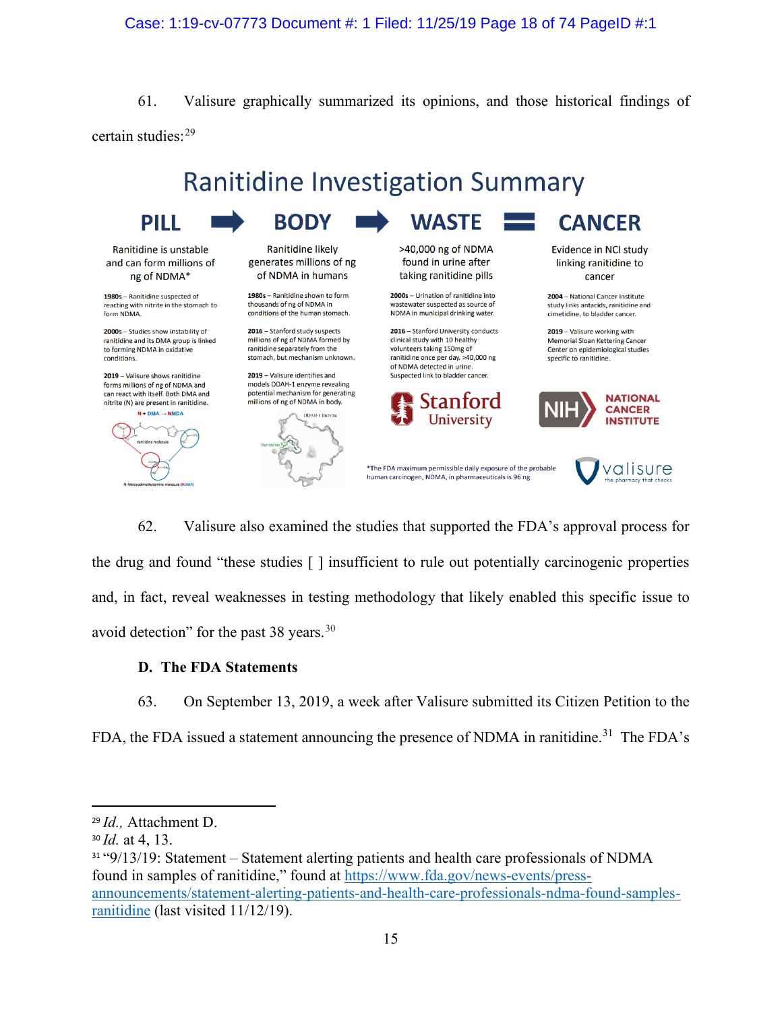## Case: 1:19-cv-07773 Document #: 1 Filed: 11/25/19 Page 18 of 74 PageID #:1

61. Valisure graphically summarized its opinions, and those historical findings of certain studies:<sup>[29](#page-17-1)</sup>



62. Valisure also examined the studies that supported the FDA's approval process for the drug and found "these studies [ ] insufficient to rule out potentially carcinogenic properties and, in fact, reveal weaknesses in testing methodology that likely enabled this specific issue to avoid detection" for the past 38 years. $30$ 

### **D. The FDA Statements**

<span id="page-17-0"></span>63. On September 13, 2019, a week after Valisure submitted its Citizen Petition to the FDA, the FDA issued a statement announcing the presence of NDMA in ranitidine.<sup>[31](#page-17-3)</sup> The FDA's

<span id="page-17-3"></span><sup>31</sup> "9/13/19: Statement – Statement alerting patients and health care professionals of NDMA found in samples of ranitidine," found at [https://www.fda.gov/news-events/press](https://www.fda.gov/news-events/press-announcements/statement-alerting-patients-and-health-care-professionals-ndma-found-samples-ranitidine)[announcements/statement-alerting-patients-and-health-care-professionals-ndma-found-samples](https://www.fda.gov/news-events/press-announcements/statement-alerting-patients-and-health-care-professionals-ndma-found-samples-ranitidine)[ranitidine](https://www.fda.gov/news-events/press-announcements/statement-alerting-patients-and-health-care-professionals-ndma-found-samples-ranitidine) (last visited 11/12/19).

<span id="page-17-1"></span><sup>29</sup> *Id.,* Attachment D.

<span id="page-17-2"></span><sup>30</sup> *Id.* at 4, 13.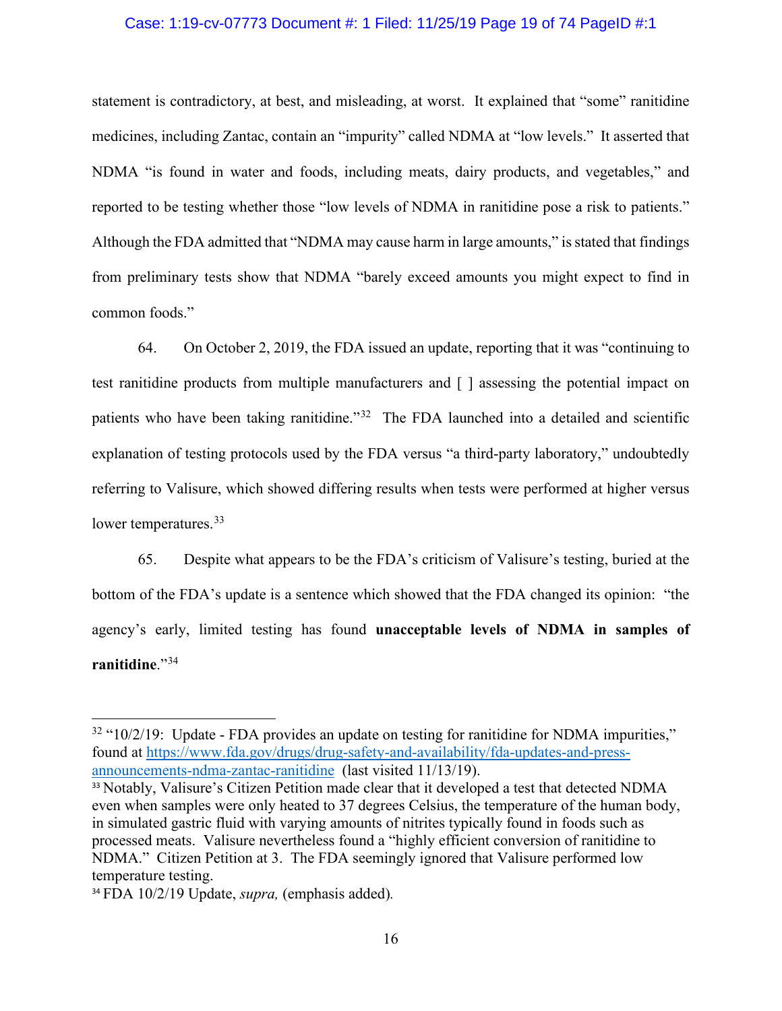### Case: 1:19-cv-07773 Document #: 1 Filed: 11/25/19 Page 19 of 74 PageID #:1

statement is contradictory, at best, and misleading, at worst. It explained that "some" ranitidine medicines, including Zantac, contain an "impurity" called NDMA at "low levels." It asserted that NDMA "is found in water and foods, including meats, dairy products, and vegetables," and reported to be testing whether those "low levels of NDMA in ranitidine pose a risk to patients." Although the FDA admitted that "NDMA may cause harm in large amounts," is stated that findings from preliminary tests show that NDMA "barely exceed amounts you might expect to find in common foods."

64. On October 2, 2019, the FDA issued an update, reporting that it was "continuing to test ranitidine products from multiple manufacturers and [ ] assessing the potential impact on patients who have been taking ranitidine."<sup>32</sup> The FDA launched into a detailed and scientific explanation of testing protocols used by the FDA versus "a third-party laboratory," undoubtedly referring to Valisure, which showed differing results when tests were performed at higher versus lower temperatures.<sup>33</sup>

65. Despite what appears to be the FDA's criticism of Valisure's testing, buried at the bottom of the FDA's update is a sentence which showed that the FDA changed its opinion: "the agency's early, limited testing has found **unacceptable levels of NDMA in samples of ranitidine**."[34](#page-18-2) 

<span id="page-18-0"></span> $32$  "10/2/19: Update - FDA provides an update on testing for ranitidine for NDMA impurities," found at [https://www.fda.gov/drugs/drug-safety-and-availability/fda-updates-and-press](https://www.fda.gov/drugs/drug-safety-and-availability/fda-updates-and-press-announcements-ndma-zantac-ranitidine)[announcements-ndma-zantac-ranitidine](https://www.fda.gov/drugs/drug-safety-and-availability/fda-updates-and-press-announcements-ndma-zantac-ranitidine) (last visited 11/13/19).

<span id="page-18-1"></span><sup>33</sup> Notably, Valisure's Citizen Petition made clear that it developed a test that detected NDMA even when samples were only heated to 37 degrees Celsius, the temperature of the human body, in simulated gastric fluid with varying amounts of nitrites typically found in foods such as processed meats. Valisure nevertheless found a "highly efficient conversion of ranitidine to NDMA." Citizen Petition at 3. The FDA seemingly ignored that Valisure performed low temperature testing.

<span id="page-18-2"></span><sup>34</sup> FDA 10/2/19 Update, *supra,* (emphasis added)*.*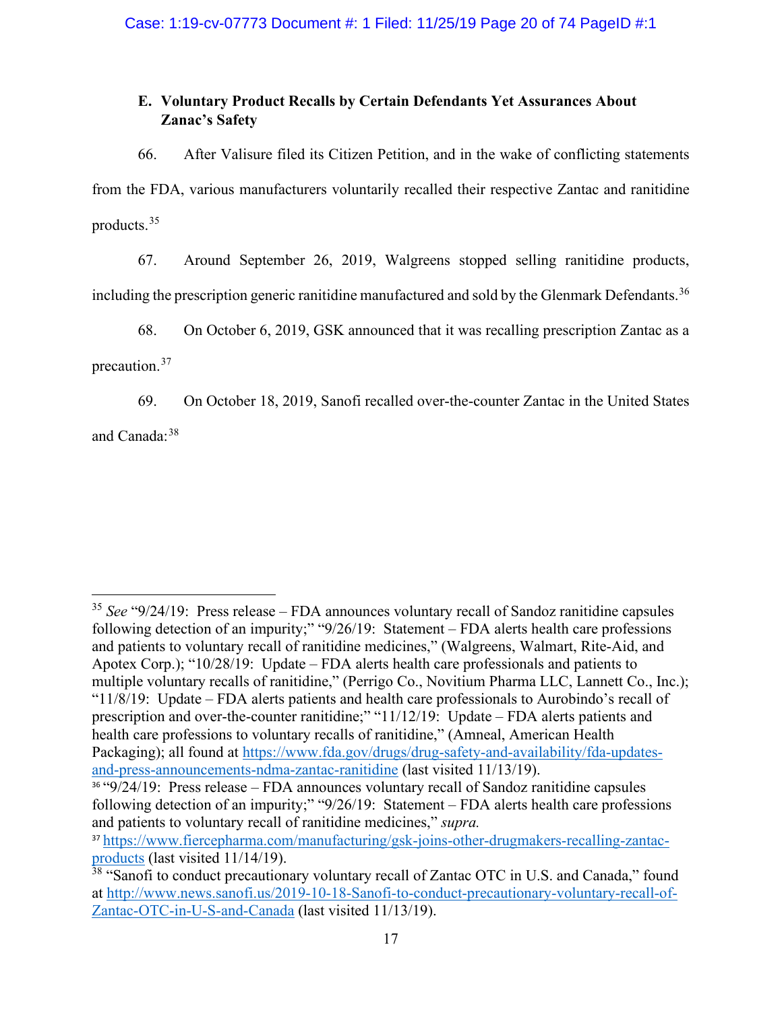# <span id="page-19-0"></span>**E. Voluntary Product Recalls by Certain Defendants Yet Assurances About Zanac's Safety**

66. After Valisure filed its Citizen Petition, and in the wake of conflicting statements from the FDA, various manufacturers voluntarily recalled their respective Zantac and ranitidine products. [35](#page-19-1)

67. Around September 26, 2019, Walgreens stopped selling ranitidine products, including the prescription generic ranitidine manufactured and sold by the Glenmark Defendants.<sup>[36](#page-19-2)</sup>

68. On October 6, 2019, GSK announced that it was recalling prescription Zantac as a precaution. [37](#page-19-3)

69. On October 18, 2019, Sanofi recalled over-the-counter Zantac in the United States and Canada: [38](#page-19-4)

<span id="page-19-1"></span><sup>&</sup>lt;sup>35</sup> See "9/24/19: Press release – FDA announces voluntary recall of Sandoz ranitidine capsules following detection of an impurity;" "9/26/19: Statement – FDA alerts health care professions and patients to voluntary recall of ranitidine medicines," (Walgreens, Walmart, Rite-Aid, and Apotex Corp.); "10/28/19: Update – FDA alerts health care professionals and patients to multiple voluntary recalls of ranitidine," (Perrigo Co., Novitium Pharma LLC, Lannett Co., Inc.); "11/8/19: Update – FDA alerts patients and health care professionals to Aurobindo's recall of prescription and over-the-counter ranitidine;" "11/12/19: Update – FDA alerts patients and health care professions to voluntary recalls of ranitidine," (Amneal, American Health Packaging); all found at [https://www.fda.gov/drugs/drug-safety-and-availability/fda-updates](https://www.fda.gov/drugs/drug-safety-and-availability/fda-updates-and-press-announcements-ndma-zantac-ranitidine)[and-press-announcements-ndma-zantac-ranitidine](https://www.fda.gov/drugs/drug-safety-and-availability/fda-updates-and-press-announcements-ndma-zantac-ranitidine) (last visited 11/13/19).

<span id="page-19-2"></span><sup>36</sup> "9/24/19: Press release – FDA announces voluntary recall of Sandoz ranitidine capsules following detection of an impurity;" "9/26/19: Statement – FDA alerts health care professions and patients to voluntary recall of ranitidine medicines," *supra.*

<span id="page-19-3"></span><sup>37</sup> [https://www.fiercepharma.com/manufacturing/gsk-joins-other-drugmakers-recalling-zantac](https://www.fiercepharma.com/manufacturing/gsk-joins-other-drugmakers-recalling-zantac-products)[products](https://www.fiercepharma.com/manufacturing/gsk-joins-other-drugmakers-recalling-zantac-products) (last visited 11/14/19).

<span id="page-19-4"></span><sup>&</sup>lt;sup>38</sup> "Sanofi to conduct precautionary voluntary recall of Zantac OTC in U.S. and Canada," found at [http://www.news.sanofi.us/2019-10-18-Sanofi-to-conduct-precautionary-voluntary-recall-of-](http://www.news.sanofi.us/2019-10-18-Sanofi-to-conduct-precautionary-voluntary-recall-of-Zantac-OTC-in-U-S-and-Canada)[Zantac-OTC-in-U-S-and-Canada](http://www.news.sanofi.us/2019-10-18-Sanofi-to-conduct-precautionary-voluntary-recall-of-Zantac-OTC-in-U-S-and-Canada) (last visited 11/13/19).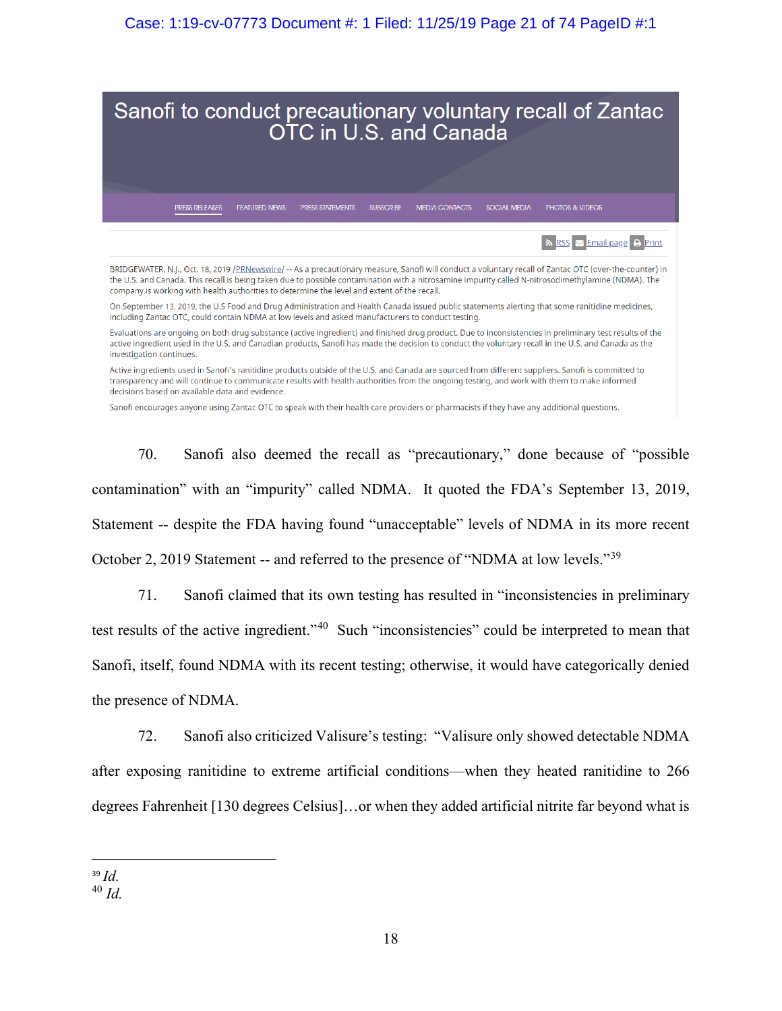

70. Sanofi also deemed the recall as "precautionary," done because of "possible contamination" with an "impurity" called NDMA. It quoted the FDA's September 13, 2019, Statement -- despite the FDA having found "unacceptable" levels of NDMA in its more recent October 2, 2019 Statement -- and referred to the presence of "NDMA at low levels."[39](#page-20-0)

71. Sanofi claimed that its own testing has resulted in "inconsistencies in preliminary test results of the active ingredient."[40](#page-20-1) Such "inconsistencies" could be interpreted to mean that Sanofi, itself, found NDMA with its recent testing; otherwise, it would have categorically denied the presence of NDMA.

72. Sanofi also criticized Valisure's testing: "Valisure only showed detectable NDMA after exposing ranitidine to extreme artificial conditions—when they heated ranitidine to 266 degrees Fahrenheit [130 degrees Celsius]…or when they added artificial nitrite far beyond what is

<span id="page-20-0"></span><sup>39</sup> *Id.*

<span id="page-20-1"></span> $40$  *Id.*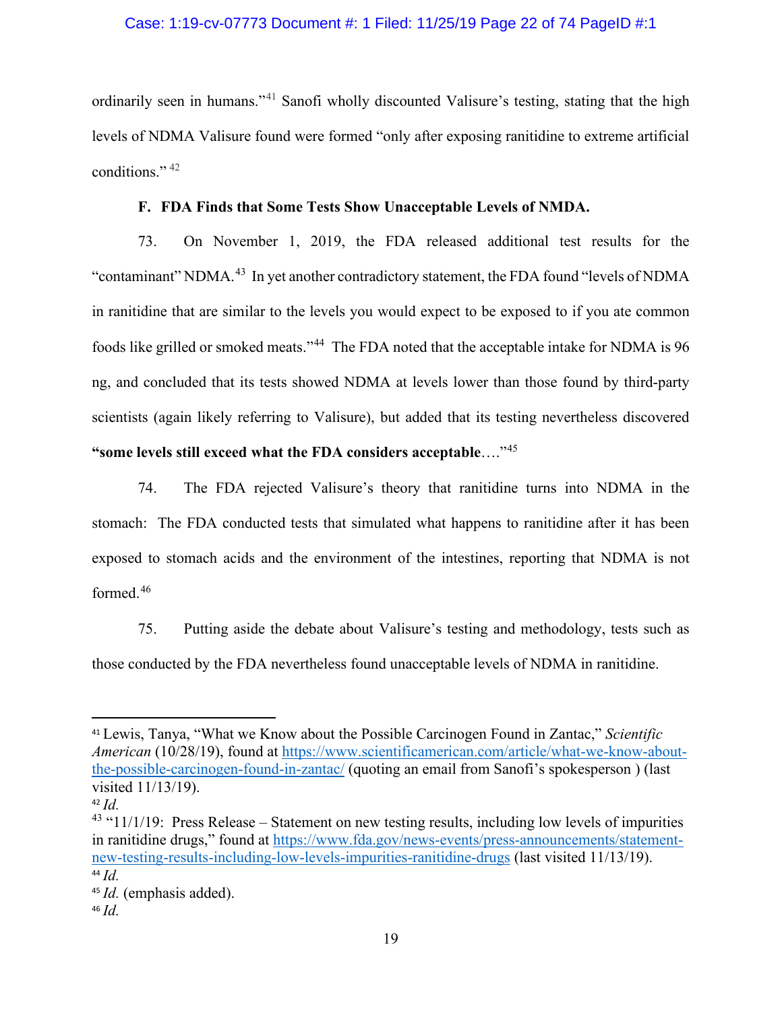## Case: 1:19-cv-07773 Document #: 1 Filed: 11/25/19 Page 22 of 74 PageID #:1

ordinarily seen in humans."<sup>[41](#page-21-1)</sup> Sanofi wholly discounted Valisure's testing, stating that the high levels of NDMA Valisure found were formed "only after exposing ranitidine to extreme artificial conditions." <sup>[42](#page-21-2)</sup>

## **F. FDA Finds that Some Tests Show Unacceptable Levels of NMDA.**

<span id="page-21-0"></span>73. On November 1, 2019, the FDA released additional test results for the "contaminant" NDMA.<sup>43</sup> In yet another contradictory statement, the FDA found "levels of NDMA in ranitidine that are similar to the levels you would expect to be exposed to if you ate common foods like grilled or smoked meats."<sup>[44](#page-21-4)</sup> The FDA noted that the acceptable intake for NDMA is 96 ng, and concluded that its tests showed NDMA at levels lower than those found by third-party scientists (again likely referring to Valisure), but added that its testing nevertheless discovered **"some levels still exceed what the FDA considers acceptable**…."[45](#page-21-5) 

74. The FDA rejected Valisure's theory that ranitidine turns into NDMA in the stomach: The FDA conducted tests that simulated what happens to ranitidine after it has been exposed to stomach acids and the environment of the intestines, reporting that NDMA is not formed. [46](#page-21-6)

75. Putting aside the debate about Valisure's testing and methodology, tests such as those conducted by the FDA nevertheless found unacceptable levels of NDMA in ranitidine.

<span id="page-21-1"></span><sup>41</sup> Lewis, Tanya, "What we Know about the Possible Carcinogen Found in Zantac," *Scientific American* (10/28/19), found at [https://www.scientificamerican.com/article/what-we-know-about](https://www.scientificamerican.com/article/what-we-know-about-the-possible-carcinogen-found-in-zantac/)[the-possible-carcinogen-found-in-zantac/](https://www.scientificamerican.com/article/what-we-know-about-the-possible-carcinogen-found-in-zantac/) (quoting an email from Sanofi's spokesperson ) (last visited 11/13/19).

<span id="page-21-2"></span> $42$  *Id.* 

<span id="page-21-3"></span> $43$  "11/1/19: Press Release – Statement on new testing results, including low levels of impurities in ranitidine drugs," found at [https://www.fda.gov/news-events/press-announcements/statement](https://www.fda.gov/news-events/press-announcements/statement-new-testing-results-including-low-levels-impurities-ranitidine-drugs)[new-testing-results-including-low-levels-impurities-ranitidine-drugs](https://www.fda.gov/news-events/press-announcements/statement-new-testing-results-including-low-levels-impurities-ranitidine-drugs) (last visited 11/13/19). <sup>44</sup> *Id.* 

<span id="page-21-5"></span><span id="page-21-4"></span><sup>45</sup> *Id.* (emphasis added).

<span id="page-21-6"></span><sup>46</sup> *Id.*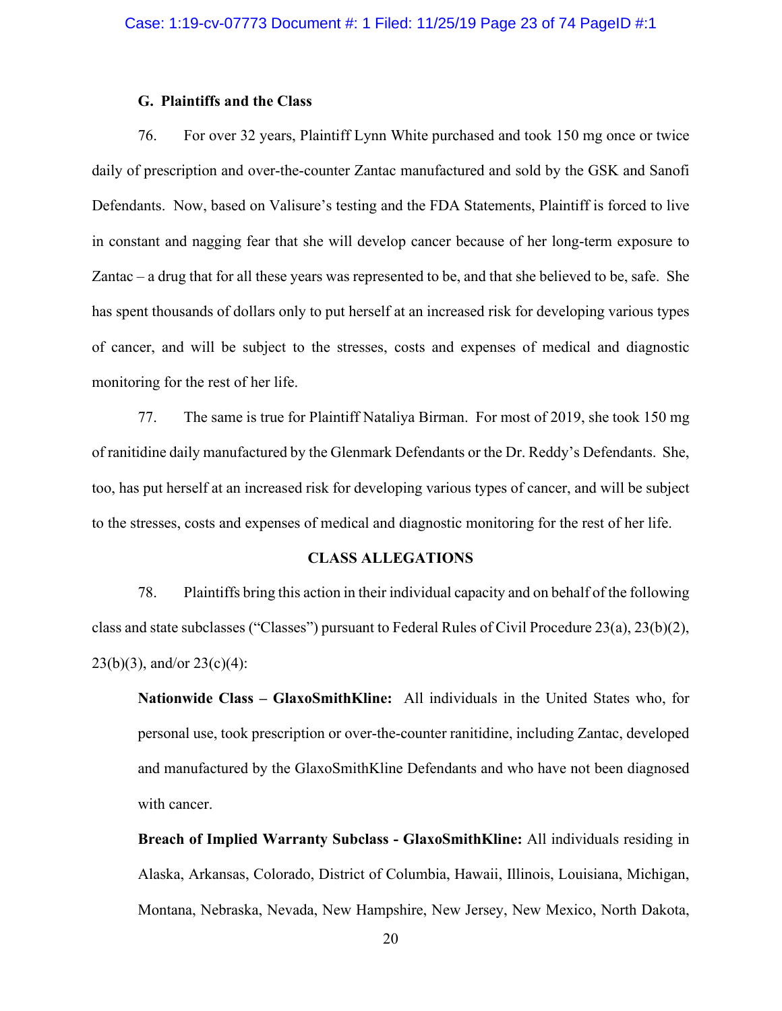### **G. Plaintiffs and the Class**

<span id="page-22-0"></span>76. For over 32 years, Plaintiff Lynn White purchased and took 150 mg once or twice daily of prescription and over-the-counter Zantac manufactured and sold by the GSK and Sanofi Defendants. Now, based on Valisure's testing and the FDA Statements, Plaintiff is forced to live in constant and nagging fear that she will develop cancer because of her long-term exposure to Zantac – a drug that for all these years was represented to be, and that she believed to be, safe. She has spent thousands of dollars only to put herself at an increased risk for developing various types of cancer, and will be subject to the stresses, costs and expenses of medical and diagnostic monitoring for the rest of her life.

77. The same is true for Plaintiff Nataliya Birman. For most of 2019, she took 150 mg of ranitidine daily manufactured by the Glenmark Defendants or the Dr. Reddy's Defendants. She, too, has put herself at an increased risk for developing various types of cancer, and will be subject to the stresses, costs and expenses of medical and diagnostic monitoring for the rest of her life.

#### **CLASS ALLEGATIONS**

<span id="page-22-1"></span>78. Plaintiffs bring this action in their individual capacity and on behalf of the following class and state subclasses ("Classes") pursuant to Federal Rules of Civil Procedure 23(a), 23(b)(2),  $23(b)(3)$ , and/or  $23(c)(4)$ :

**Nationwide Class – GlaxoSmithKline:** All individuals in the United States who, for personal use, took prescription or over-the-counter ranitidine, including Zantac, developed and manufactured by the GlaxoSmithKline Defendants and who have not been diagnosed with cancer.

**Breach of Implied Warranty Subclass - GlaxoSmithKline:** All individuals residing in Alaska, Arkansas, Colorado, District of Columbia, Hawaii, Illinois, Louisiana, Michigan, Montana, Nebraska, Nevada, New Hampshire, New Jersey, New Mexico, North Dakota,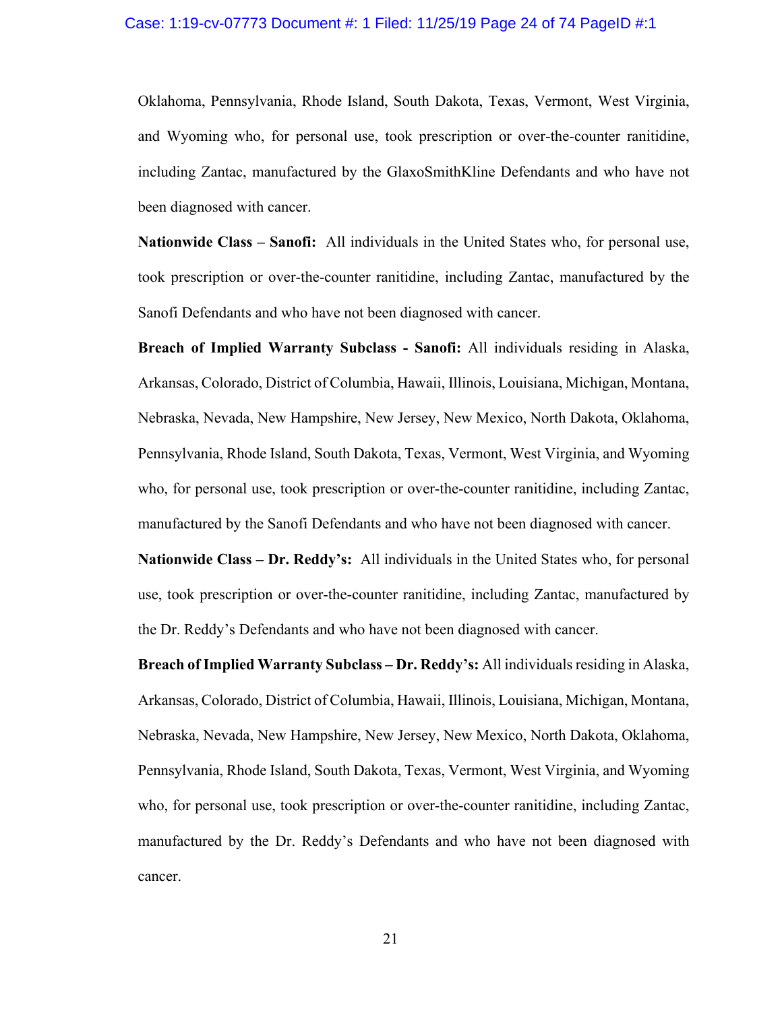#### Case: 1:19-cv-07773 Document #: 1 Filed: 11/25/19 Page 24 of 74 PageID #:1

Oklahoma, Pennsylvania, Rhode Island, South Dakota, Texas, Vermont, West Virginia, and Wyoming who, for personal use, took prescription or over-the-counter ranitidine, including Zantac, manufactured by the GlaxoSmithKline Defendants and who have not been diagnosed with cancer.

**Nationwide Class – Sanofi:** All individuals in the United States who, for personal use, took prescription or over-the-counter ranitidine, including Zantac, manufactured by the Sanofi Defendants and who have not been diagnosed with cancer.

**Breach of Implied Warranty Subclass - Sanofi:** All individuals residing in Alaska, Arkansas, Colorado, District of Columbia, Hawaii, Illinois, Louisiana, Michigan, Montana, Nebraska, Nevada, New Hampshire, New Jersey, New Mexico, North Dakota, Oklahoma, Pennsylvania, Rhode Island, South Dakota, Texas, Vermont, West Virginia, and Wyoming who, for personal use, took prescription or over-the-counter ranitidine, including Zantac, manufactured by the Sanofi Defendants and who have not been diagnosed with cancer.

**Nationwide Class – Dr. Reddy's:** All individuals in the United States who, for personal use, took prescription or over-the-counter ranitidine, including Zantac, manufactured by the Dr. Reddy's Defendants and who have not been diagnosed with cancer.

**Breach of Implied Warranty Subclass – Dr. Reddy's:** All individuals residing in Alaska, Arkansas, Colorado, District of Columbia, Hawaii, Illinois, Louisiana, Michigan, Montana, Nebraska, Nevada, New Hampshire, New Jersey, New Mexico, North Dakota, Oklahoma, Pennsylvania, Rhode Island, South Dakota, Texas, Vermont, West Virginia, and Wyoming who, for personal use, took prescription or over-the-counter ranitidine, including Zantac, manufactured by the Dr. Reddy's Defendants and who have not been diagnosed with cancer.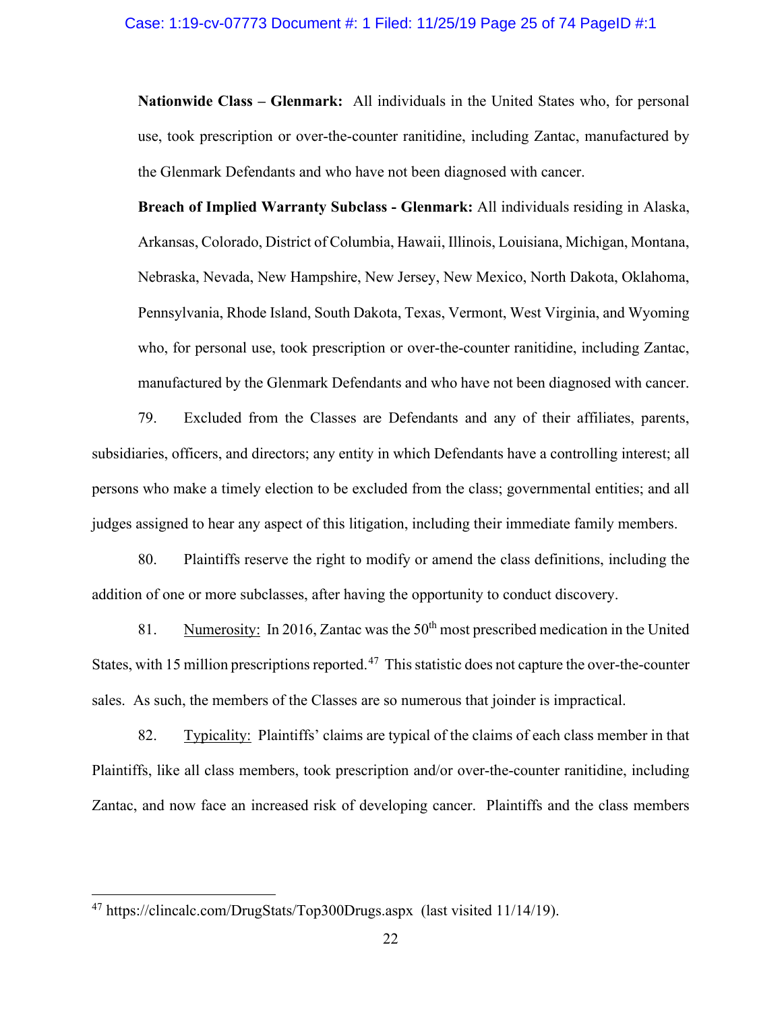**Nationwide Class – Glenmark:** All individuals in the United States who, for personal use, took prescription or over-the-counter ranitidine, including Zantac, manufactured by the Glenmark Defendants and who have not been diagnosed with cancer.

**Breach of Implied Warranty Subclass - Glenmark:** All individuals residing in Alaska, Arkansas, Colorado, District of Columbia, Hawaii, Illinois, Louisiana, Michigan, Montana, Nebraska, Nevada, New Hampshire, New Jersey, New Mexico, North Dakota, Oklahoma, Pennsylvania, Rhode Island, South Dakota, Texas, Vermont, West Virginia, and Wyoming who, for personal use, took prescription or over-the-counter ranitidine, including Zantac, manufactured by the Glenmark Defendants and who have not been diagnosed with cancer.

79. Excluded from the Classes are Defendants and any of their affiliates, parents, subsidiaries, officers, and directors; any entity in which Defendants have a controlling interest; all persons who make a timely election to be excluded from the class; governmental entities; and all judges assigned to hear any aspect of this litigation, including their immediate family members.

80. Plaintiffs reserve the right to modify or amend the class definitions, including the addition of one or more subclasses, after having the opportunity to conduct discovery.

81. Numerosity: In 2016, Zantac was the 50<sup>th</sup> most prescribed medication in the United States, with 15 million prescriptions reported.<sup>47</sup> This statistic does not capture the over-the-counter sales. As such, the members of the Classes are so numerous that joinder is impractical.

82. Typicality: Plaintiffs' claims are typical of the claims of each class member in that Plaintiffs, like all class members, took prescription and/or over-the-counter ranitidine, including Zantac, and now face an increased risk of developing cancer. Plaintiffs and the class members

<span id="page-24-0"></span><sup>47</sup> https://clincalc.com/DrugStats/Top300Drugs.aspx (last visited 11/14/19).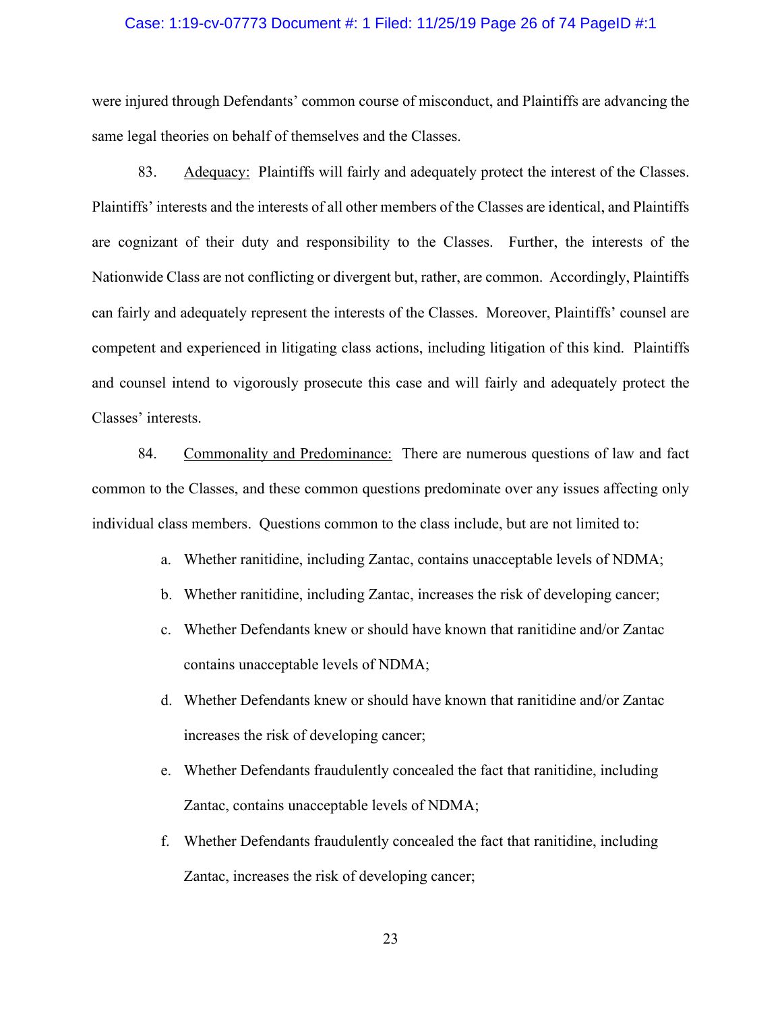#### Case: 1:19-cv-07773 Document #: 1 Filed: 11/25/19 Page 26 of 74 PageID #:1

were injured through Defendants' common course of misconduct, and Plaintiffs are advancing the same legal theories on behalf of themselves and the Classes.

83. Adequacy: Plaintiffs will fairly and adequately protect the interest of the Classes. Plaintiffs' interests and the interests of all other members of the Classes are identical, and Plaintiffs are cognizant of their duty and responsibility to the Classes. Further, the interests of the Nationwide Class are not conflicting or divergent but, rather, are common. Accordingly, Plaintiffs can fairly and adequately represent the interests of the Classes. Moreover, Plaintiffs' counsel are competent and experienced in litigating class actions, including litigation of this kind. Plaintiffs and counsel intend to vigorously prosecute this case and will fairly and adequately protect the Classes' interests.

84. Commonality and Predominance: There are numerous questions of law and fact common to the Classes, and these common questions predominate over any issues affecting only individual class members. Questions common to the class include, but are not limited to:

- a. Whether ranitidine, including Zantac, contains unacceptable levels of NDMA;
- b. Whether ranitidine, including Zantac, increases the risk of developing cancer;
- c. Whether Defendants knew or should have known that ranitidine and/or Zantac contains unacceptable levels of NDMA;
- d. Whether Defendants knew or should have known that ranitidine and/or Zantac increases the risk of developing cancer;
- e. Whether Defendants fraudulently concealed the fact that ranitidine, including Zantac, contains unacceptable levels of NDMA;
- f. Whether Defendants fraudulently concealed the fact that ranitidine, including Zantac, increases the risk of developing cancer;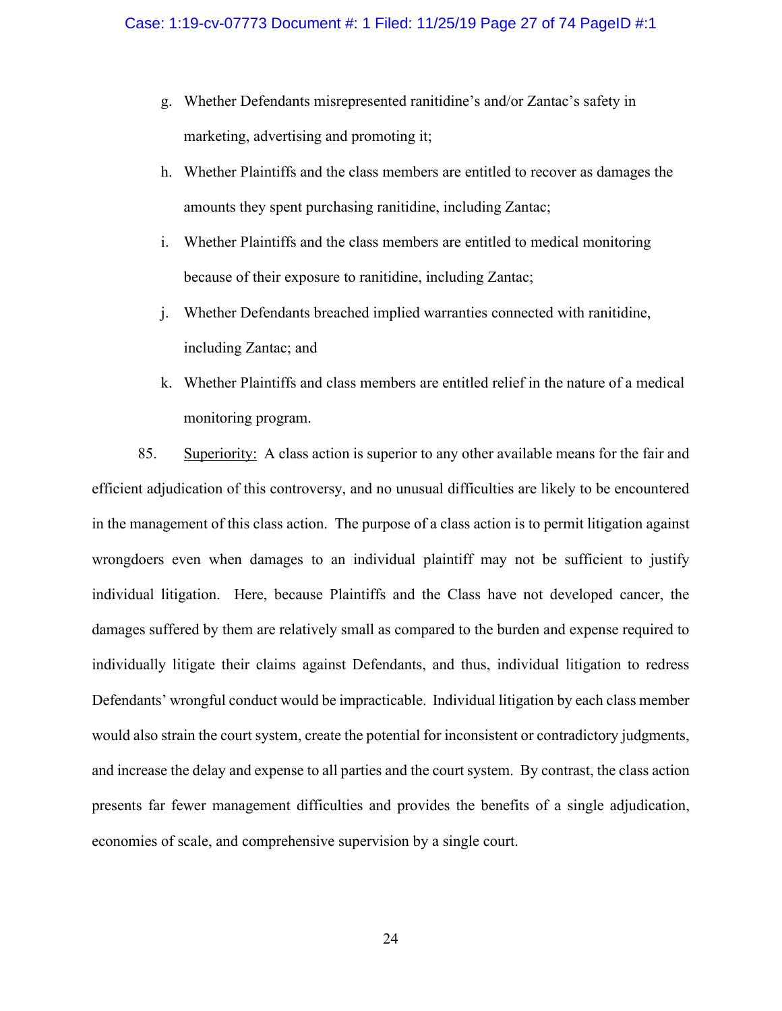- g. Whether Defendants misrepresented ranitidine's and/or Zantac's safety in marketing, advertising and promoting it;
- h. Whether Plaintiffs and the class members are entitled to recover as damages the amounts they spent purchasing ranitidine, including Zantac;
- i. Whether Plaintiffs and the class members are entitled to medical monitoring because of their exposure to ranitidine, including Zantac;
- j. Whether Defendants breached implied warranties connected with ranitidine, including Zantac; and
- k. Whether Plaintiffs and class members are entitled relief in the nature of a medical monitoring program.

85. Superiority: A class action is superior to any other available means for the fair and efficient adjudication of this controversy, and no unusual difficulties are likely to be encountered in the management of this class action. The purpose of a class action is to permit litigation against wrongdoers even when damages to an individual plaintiff may not be sufficient to justify individual litigation. Here, because Plaintiffs and the Class have not developed cancer, the damages suffered by them are relatively small as compared to the burden and expense required to individually litigate their claims against Defendants, and thus, individual litigation to redress Defendants' wrongful conduct would be impracticable. Individual litigation by each class member would also strain the court system, create the potential for inconsistent or contradictory judgments, and increase the delay and expense to all parties and the court system. By contrast, the class action presents far fewer management difficulties and provides the benefits of a single adjudication, economies of scale, and comprehensive supervision by a single court.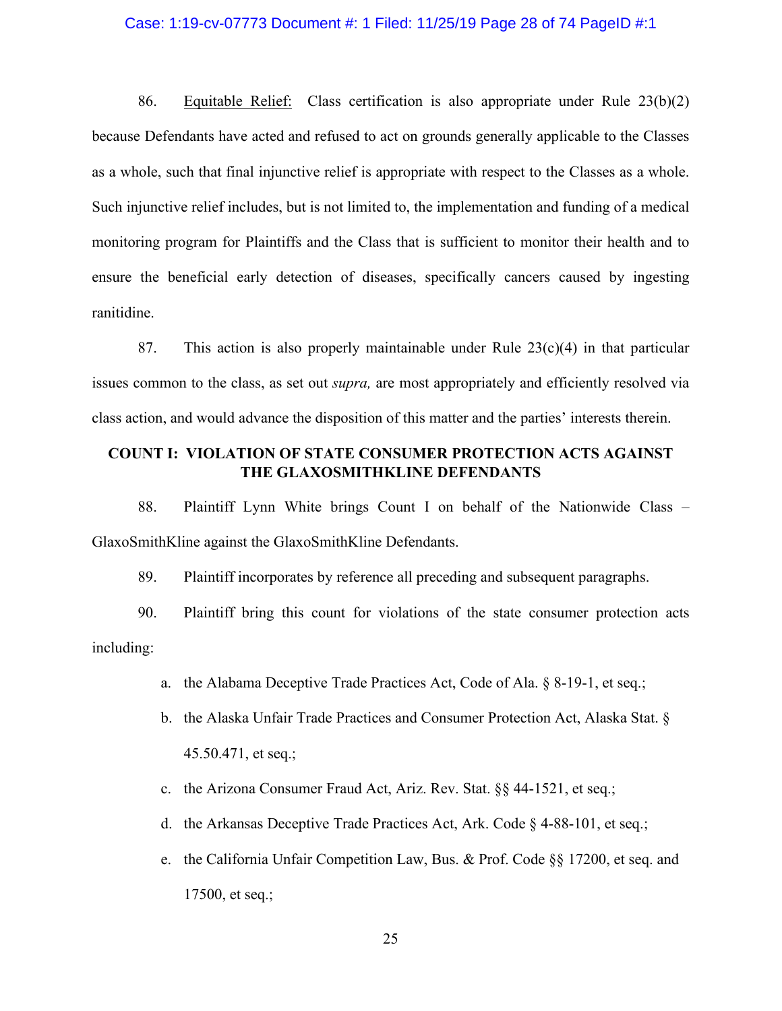#### Case: 1:19-cv-07773 Document #: 1 Filed: 11/25/19 Page 28 of 74 PageID #:1

86. Equitable Relief: Class certification is also appropriate under Rule 23(b)(2) because Defendants have acted and refused to act on grounds generally applicable to the Classes as a whole, such that final injunctive relief is appropriate with respect to the Classes as a whole. Such injunctive relief includes, but is not limited to, the implementation and funding of a medical monitoring program for Plaintiffs and the Class that is sufficient to monitor their health and to ensure the beneficial early detection of diseases, specifically cancers caused by ingesting ranitidine.

87. This action is also properly maintainable under Rule  $23(c)(4)$  in that particular issues common to the class, as set out *supra,* are most appropriately and efficiently resolved via class action, and would advance the disposition of this matter and the parties' interests therein.

## <span id="page-27-0"></span>**COUNT I: VIOLATION OF STATE CONSUMER PROTECTION ACTS AGAINST THE GLAXOSMITHKLINE DEFENDANTS**

88. Plaintiff Lynn White brings Count I on behalf of the Nationwide Class – GlaxoSmithKline against the GlaxoSmithKline Defendants.

89. Plaintiff incorporates by reference all preceding and subsequent paragraphs.

90. Plaintiff bring this count for violations of the state consumer protection acts including:

- a. the Alabama Deceptive Trade Practices Act, Code of Ala. § 8-19-1, et seq.;
- b. the Alaska Unfair Trade Practices and Consumer Protection Act, Alaska Stat. § 45.50.471, et seq.;
- c. the Arizona Consumer Fraud Act, Ariz. Rev. Stat. §§ 44-1521, et seq.;
- d. the Arkansas Deceptive Trade Practices Act, Ark. Code § 4-88-101, et seq.;
- e. the California Unfair Competition Law, Bus. & Prof. Code §§ 17200, et seq. and 17500, et seq.;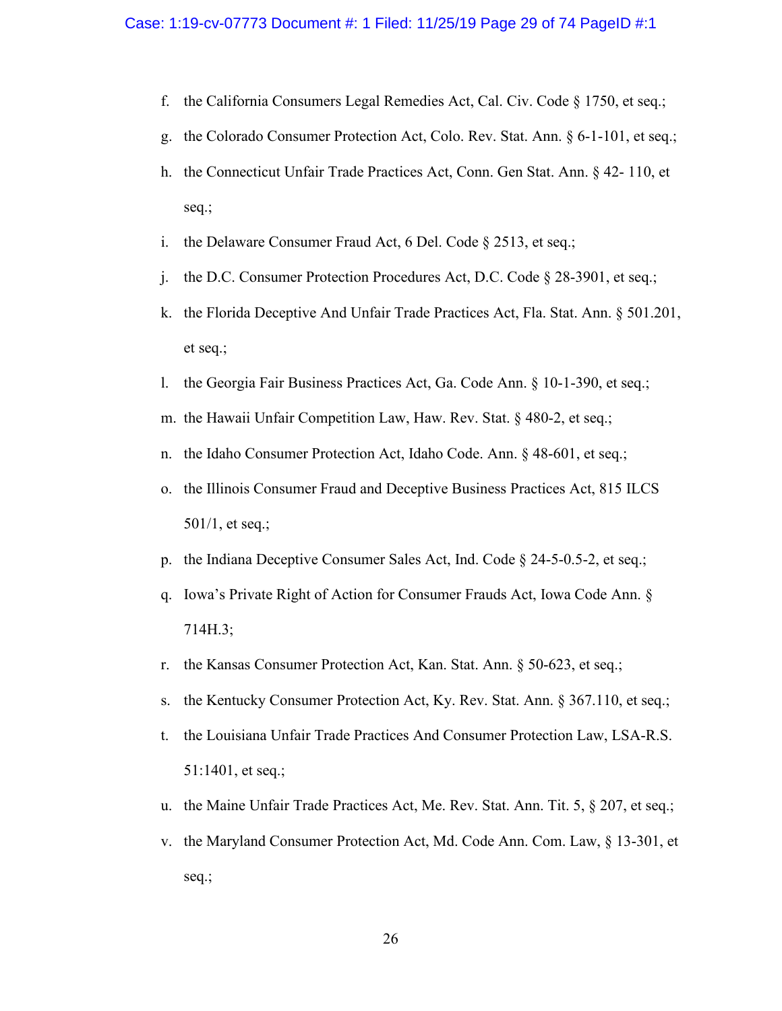- f. the California Consumers Legal Remedies Act, Cal. Civ. Code § 1750, et seq.;
- g. the Colorado Consumer Protection Act, Colo. Rev. Stat. Ann. § 6-1-101, et seq.;
- h. the Connecticut Unfair Trade Practices Act, Conn. Gen Stat. Ann. § 42- 110, et seq.;
- i. the Delaware Consumer Fraud Act, 6 Del. Code § 2513, et seq.;
- j. the D.C. Consumer Protection Procedures Act, D.C. Code § 28-3901, et seq.;
- k. the Florida Deceptive And Unfair Trade Practices Act, Fla. Stat. Ann. § 501.201, et seq.;
- l. the Georgia Fair Business Practices Act, Ga. Code Ann. § 10-1-390, et seq.;
- m. the Hawaii Unfair Competition Law, Haw. Rev. Stat. § 480-2, et seq.;
- n. the Idaho Consumer Protection Act, Idaho Code. Ann. § 48-601, et seq.;
- o. the Illinois Consumer Fraud and Deceptive Business Practices Act, 815 ILCS 501/1, et seq.;
- p. the Indiana Deceptive Consumer Sales Act, Ind. Code § 24-5-0.5-2, et seq.;
- q. Iowa's Private Right of Action for Consumer Frauds Act, Iowa Code Ann. § 714H.3;
- r. the Kansas Consumer Protection Act, Kan. Stat. Ann. § 50-623, et seq.;
- s. the Kentucky Consumer Protection Act, Ky. Rev. Stat. Ann. § 367.110, et seq.;
- t. the Louisiana Unfair Trade Practices And Consumer Protection Law, LSA-R.S. 51:1401, et seq.;
- u. the Maine Unfair Trade Practices Act, Me. Rev. Stat. Ann. Tit. 5, § 207, et seq.;
- v. the Maryland Consumer Protection Act, Md. Code Ann. Com. Law, § 13-301, et seq.;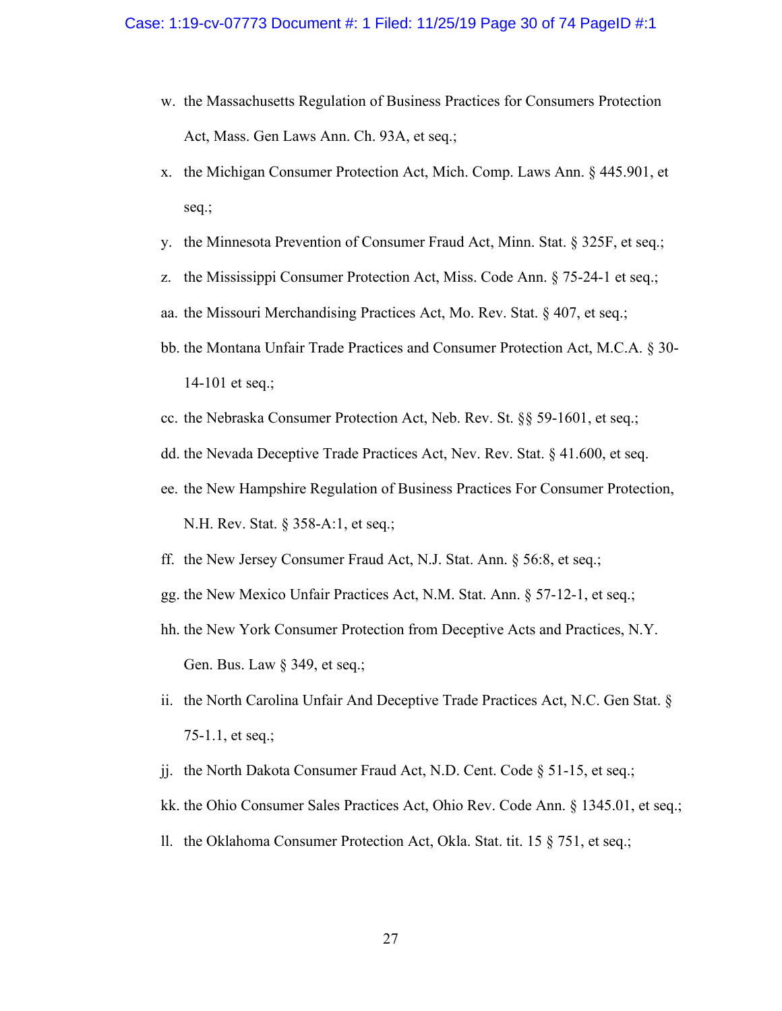- w. the Massachusetts Regulation of Business Practices for Consumers Protection Act, Mass. Gen Laws Ann. Ch. 93A, et seq.;
- x. the Michigan Consumer Protection Act, Mich. Comp. Laws Ann. § 445.901, et seq.;
- y. the Minnesota Prevention of Consumer Fraud Act, Minn. Stat. § 325F, et seq.;
- z. the Mississippi Consumer Protection Act, Miss. Code Ann. § 75-24-1 et seq.;
- aa. the Missouri Merchandising Practices Act, Mo. Rev. Stat. § 407, et seq.;
- bb. the Montana Unfair Trade Practices and Consumer Protection Act, M.C.A. § 30- 14-101 et seq.;
- cc. the Nebraska Consumer Protection Act, Neb. Rev. St. §§ 59-1601, et seq.;
- dd. the Nevada Deceptive Trade Practices Act, Nev. Rev. Stat. § 41.600, et seq.
- ee. the New Hampshire Regulation of Business Practices For Consumer Protection, N.H. Rev. Stat. § 358-A:1, et seq.;
- ff. the New Jersey Consumer Fraud Act, N.J. Stat. Ann. § 56:8, et seq.;
- gg. the New Mexico Unfair Practices Act, N.M. Stat. Ann. § 57-12-1, et seq.;
- hh. the New York Consumer Protection from Deceptive Acts and Practices, N.Y. Gen. Bus. Law § 349, et seq.;
- ii. the North Carolina Unfair And Deceptive Trade Practices Act, N.C. Gen Stat. § 75-1.1, et seq.;
- jj. the North Dakota Consumer Fraud Act, N.D. Cent. Code § 51-15, et seq.;
- kk. the Ohio Consumer Sales Practices Act, Ohio Rev. Code Ann. § 1345.01, et seq.;
- ll. the Oklahoma Consumer Protection Act, Okla. Stat. tit. 15 § 751, et seq.;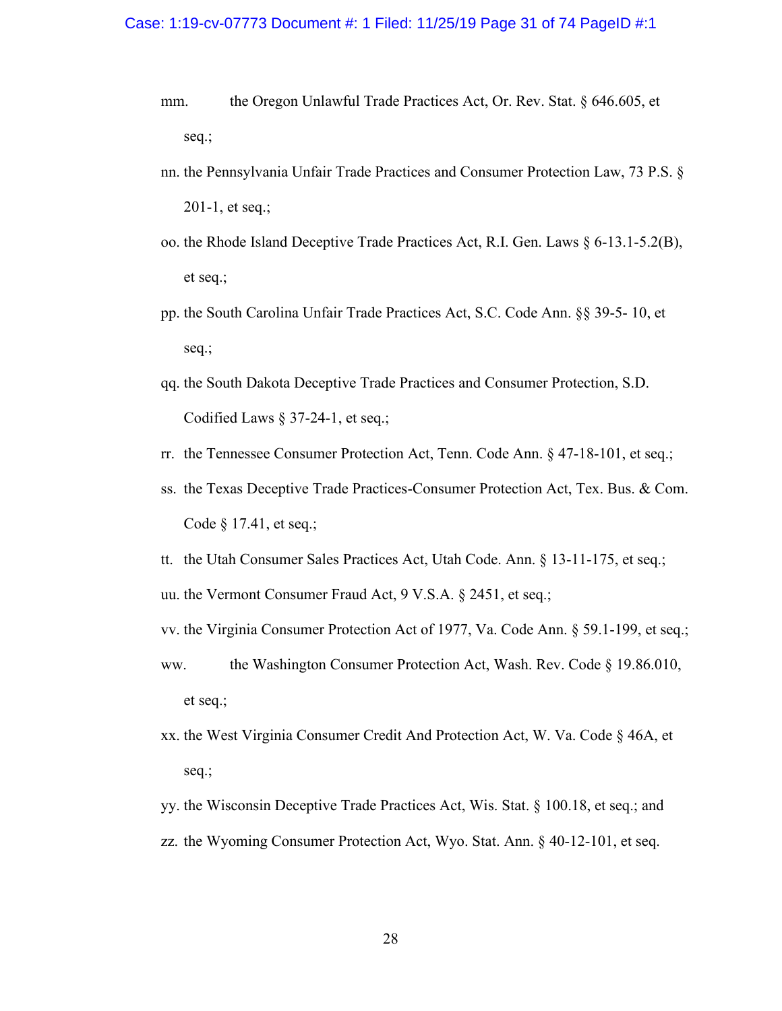- mm. the Oregon Unlawful Trade Practices Act, Or. Rev. Stat. § 646.605, et seq.;
- nn. the Pennsylvania Unfair Trade Practices and Consumer Protection Law, 73 P.S. § 201-1, et seq.;
- oo. the Rhode Island Deceptive Trade Practices Act, R.I. Gen. Laws § 6-13.1-5.2(B), et seq.;
- pp. the South Carolina Unfair Trade Practices Act, S.C. Code Ann. §§ 39-5- 10, et seq.;
- qq. the South Dakota Deceptive Trade Practices and Consumer Protection, S.D. Codified Laws § 37-24-1, et seq.;
- rr. the Tennessee Consumer Protection Act, Tenn. Code Ann. § 47-18-101, et seq.;
- ss. the Texas Deceptive Trade Practices-Consumer Protection Act, Tex. Bus. & Com. Code § 17.41, et seq.;
- tt. the Utah Consumer Sales Practices Act, Utah Code. Ann. § 13-11-175, et seq.; uu. the Vermont Consumer Fraud Act, 9 V.S.A. § 2451, et seq.;
- vv. the Virginia Consumer Protection Act of 1977, Va. Code Ann. § 59.1-199, et seq.;
- ww. the Washington Consumer Protection Act, Wash. Rev. Code § 19.86.010, et seq.;
- xx. the West Virginia Consumer Credit And Protection Act, W. Va. Code § 46A, et seq.;
- yy. the Wisconsin Deceptive Trade Practices Act, Wis. Stat. § 100.18, et seq.; and
- zz. the Wyoming Consumer Protection Act, Wyo. Stat. Ann. § 40-12-101, et seq.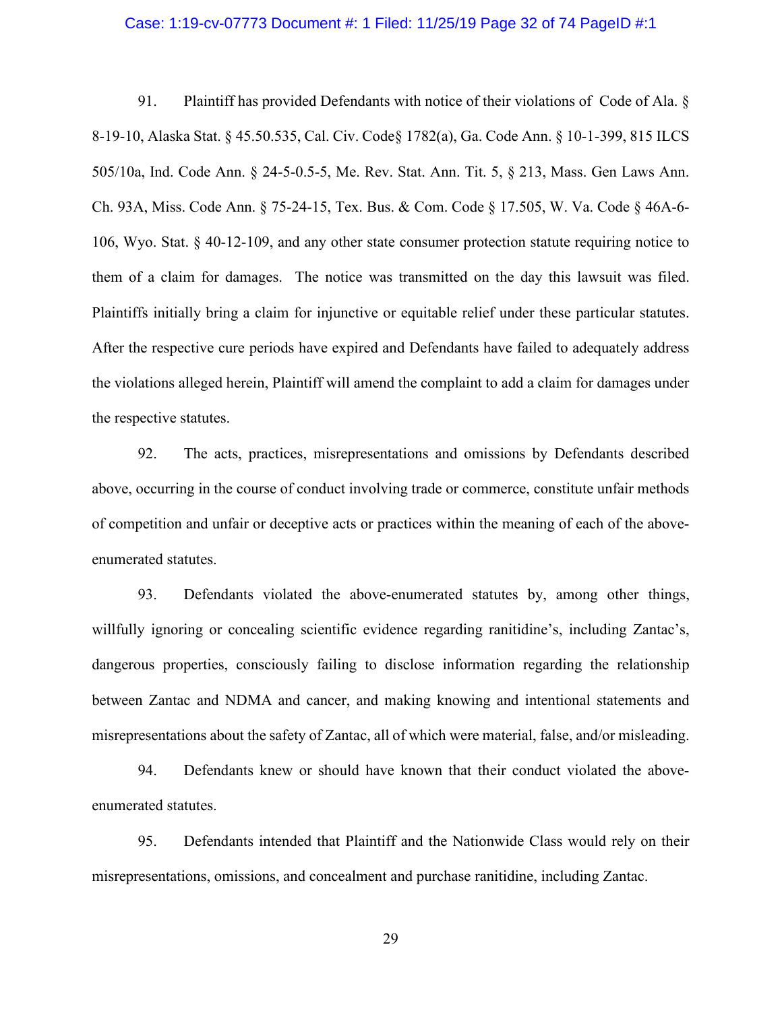#### Case: 1:19-cv-07773 Document #: 1 Filed: 11/25/19 Page 32 of 74 PageID #:1

91. Plaintiff has provided Defendants with notice of their violations of Code of Ala. § 8-19-10, Alaska Stat. § 45.50.535, Cal. Civ. Code§ 1782(a), Ga. Code Ann. § 10-1-399, 815 ILCS 505/10a, Ind. Code Ann. § 24-5-0.5-5, Me. Rev. Stat. Ann. Tit. 5, § 213, Mass. Gen Laws Ann. Ch. 93A, Miss. Code Ann. § 75-24-15, Tex. Bus. & Com. Code § 17.505, W. Va. Code § 46A-6- 106, Wyo. Stat. § 40-12-109, and any other state consumer protection statute requiring notice to them of a claim for damages. The notice was transmitted on the day this lawsuit was filed. Plaintiffs initially bring a claim for injunctive or equitable relief under these particular statutes. After the respective cure periods have expired and Defendants have failed to adequately address the violations alleged herein, Plaintiff will amend the complaint to add a claim for damages under the respective statutes.

92. The acts, practices, misrepresentations and omissions by Defendants described above, occurring in the course of conduct involving trade or commerce, constitute unfair methods of competition and unfair or deceptive acts or practices within the meaning of each of the aboveenumerated statutes.

93. Defendants violated the above-enumerated statutes by, among other things, willfully ignoring or concealing scientific evidence regarding ranitidine's, including Zantac's, dangerous properties, consciously failing to disclose information regarding the relationship between Zantac and NDMA and cancer, and making knowing and intentional statements and misrepresentations about the safety of Zantac, all of which were material, false, and/or misleading.

94. Defendants knew or should have known that their conduct violated the aboveenumerated statutes.

95. Defendants intended that Plaintiff and the Nationwide Class would rely on their misrepresentations, omissions, and concealment and purchase ranitidine, including Zantac.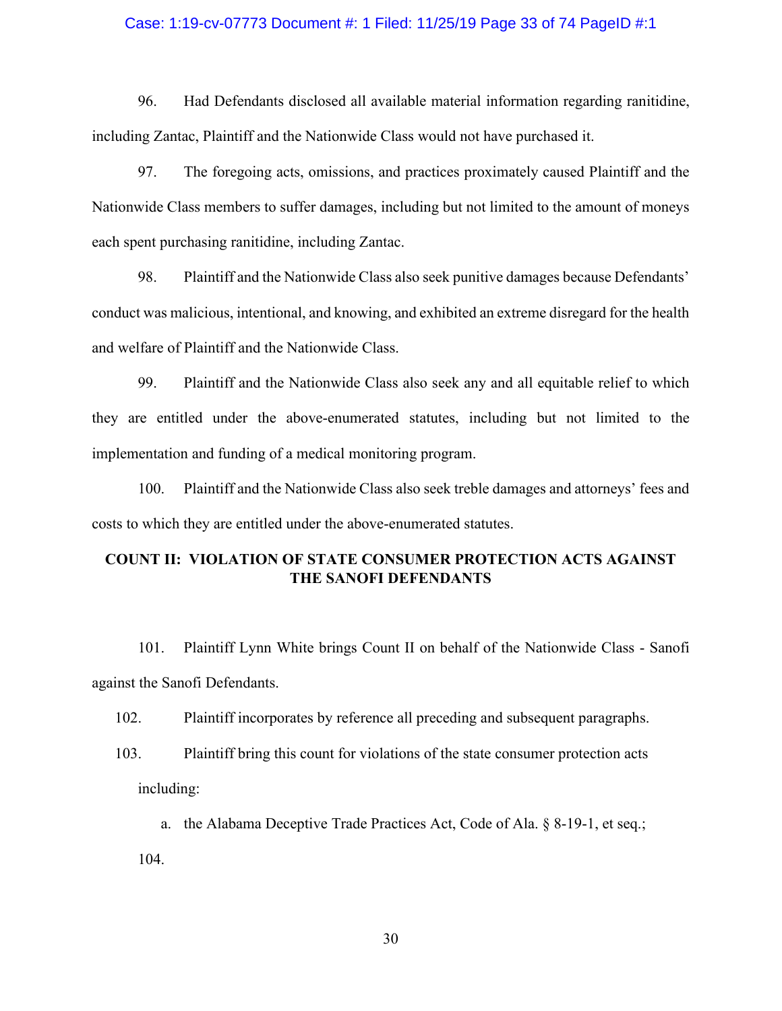#### Case: 1:19-cv-07773 Document #: 1 Filed: 11/25/19 Page 33 of 74 PageID #:1

96. Had Defendants disclosed all available material information regarding ranitidine, including Zantac, Plaintiff and the Nationwide Class would not have purchased it.

97. The foregoing acts, omissions, and practices proximately caused Plaintiff and the Nationwide Class members to suffer damages, including but not limited to the amount of moneys each spent purchasing ranitidine, including Zantac.

98. Plaintiff and the Nationwide Class also seek punitive damages because Defendants' conduct was malicious, intentional, and knowing, and exhibited an extreme disregard for the health and welfare of Plaintiff and the Nationwide Class.

99. Plaintiff and the Nationwide Class also seek any and all equitable relief to which they are entitled under the above-enumerated statutes, including but not limited to the implementation and funding of a medical monitoring program.

100. Plaintiff and the Nationwide Class also seek treble damages and attorneys' fees and costs to which they are entitled under the above-enumerated statutes.

## <span id="page-32-0"></span>**COUNT II: VIOLATION OF STATE CONSUMER PROTECTION ACTS AGAINST THE SANOFI DEFENDANTS**

101. Plaintiff Lynn White brings Count II on behalf of the Nationwide Class - Sanofi against the Sanofi Defendants.

102. Plaintiff incorporates by reference all preceding and subsequent paragraphs.

103. Plaintiff bring this count for violations of the state consumer protection acts including:

a. the Alabama Deceptive Trade Practices Act, Code of Ala. § 8-19-1, et seq.; 104.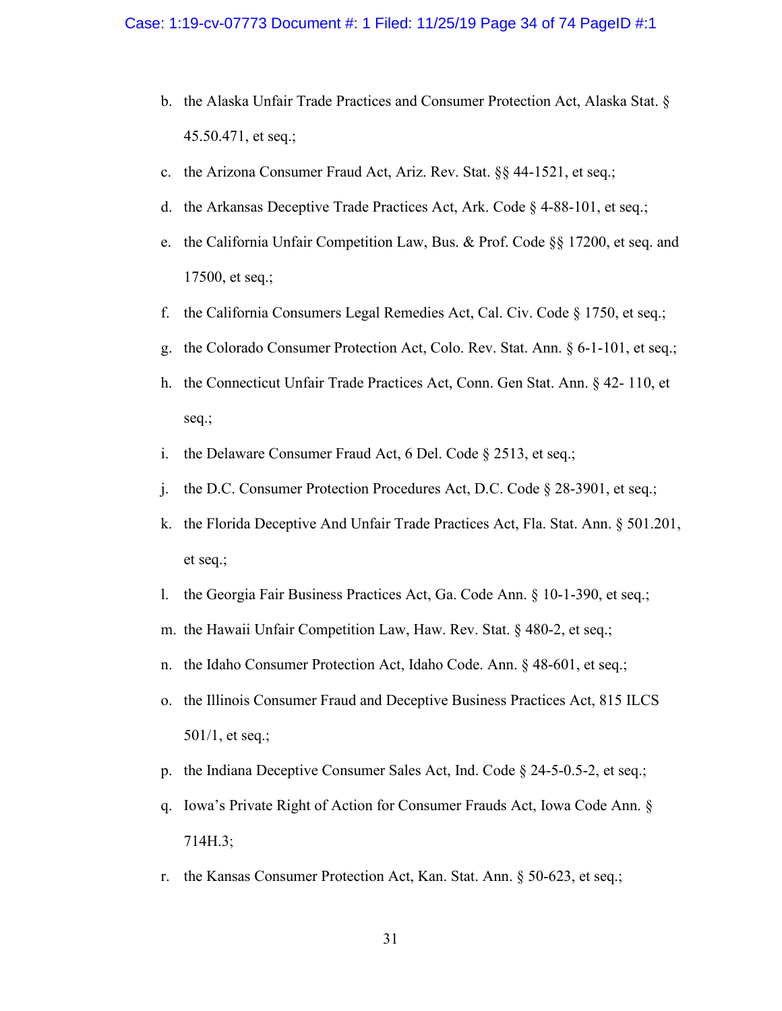- b. the Alaska Unfair Trade Practices and Consumer Protection Act, Alaska Stat. § 45.50.471, et seq.;
- c. the Arizona Consumer Fraud Act, Ariz. Rev. Stat. §§ 44-1521, et seq.;
- d. the Arkansas Deceptive Trade Practices Act, Ark. Code § 4-88-101, et seq.;
- e. the California Unfair Competition Law, Bus. & Prof. Code §§ 17200, et seq. and 17500, et seq.;
- f. the California Consumers Legal Remedies Act, Cal. Civ. Code § 1750, et seq.;
- g. the Colorado Consumer Protection Act, Colo. Rev. Stat. Ann. § 6-1-101, et seq.;
- h. the Connecticut Unfair Trade Practices Act, Conn. Gen Stat. Ann. § 42- 110, et seq.;
- i. the Delaware Consumer Fraud Act, 6 Del. Code § 2513, et seq.;
- j. the D.C. Consumer Protection Procedures Act, D.C. Code § 28-3901, et seq.;
- k. the Florida Deceptive And Unfair Trade Practices Act, Fla. Stat. Ann. § 501.201, et seq.;
- l. the Georgia Fair Business Practices Act, Ga. Code Ann. § 10-1-390, et seq.;
- m. the Hawaii Unfair Competition Law, Haw. Rev. Stat. § 480-2, et seq.;
- n. the Idaho Consumer Protection Act, Idaho Code. Ann. § 48-601, et seq.;
- o. the Illinois Consumer Fraud and Deceptive Business Practices Act, 815 ILCS 501/1, et seq.;
- p. the Indiana Deceptive Consumer Sales Act, Ind. Code § 24-5-0.5-2, et seq.;
- q. Iowa's Private Right of Action for Consumer Frauds Act, Iowa Code Ann. § 714H.3;
- r. the Kansas Consumer Protection Act, Kan. Stat. Ann. § 50-623, et seq.;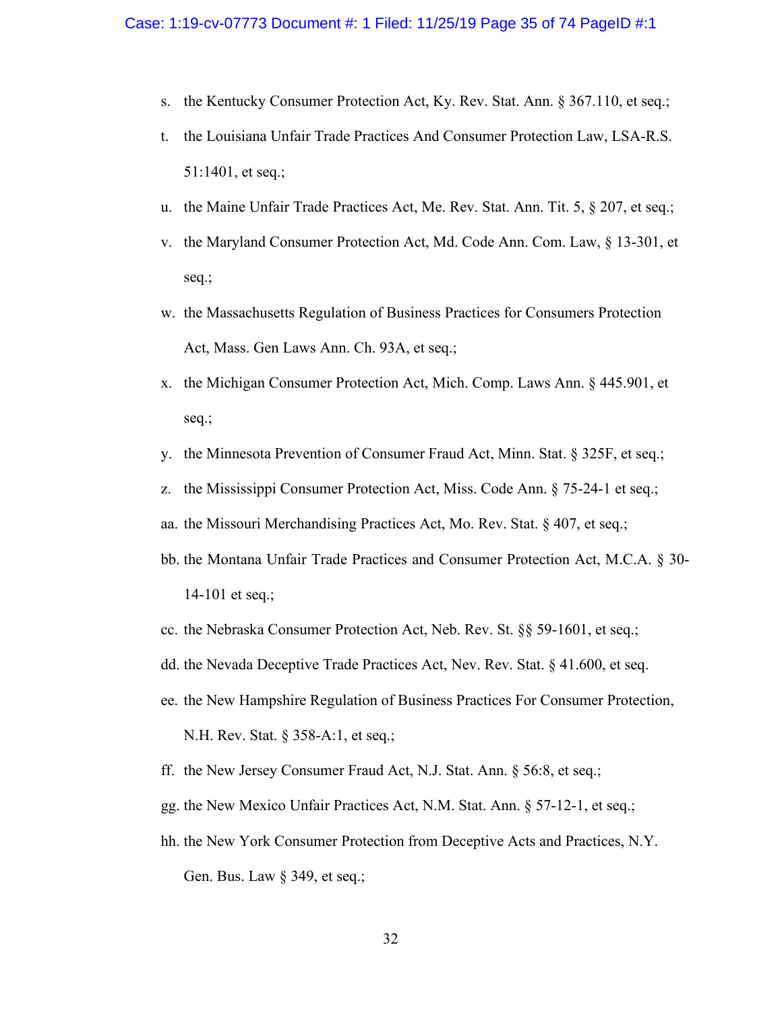- s. the Kentucky Consumer Protection Act, Ky. Rev. Stat. Ann. § 367.110, et seq.;
- t. the Louisiana Unfair Trade Practices And Consumer Protection Law, LSA-R.S. 51:1401, et seq.;
- u. the Maine Unfair Trade Practices Act, Me. Rev. Stat. Ann. Tit. 5, § 207, et seq.;
- v. the Maryland Consumer Protection Act, Md. Code Ann. Com. Law, § 13-301, et seq.;
- w. the Massachusetts Regulation of Business Practices for Consumers Protection Act, Mass. Gen Laws Ann. Ch. 93A, et seq.;
- x. the Michigan Consumer Protection Act, Mich. Comp. Laws Ann. § 445.901, et seq.;
- y. the Minnesota Prevention of Consumer Fraud Act, Minn. Stat. § 325F, et seq.;
- z. the Mississippi Consumer Protection Act, Miss. Code Ann. § 75-24-1 et seq.;
- aa. the Missouri Merchandising Practices Act, Mo. Rev. Stat. § 407, et seq.;
- bb. the Montana Unfair Trade Practices and Consumer Protection Act, M.C.A. § 30- 14-101 et seq.;
- cc. the Nebraska Consumer Protection Act, Neb. Rev. St. §§ 59-1601, et seq.;
- dd. the Nevada Deceptive Trade Practices Act, Nev. Rev. Stat. § 41.600, et seq.
- ee. the New Hampshire Regulation of Business Practices For Consumer Protection,

N.H. Rev. Stat. § 358-A:1, et seq.;

- ff. the New Jersey Consumer Fraud Act, N.J. Stat. Ann. § 56:8, et seq.;
- gg. the New Mexico Unfair Practices Act, N.M. Stat. Ann. § 57-12-1, et seq.;
- hh. the New York Consumer Protection from Deceptive Acts and Practices, N.Y. Gen. Bus. Law § 349, et seq.;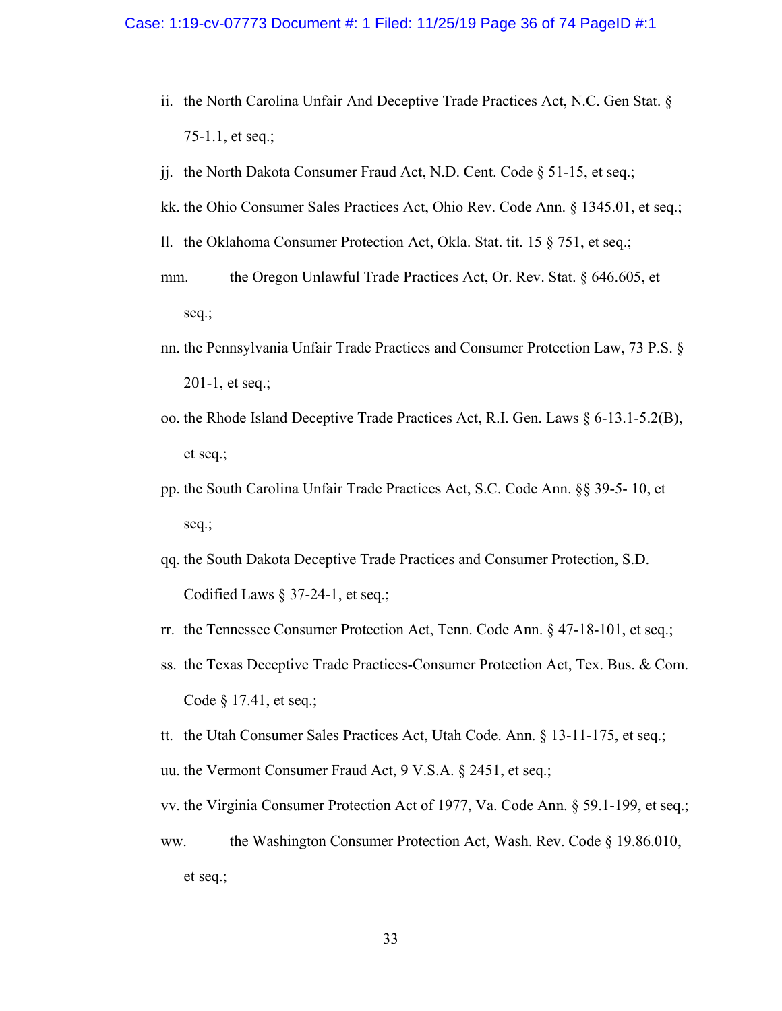- ii. the North Carolina Unfair And Deceptive Trade Practices Act, N.C. Gen Stat. § 75-1.1, et seq.;
- jj. the North Dakota Consumer Fraud Act, N.D. Cent. Code § 51-15, et seq.;
- kk. the Ohio Consumer Sales Practices Act, Ohio Rev. Code Ann. § 1345.01, et seq.;
- ll. the Oklahoma Consumer Protection Act, Okla. Stat. tit. 15 § 751, et seq.;
- mm. the Oregon Unlawful Trade Practices Act, Or. Rev. Stat. § 646.605, et seq.;
- nn. the Pennsylvania Unfair Trade Practices and Consumer Protection Law, 73 P.S. § 201-1, et seq.;
- oo. the Rhode Island Deceptive Trade Practices Act, R.I. Gen. Laws § 6-13.1-5.2(B), et seq.;
- pp. the South Carolina Unfair Trade Practices Act, S.C. Code Ann. §§ 39-5- 10, et seq.;
- qq. the South Dakota Deceptive Trade Practices and Consumer Protection, S.D. Codified Laws § 37-24-1, et seq.;
- rr. the Tennessee Consumer Protection Act, Tenn. Code Ann. § 47-18-101, et seq.;
- ss. the Texas Deceptive Trade Practices-Consumer Protection Act, Tex. Bus. & Com. Code § 17.41, et seq.;
- tt. the Utah Consumer Sales Practices Act, Utah Code. Ann. § 13-11-175, et seq.;

uu. the Vermont Consumer Fraud Act, 9 V.S.A. § 2451, et seq.;

vv. the Virginia Consumer Protection Act of 1977, Va. Code Ann. § 59.1-199, et seq.;

ww. the Washington Consumer Protection Act, Wash. Rev. Code § 19.86.010, et seq.;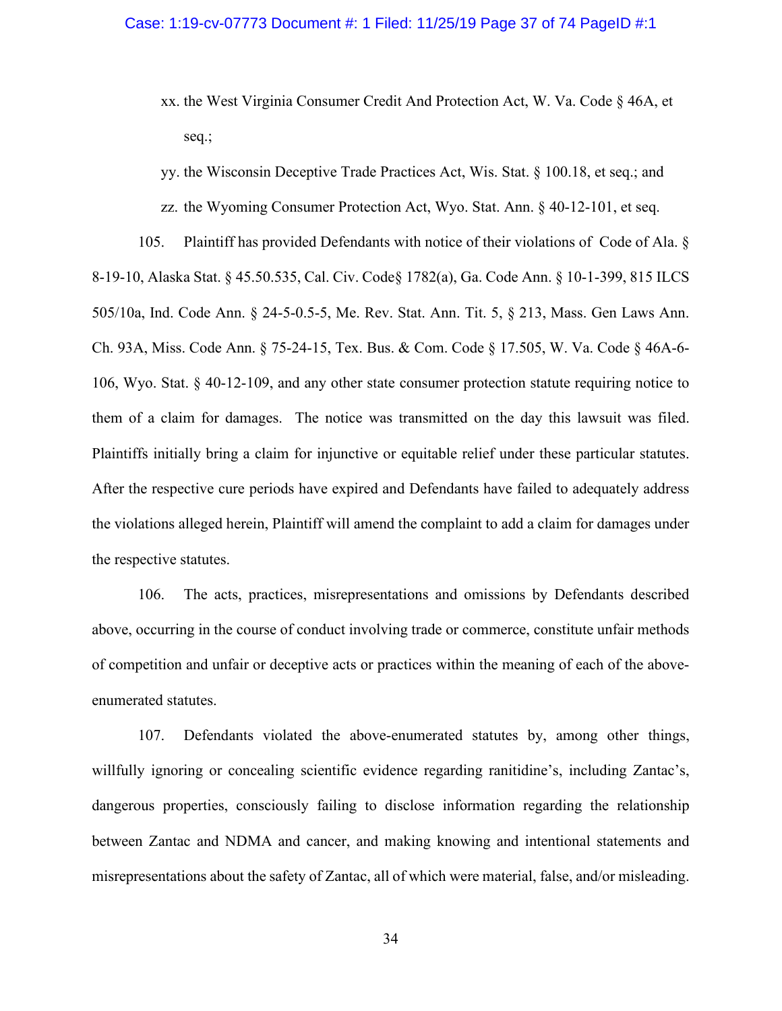- xx. the West Virginia Consumer Credit And Protection Act, W. Va. Code § 46A, et seq.;
- yy. the Wisconsin Deceptive Trade Practices Act, Wis. Stat. § 100.18, et seq.; and
- zz. the Wyoming Consumer Protection Act, Wyo. Stat. Ann. § 40-12-101, et seq.

105. Plaintiff has provided Defendants with notice of their violations of Code of Ala. § 8-19-10, Alaska Stat. § 45.50.535, Cal. Civ. Code§ 1782(a), Ga. Code Ann. § 10-1-399, 815 ILCS 505/10a, Ind. Code Ann. § 24-5-0.5-5, Me. Rev. Stat. Ann. Tit. 5, § 213, Mass. Gen Laws Ann. Ch. 93A, Miss. Code Ann. § 75-24-15, Tex. Bus. & Com. Code § 17.505, W. Va. Code § 46A-6- 106, Wyo. Stat. § 40-12-109, and any other state consumer protection statute requiring notice to them of a claim for damages. The notice was transmitted on the day this lawsuit was filed. Plaintiffs initially bring a claim for injunctive or equitable relief under these particular statutes. After the respective cure periods have expired and Defendants have failed to adequately address the violations alleged herein, Plaintiff will amend the complaint to add a claim for damages under the respective statutes.

106. The acts, practices, misrepresentations and omissions by Defendants described above, occurring in the course of conduct involving trade or commerce, constitute unfair methods of competition and unfair or deceptive acts or practices within the meaning of each of the aboveenumerated statutes.

107. Defendants violated the above-enumerated statutes by, among other things, willfully ignoring or concealing scientific evidence regarding ranitidine's, including Zantac's, dangerous properties, consciously failing to disclose information regarding the relationship between Zantac and NDMA and cancer, and making knowing and intentional statements and misrepresentations about the safety of Zantac, all of which were material, false, and/or misleading.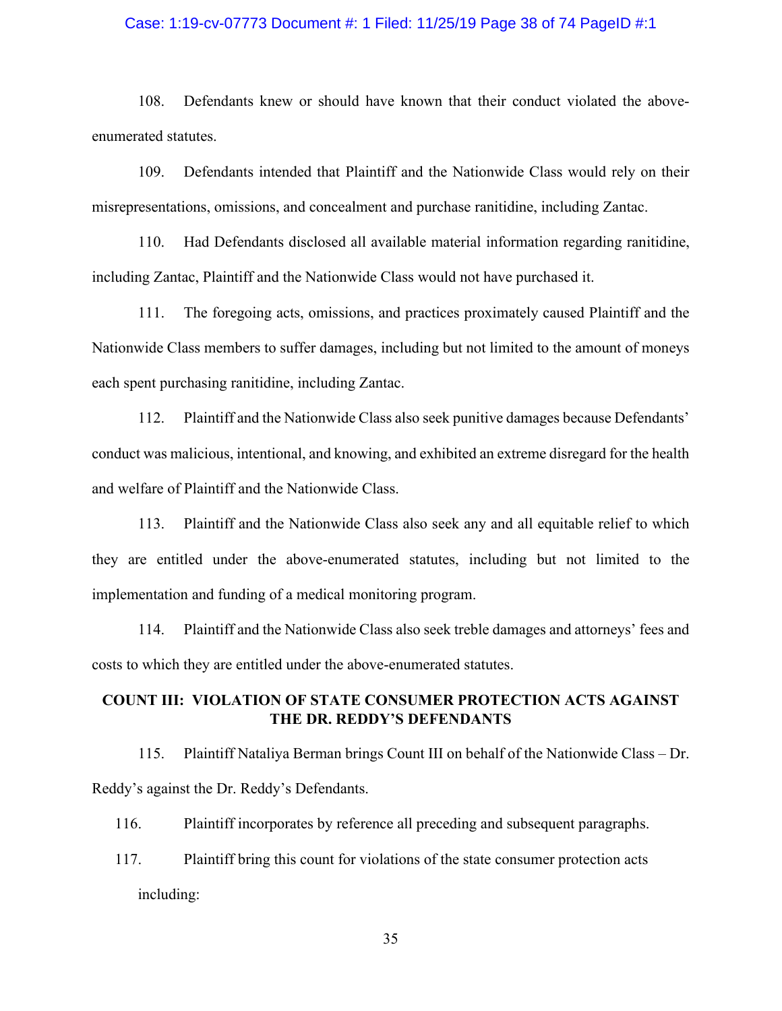### Case: 1:19-cv-07773 Document #: 1 Filed: 11/25/19 Page 38 of 74 PageID #:1

108. Defendants knew or should have known that their conduct violated the aboveenumerated statutes.

109. Defendants intended that Plaintiff and the Nationwide Class would rely on their misrepresentations, omissions, and concealment and purchase ranitidine, including Zantac.

110. Had Defendants disclosed all available material information regarding ranitidine, including Zantac, Plaintiff and the Nationwide Class would not have purchased it.

111. The foregoing acts, omissions, and practices proximately caused Plaintiff and the Nationwide Class members to suffer damages, including but not limited to the amount of moneys each spent purchasing ranitidine, including Zantac.

112. Plaintiff and the Nationwide Class also seek punitive damages because Defendants' conduct was malicious, intentional, and knowing, and exhibited an extreme disregard for the health and welfare of Plaintiff and the Nationwide Class.

113. Plaintiff and the Nationwide Class also seek any and all equitable relief to which they are entitled under the above-enumerated statutes, including but not limited to the implementation and funding of a medical monitoring program.

114. Plaintiff and the Nationwide Class also seek treble damages and attorneys' fees and costs to which they are entitled under the above-enumerated statutes.

## **COUNT III: VIOLATION OF STATE CONSUMER PROTECTION ACTS AGAINST THE DR. REDDY'S DEFENDANTS**

115. Plaintiff Nataliya Berman brings Count III on behalf of the Nationwide Class – Dr. Reddy's against the Dr. Reddy's Defendants.

116. Plaintiff incorporates by reference all preceding and subsequent paragraphs.

117. Plaintiff bring this count for violations of the state consumer protection acts including: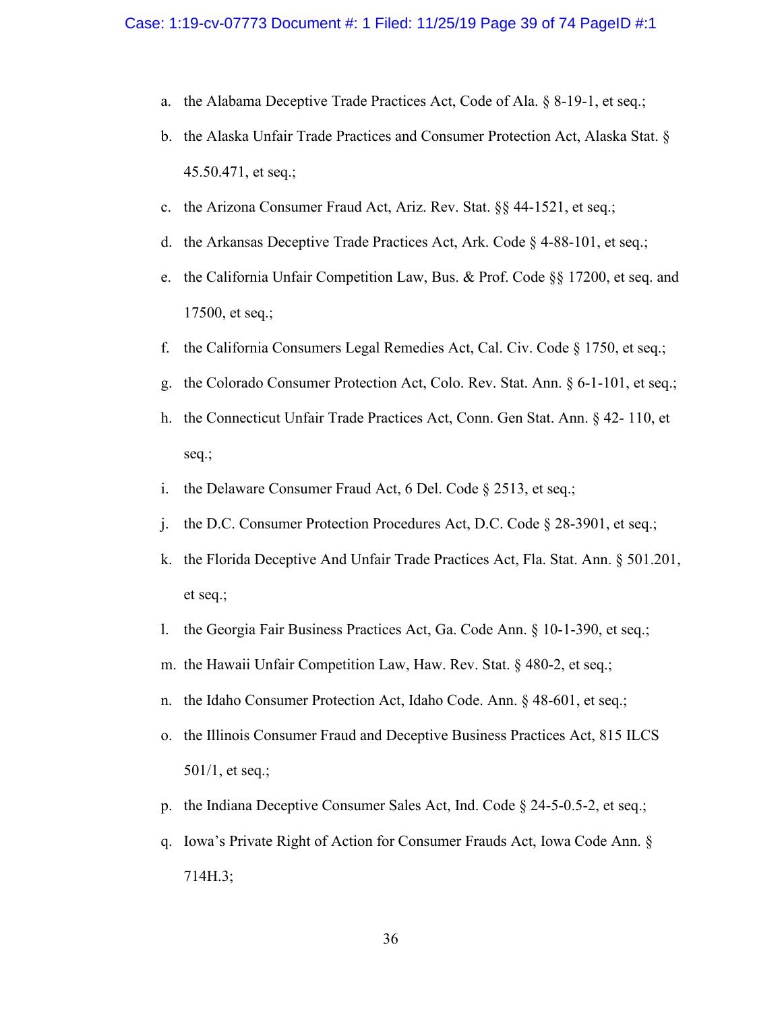- a. the Alabama Deceptive Trade Practices Act, Code of Ala. § 8-19-1, et seq.;
- b. the Alaska Unfair Trade Practices and Consumer Protection Act, Alaska Stat. § 45.50.471, et seq.;
- c. the Arizona Consumer Fraud Act, Ariz. Rev. Stat. §§ 44-1521, et seq.;
- d. the Arkansas Deceptive Trade Practices Act, Ark. Code § 4-88-101, et seq.;
- e. the California Unfair Competition Law, Bus. & Prof. Code §§ 17200, et seq. and 17500, et seq.;
- f. the California Consumers Legal Remedies Act, Cal. Civ. Code § 1750, et seq.;
- g. the Colorado Consumer Protection Act, Colo. Rev. Stat. Ann. § 6-1-101, et seq.;
- h. the Connecticut Unfair Trade Practices Act, Conn. Gen Stat. Ann. § 42- 110, et seq.;
- i. the Delaware Consumer Fraud Act, 6 Del. Code § 2513, et seq.;
- j. the D.C. Consumer Protection Procedures Act, D.C. Code § 28-3901, et seq.;
- k. the Florida Deceptive And Unfair Trade Practices Act, Fla. Stat. Ann. § 501.201, et seq.;
- l. the Georgia Fair Business Practices Act, Ga. Code Ann. § 10-1-390, et seq.;
- m. the Hawaii Unfair Competition Law, Haw. Rev. Stat. § 480-2, et seq.;
- n. the Idaho Consumer Protection Act, Idaho Code. Ann. § 48-601, et seq.;
- o. the Illinois Consumer Fraud and Deceptive Business Practices Act, 815 ILCS 501/1, et seq.;
- p. the Indiana Deceptive Consumer Sales Act, Ind. Code § 24-5-0.5-2, et seq.;
- q. Iowa's Private Right of Action for Consumer Frauds Act, Iowa Code Ann. § 714H.3;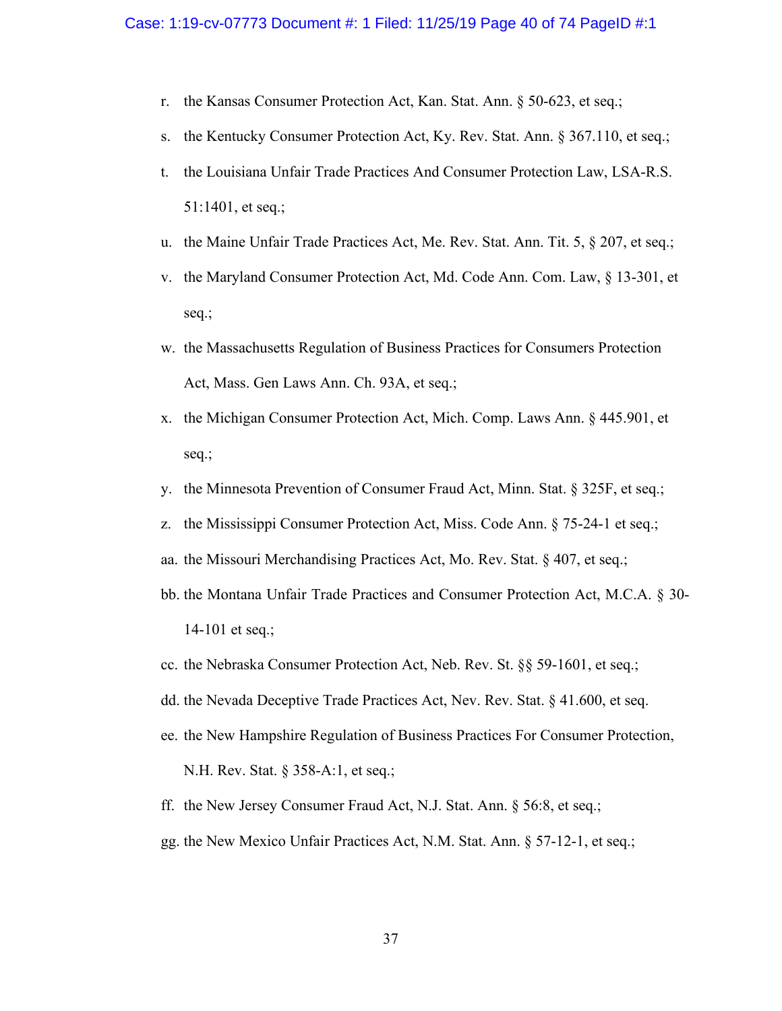- r. the Kansas Consumer Protection Act, Kan. Stat. Ann. § 50-623, et seq.;
- s. the Kentucky Consumer Protection Act, Ky. Rev. Stat. Ann. § 367.110, et seq.;
- t. the Louisiana Unfair Trade Practices And Consumer Protection Law, LSA-R.S. 51:1401, et seq.;
- u. the Maine Unfair Trade Practices Act, Me. Rev. Stat. Ann. Tit. 5, § 207, et seq.;
- v. the Maryland Consumer Protection Act, Md. Code Ann. Com. Law, § 13-301, et seq.;
- w. the Massachusetts Regulation of Business Practices for Consumers Protection Act, Mass. Gen Laws Ann. Ch. 93A, et seq.;
- x. the Michigan Consumer Protection Act, Mich. Comp. Laws Ann. § 445.901, et seq.;
- y. the Minnesota Prevention of Consumer Fraud Act, Minn. Stat. § 325F, et seq.;
- z. the Mississippi Consumer Protection Act, Miss. Code Ann. § 75-24-1 et seq.;
- aa. the Missouri Merchandising Practices Act, Mo. Rev. Stat. § 407, et seq.;
- bb. the Montana Unfair Trade Practices and Consumer Protection Act, M.C.A. § 30- 14-101 et seq.;
- cc. the Nebraska Consumer Protection Act, Neb. Rev. St. §§ 59-1601, et seq.;
- dd. the Nevada Deceptive Trade Practices Act, Nev. Rev. Stat. § 41.600, et seq.
- ee. the New Hampshire Regulation of Business Practices For Consumer Protection,

N.H. Rev. Stat. § 358-A:1, et seq.;

ff. the New Jersey Consumer Fraud Act, N.J. Stat. Ann. § 56:8, et seq.;

gg. the New Mexico Unfair Practices Act, N.M. Stat. Ann. § 57-12-1, et seq.;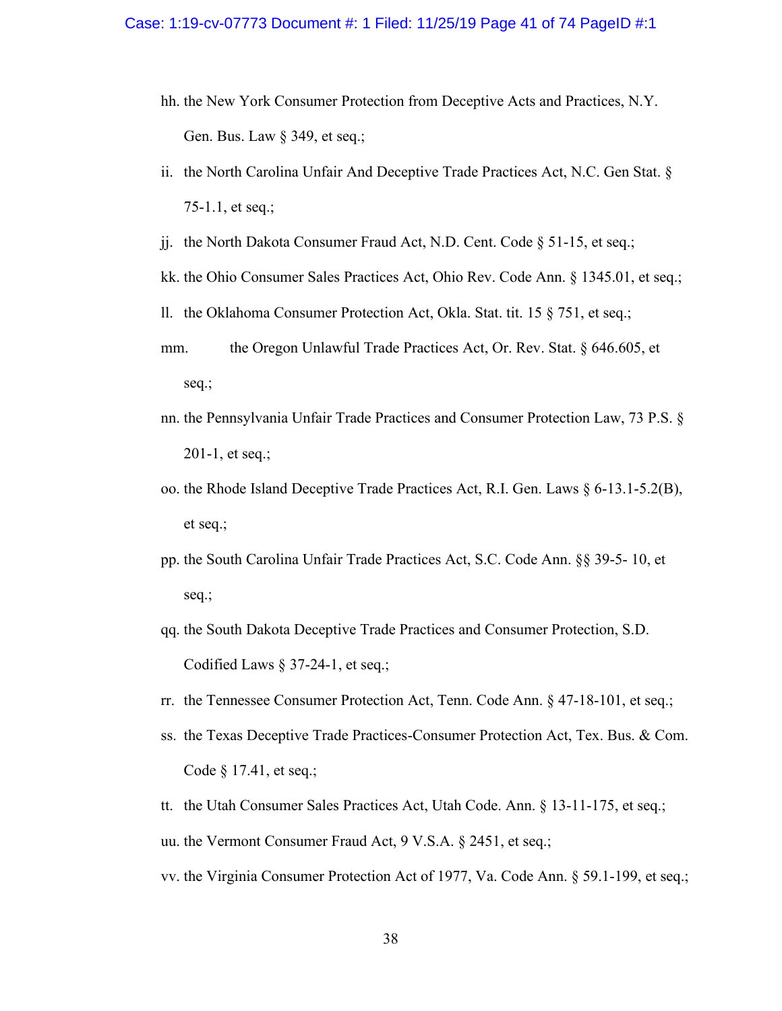- hh. the New York Consumer Protection from Deceptive Acts and Practices, N.Y. Gen. Bus. Law § 349, et seq.;
- ii. the North Carolina Unfair And Deceptive Trade Practices Act, N.C. Gen Stat. § 75-1.1, et seq.;
- jj. the North Dakota Consumer Fraud Act, N.D. Cent. Code § 51-15, et seq.;
- kk. the Ohio Consumer Sales Practices Act, Ohio Rev. Code Ann. § 1345.01, et seq.;
- ll. the Oklahoma Consumer Protection Act, Okla. Stat. tit. 15 § 751, et seq.;
- mm. the Oregon Unlawful Trade Practices Act, Or. Rev. Stat. § 646.605, et seq.;
- nn. the Pennsylvania Unfair Trade Practices and Consumer Protection Law, 73 P.S. § 201-1, et seq.;
- oo. the Rhode Island Deceptive Trade Practices Act, R.I. Gen. Laws § 6-13.1-5.2(B), et seq.;
- pp. the South Carolina Unfair Trade Practices Act, S.C. Code Ann. §§ 39-5- 10, et seq.;
- qq. the South Dakota Deceptive Trade Practices and Consumer Protection, S.D. Codified Laws § 37-24-1, et seq.;
- rr. the Tennessee Consumer Protection Act, Tenn. Code Ann. § 47-18-101, et seq.;
- ss. the Texas Deceptive Trade Practices-Consumer Protection Act, Tex. Bus. & Com. Code § 17.41, et seq.;
- tt. the Utah Consumer Sales Practices Act, Utah Code. Ann. § 13-11-175, et seq.;
- uu. the Vermont Consumer Fraud Act, 9 V.S.A. § 2451, et seq.;
- vv. the Virginia Consumer Protection Act of 1977, Va. Code Ann. § 59.1-199, et seq.;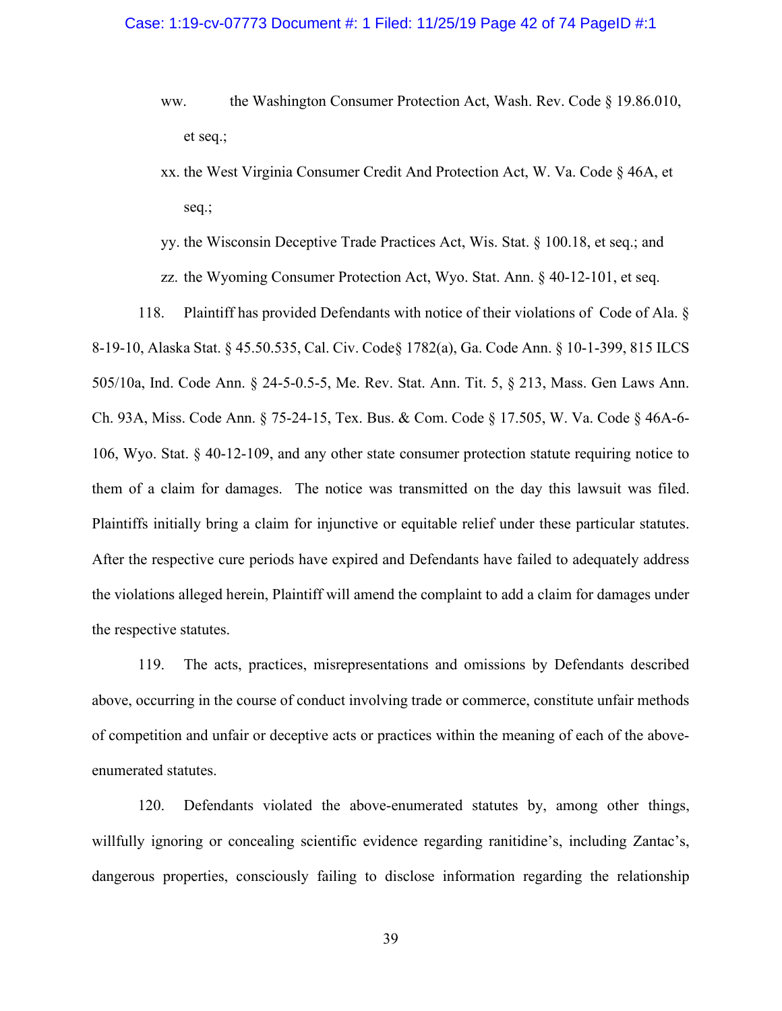- ww. the Washington Consumer Protection Act, Wash. Rev. Code § 19.86.010, et seq.;
- xx. the West Virginia Consumer Credit And Protection Act, W. Va. Code § 46A, et seq.;
- yy. the Wisconsin Deceptive Trade Practices Act, Wis. Stat. § 100.18, et seq.; and zz. the Wyoming Consumer Protection Act, Wyo. Stat. Ann. § 40-12-101, et seq.

118. Plaintiff has provided Defendants with notice of their violations of Code of Ala. § 8-19-10, Alaska Stat. § 45.50.535, Cal. Civ. Code§ 1782(a), Ga. Code Ann. § 10-1-399, 815 ILCS 505/10a, Ind. Code Ann. § 24-5-0.5-5, Me. Rev. Stat. Ann. Tit. 5, § 213, Mass. Gen Laws Ann. Ch. 93A, Miss. Code Ann. § 75-24-15, Tex. Bus. & Com. Code § 17.505, W. Va. Code § 46A-6- 106, Wyo. Stat. § 40-12-109, and any other state consumer protection statute requiring notice to them of a claim for damages. The notice was transmitted on the day this lawsuit was filed. Plaintiffs initially bring a claim for injunctive or equitable relief under these particular statutes. After the respective cure periods have expired and Defendants have failed to adequately address the violations alleged herein, Plaintiff will amend the complaint to add a claim for damages under the respective statutes.

119. The acts, practices, misrepresentations and omissions by Defendants described above, occurring in the course of conduct involving trade or commerce, constitute unfair methods of competition and unfair or deceptive acts or practices within the meaning of each of the aboveenumerated statutes.

120. Defendants violated the above-enumerated statutes by, among other things, willfully ignoring or concealing scientific evidence regarding ranitidine's, including Zantac's, dangerous properties, consciously failing to disclose information regarding the relationship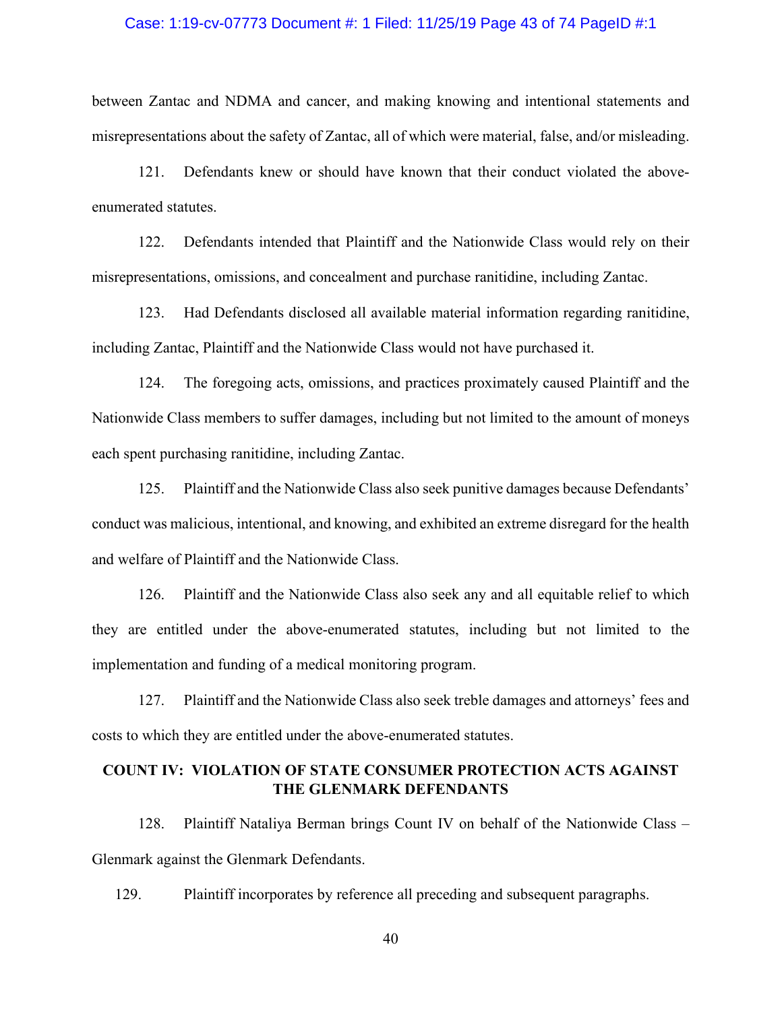### Case: 1:19-cv-07773 Document #: 1 Filed: 11/25/19 Page 43 of 74 PageID #:1

between Zantac and NDMA and cancer, and making knowing and intentional statements and misrepresentations about the safety of Zantac, all of which were material, false, and/or misleading.

121. Defendants knew or should have known that their conduct violated the aboveenumerated statutes.

122. Defendants intended that Plaintiff and the Nationwide Class would rely on their misrepresentations, omissions, and concealment and purchase ranitidine, including Zantac.

123. Had Defendants disclosed all available material information regarding ranitidine, including Zantac, Plaintiff and the Nationwide Class would not have purchased it.

124. The foregoing acts, omissions, and practices proximately caused Plaintiff and the Nationwide Class members to suffer damages, including but not limited to the amount of moneys each spent purchasing ranitidine, including Zantac.

125. Plaintiff and the Nationwide Class also seek punitive damages because Defendants' conduct was malicious, intentional, and knowing, and exhibited an extreme disregard for the health and welfare of Plaintiff and the Nationwide Class.

126. Plaintiff and the Nationwide Class also seek any and all equitable relief to which they are entitled under the above-enumerated statutes, including but not limited to the implementation and funding of a medical monitoring program.

127. Plaintiff and the Nationwide Class also seek treble damages and attorneys' fees and costs to which they are entitled under the above-enumerated statutes.

### **COUNT IV: VIOLATION OF STATE CONSUMER PROTECTION ACTS AGAINST THE GLENMARK DEFENDANTS**

128. Plaintiff Nataliya Berman brings Count IV on behalf of the Nationwide Class – Glenmark against the Glenmark Defendants.

129. Plaintiff incorporates by reference all preceding and subsequent paragraphs.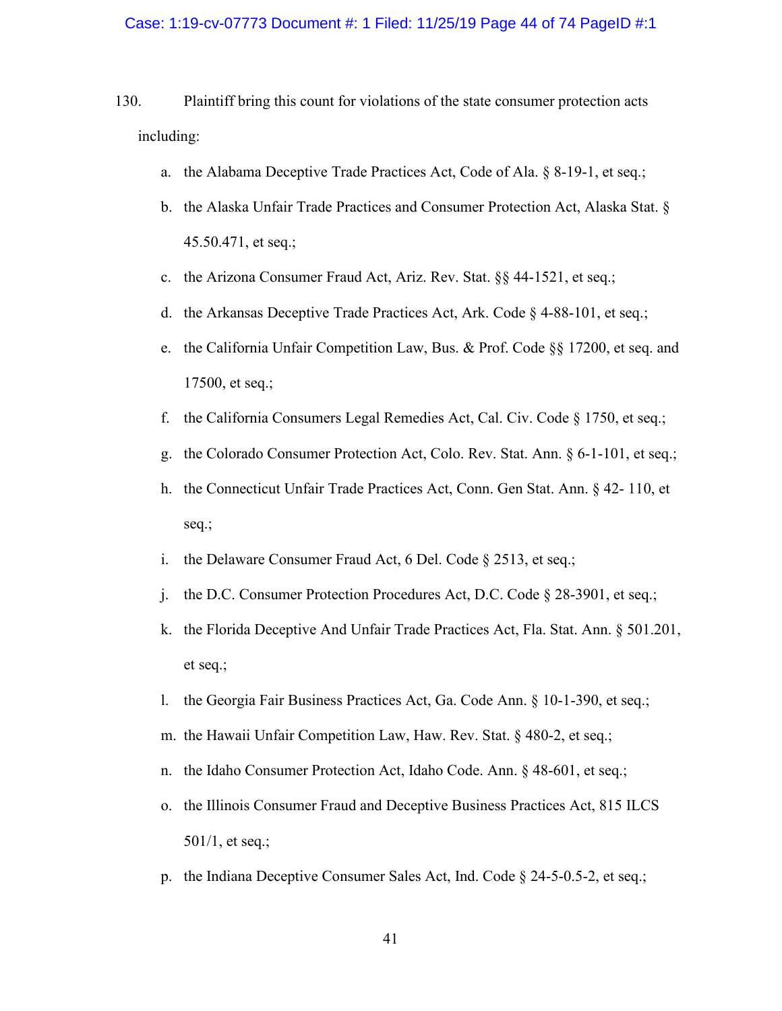#### Case: 1:19-cv-07773 Document #: 1 Filed: 11/25/19 Page 44 of 74 PageID #:1

- 130. Plaintiff bring this count for violations of the state consumer protection acts including:
	- a. the Alabama Deceptive Trade Practices Act, Code of Ala. § 8-19-1, et seq.;
	- b. the Alaska Unfair Trade Practices and Consumer Protection Act, Alaska Stat. § 45.50.471, et seq.;
	- c. the Arizona Consumer Fraud Act, Ariz. Rev. Stat. §§ 44-1521, et seq.;
	- d. the Arkansas Deceptive Trade Practices Act, Ark. Code § 4-88-101, et seq.;
	- e. the California Unfair Competition Law, Bus. & Prof. Code §§ 17200, et seq. and 17500, et seq.;
	- f. the California Consumers Legal Remedies Act, Cal. Civ. Code § 1750, et seq.;
	- g. the Colorado Consumer Protection Act, Colo. Rev. Stat. Ann. § 6-1-101, et seq.;
	- h. the Connecticut Unfair Trade Practices Act, Conn. Gen Stat. Ann. § 42- 110, et seq.;
	- i. the Delaware Consumer Fraud Act, 6 Del. Code § 2513, et seq.;
	- j. the D.C. Consumer Protection Procedures Act, D.C. Code § 28-3901, et seq.;
	- k. the Florida Deceptive And Unfair Trade Practices Act, Fla. Stat. Ann. § 501.201, et seq.;
	- l. the Georgia Fair Business Practices Act, Ga. Code Ann. § 10-1-390, et seq.;
	- m. the Hawaii Unfair Competition Law, Haw. Rev. Stat. § 480-2, et seq.;
	- n. the Idaho Consumer Protection Act, Idaho Code. Ann. § 48-601, et seq.;
	- o. the Illinois Consumer Fraud and Deceptive Business Practices Act, 815 ILCS 501/1, et seq.;
	- p. the Indiana Deceptive Consumer Sales Act, Ind. Code § 24-5-0.5-2, et seq.;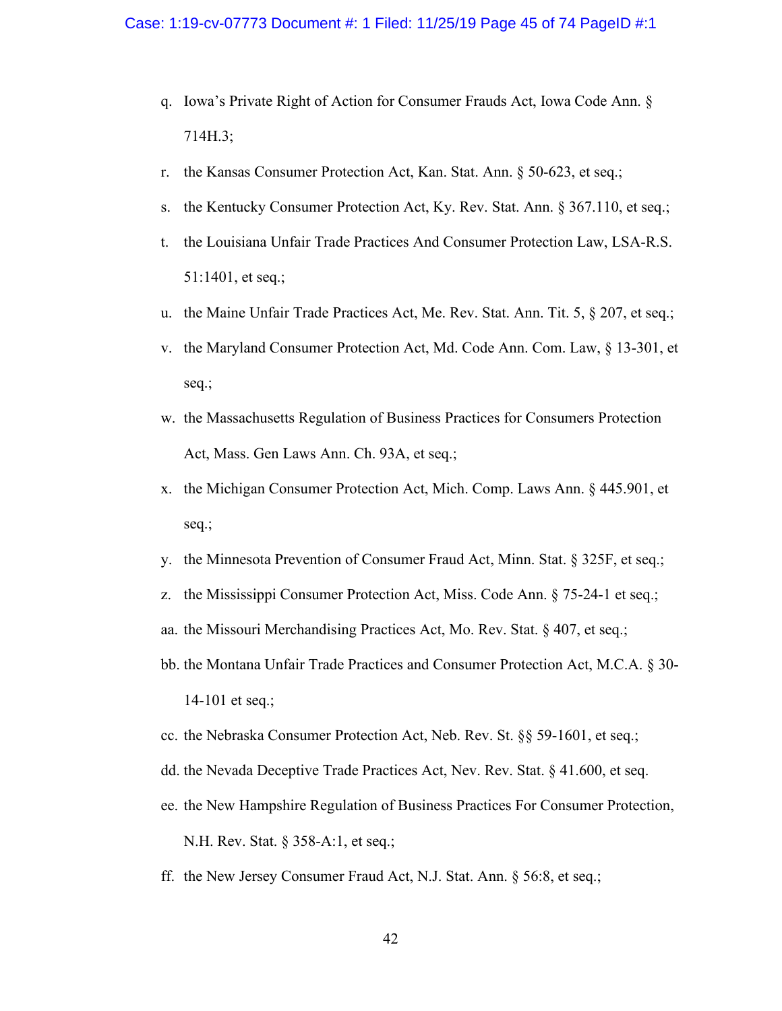- q. Iowa's Private Right of Action for Consumer Frauds Act, Iowa Code Ann. § 714H.3;
- r. the Kansas Consumer Protection Act, Kan. Stat. Ann. § 50-623, et seq.;
- s. the Kentucky Consumer Protection Act, Ky. Rev. Stat. Ann. § 367.110, et seq.;
- t. the Louisiana Unfair Trade Practices And Consumer Protection Law, LSA-R.S. 51:1401, et seq.;
- u. the Maine Unfair Trade Practices Act, Me. Rev. Stat. Ann. Tit. 5, § 207, et seq.;
- v. the Maryland Consumer Protection Act, Md. Code Ann. Com. Law, § 13-301, et seq.;
- w. the Massachusetts Regulation of Business Practices for Consumers Protection Act, Mass. Gen Laws Ann. Ch. 93A, et seq.;
- x. the Michigan Consumer Protection Act, Mich. Comp. Laws Ann. § 445.901, et seq.;
- y. the Minnesota Prevention of Consumer Fraud Act, Minn. Stat. § 325F, et seq.;
- z. the Mississippi Consumer Protection Act, Miss. Code Ann. § 75-24-1 et seq.;
- aa. the Missouri Merchandising Practices Act, Mo. Rev. Stat. § 407, et seq.;
- bb. the Montana Unfair Trade Practices and Consumer Protection Act, M.C.A. § 30- 14-101 et seq.;
- cc. the Nebraska Consumer Protection Act, Neb. Rev. St. §§ 59-1601, et seq.;
- dd. the Nevada Deceptive Trade Practices Act, Nev. Rev. Stat. § 41.600, et seq.
- ee. the New Hampshire Regulation of Business Practices For Consumer Protection, N.H. Rev. Stat. § 358-A:1, et seq.;
- ff. the New Jersey Consumer Fraud Act, N.J. Stat. Ann. § 56:8, et seq.;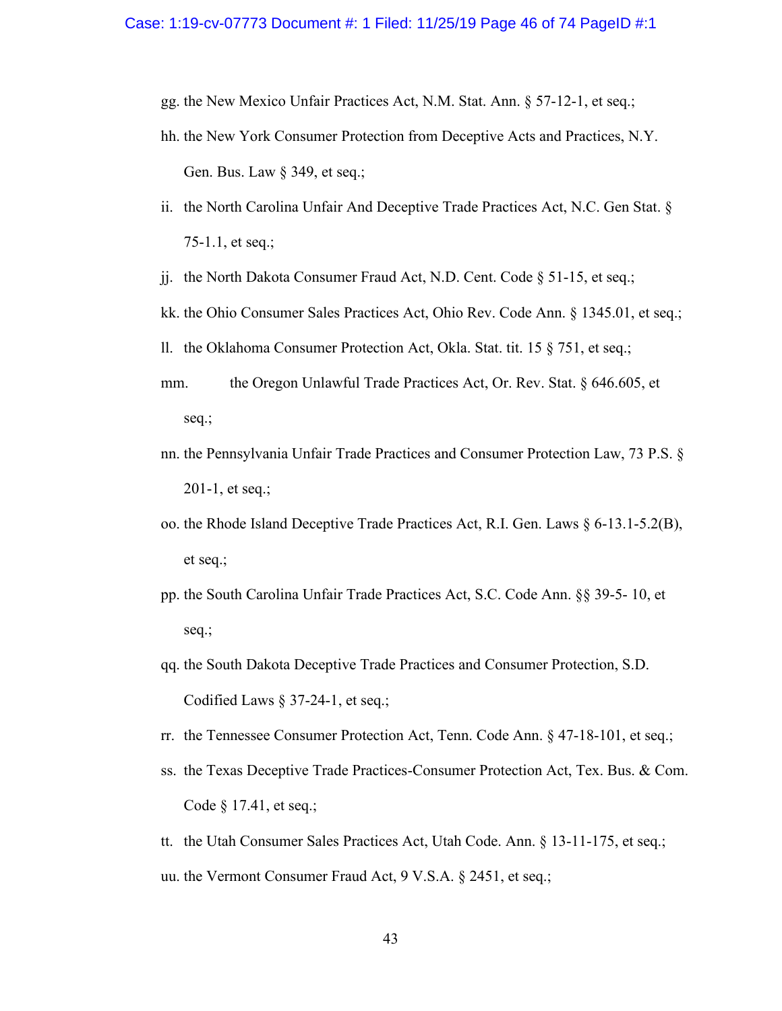gg. the New Mexico Unfair Practices Act, N.M. Stat. Ann. § 57-12-1, et seq.;

- hh. the New York Consumer Protection from Deceptive Acts and Practices, N.Y. Gen. Bus. Law § 349, et seq.;
- ii. the North Carolina Unfair And Deceptive Trade Practices Act, N.C. Gen Stat. § 75-1.1, et seq.;
- jj. the North Dakota Consumer Fraud Act, N.D. Cent. Code § 51-15, et seq.;

kk. the Ohio Consumer Sales Practices Act, Ohio Rev. Code Ann. § 1345.01, et seq.;

- ll. the Oklahoma Consumer Protection Act, Okla. Stat. tit. 15 § 751, et seq.;
- mm. the Oregon Unlawful Trade Practices Act, Or. Rev. Stat. § 646.605, et seq.;
- nn. the Pennsylvania Unfair Trade Practices and Consumer Protection Law, 73 P.S. § 201-1, et seq.;
- oo. the Rhode Island Deceptive Trade Practices Act, R.I. Gen. Laws § 6-13.1-5.2(B), et seq.;
- pp. the South Carolina Unfair Trade Practices Act, S.C. Code Ann. §§ 39-5- 10, et seq.;
- qq. the South Dakota Deceptive Trade Practices and Consumer Protection, S.D. Codified Laws § 37-24-1, et seq.;
- rr. the Tennessee Consumer Protection Act, Tenn. Code Ann. § 47-18-101, et seq.;
- ss. the Texas Deceptive Trade Practices-Consumer Protection Act, Tex. Bus. & Com. Code § 17.41, et seq.;
- tt. the Utah Consumer Sales Practices Act, Utah Code. Ann. § 13-11-175, et seq.; uu. the Vermont Consumer Fraud Act, 9 V.S.A. § 2451, et seq.;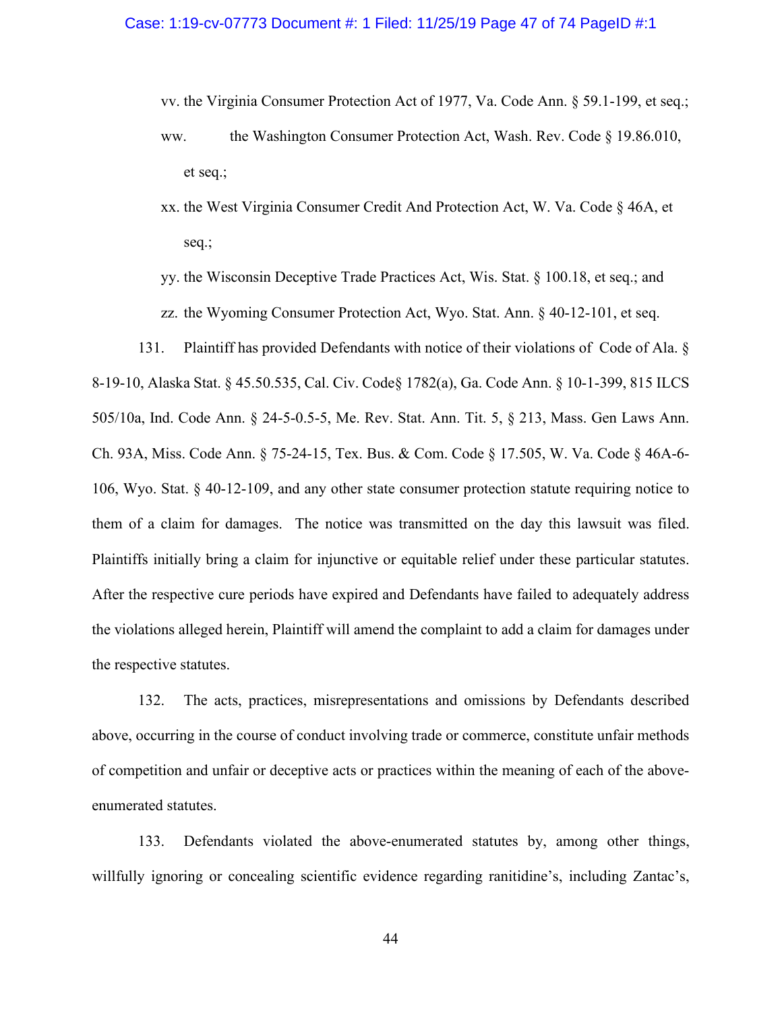### Case: 1:19-cv-07773 Document #: 1 Filed: 11/25/19 Page 47 of 74 PageID #:1

vv. the Virginia Consumer Protection Act of 1977, Va. Code Ann. § 59.1-199, et seq.;

- ww. the Washington Consumer Protection Act, Wash. Rev. Code § 19.86.010, et seq.;
- xx. the West Virginia Consumer Credit And Protection Act, W. Va. Code § 46A, et seq.;
- yy. the Wisconsin Deceptive Trade Practices Act, Wis. Stat. § 100.18, et seq.; and zz. the Wyoming Consumer Protection Act, Wyo. Stat. Ann. § 40-12-101, et seq.

131. Plaintiff has provided Defendants with notice of their violations of Code of Ala. § 8-19-10, Alaska Stat. § 45.50.535, Cal. Civ. Code§ 1782(a), Ga. Code Ann. § 10-1-399, 815 ILCS 505/10a, Ind. Code Ann. § 24-5-0.5-5, Me. Rev. Stat. Ann. Tit. 5, § 213, Mass. Gen Laws Ann. Ch. 93A, Miss. Code Ann. § 75-24-15, Tex. Bus. & Com. Code § 17.505, W. Va. Code § 46A-6- 106, Wyo. Stat. § 40-12-109, and any other state consumer protection statute requiring notice to them of a claim for damages. The notice was transmitted on the day this lawsuit was filed. Plaintiffs initially bring a claim for injunctive or equitable relief under these particular statutes. After the respective cure periods have expired and Defendants have failed to adequately address the violations alleged herein, Plaintiff will amend the complaint to add a claim for damages under the respective statutes.

132. The acts, practices, misrepresentations and omissions by Defendants described above, occurring in the course of conduct involving trade or commerce, constitute unfair methods of competition and unfair or deceptive acts or practices within the meaning of each of the aboveenumerated statutes.

133. Defendants violated the above-enumerated statutes by, among other things, willfully ignoring or concealing scientific evidence regarding ranitidine's, including Zantac's,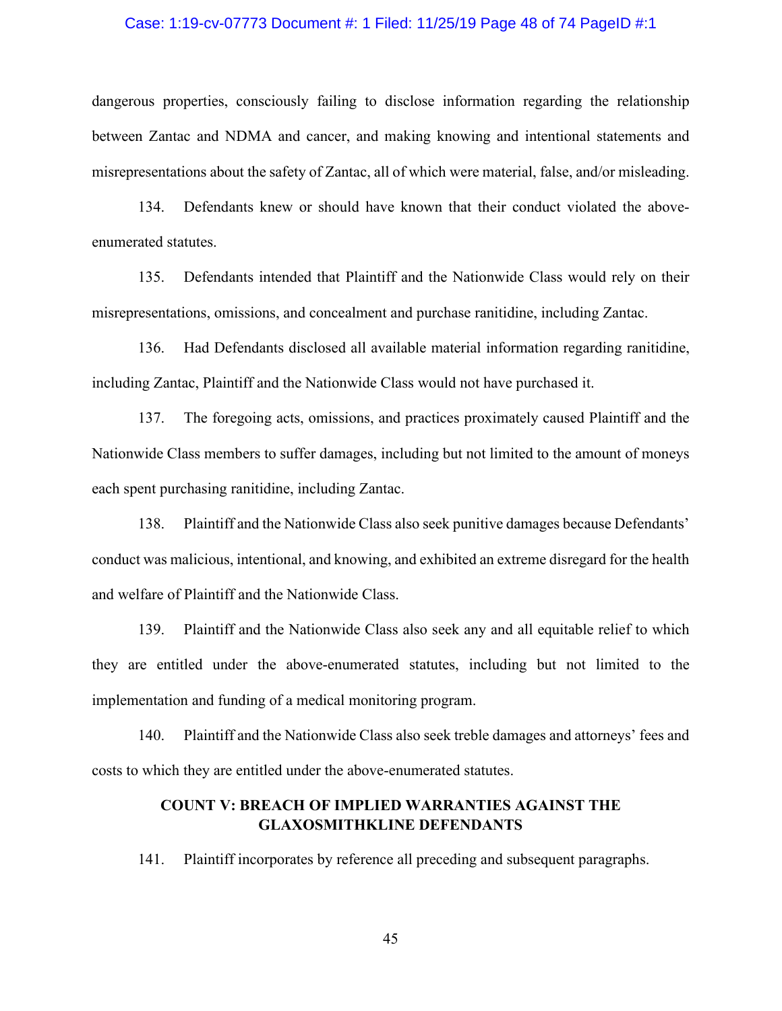#### Case: 1:19-cv-07773 Document #: 1 Filed: 11/25/19 Page 48 of 74 PageID #:1

dangerous properties, consciously failing to disclose information regarding the relationship between Zantac and NDMA and cancer, and making knowing and intentional statements and misrepresentations about the safety of Zantac, all of which were material, false, and/or misleading.

134. Defendants knew or should have known that their conduct violated the aboveenumerated statutes.

135. Defendants intended that Plaintiff and the Nationwide Class would rely on their misrepresentations, omissions, and concealment and purchase ranitidine, including Zantac.

136. Had Defendants disclosed all available material information regarding ranitidine, including Zantac, Plaintiff and the Nationwide Class would not have purchased it.

137. The foregoing acts, omissions, and practices proximately caused Plaintiff and the Nationwide Class members to suffer damages, including but not limited to the amount of moneys each spent purchasing ranitidine, including Zantac.

138. Plaintiff and the Nationwide Class also seek punitive damages because Defendants' conduct was malicious, intentional, and knowing, and exhibited an extreme disregard for the health and welfare of Plaintiff and the Nationwide Class.

139. Plaintiff and the Nationwide Class also seek any and all equitable relief to which they are entitled under the above-enumerated statutes, including but not limited to the implementation and funding of a medical monitoring program.

140. Plaintiff and the Nationwide Class also seek treble damages and attorneys' fees and costs to which they are entitled under the above-enumerated statutes.

## **COUNT V: BREACH OF IMPLIED WARRANTIES AGAINST THE GLAXOSMITHKLINE DEFENDANTS**

141. Plaintiff incorporates by reference all preceding and subsequent paragraphs.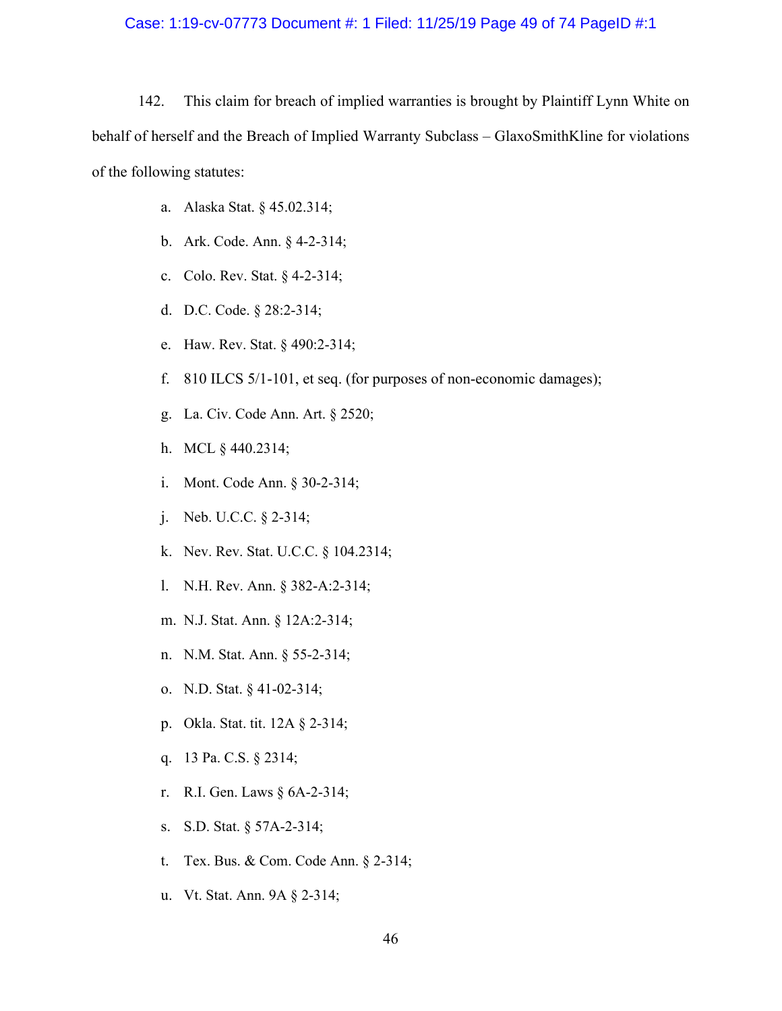#### Case: 1:19-cv-07773 Document #: 1 Filed: 11/25/19 Page 49 of 74 PageID #:1

142. This claim for breach of implied warranties is brought by Plaintiff Lynn White on behalf of herself and the Breach of Implied Warranty Subclass – GlaxoSmithKline for violations of the following statutes:

- a. Alaska Stat. § 45.02.314;
- b. Ark. Code. Ann. § 4-2-314;
- c. Colo. Rev. Stat. § 4-2-314;
- d. D.C. Code. § 28:2-314;
- e. Haw. Rev. Stat. § 490:2-314;
- f. 810 ILCS 5/1-101, et seq. (for purposes of non-economic damages);
- g. La. Civ. Code Ann. Art. § 2520;
- h. MCL § 440.2314;
- i. Mont. Code Ann. § 30-2-314;
- j. Neb. U.C.C. § 2-314;
- k. Nev. Rev. Stat. U.C.C. § 104.2314;
- l. N.H. Rev. Ann. § 382-A:2-314;
- m. N.J. Stat. Ann. § 12A:2-314;
- n. N.M. Stat. Ann. § 55-2-314;
- o. N.D. Stat. § 41-02-314;
- p. Okla. Stat. tit. 12A § 2-314;
- q. 13 Pa. C.S. § 2314;
- r. R.I. Gen. Laws § 6A-2-314;
- s. S.D. Stat. § 57A-2-314;
- t. Tex. Bus. & Com. Code Ann. § 2-314;
- u. Vt. Stat. Ann. 9A § 2-314;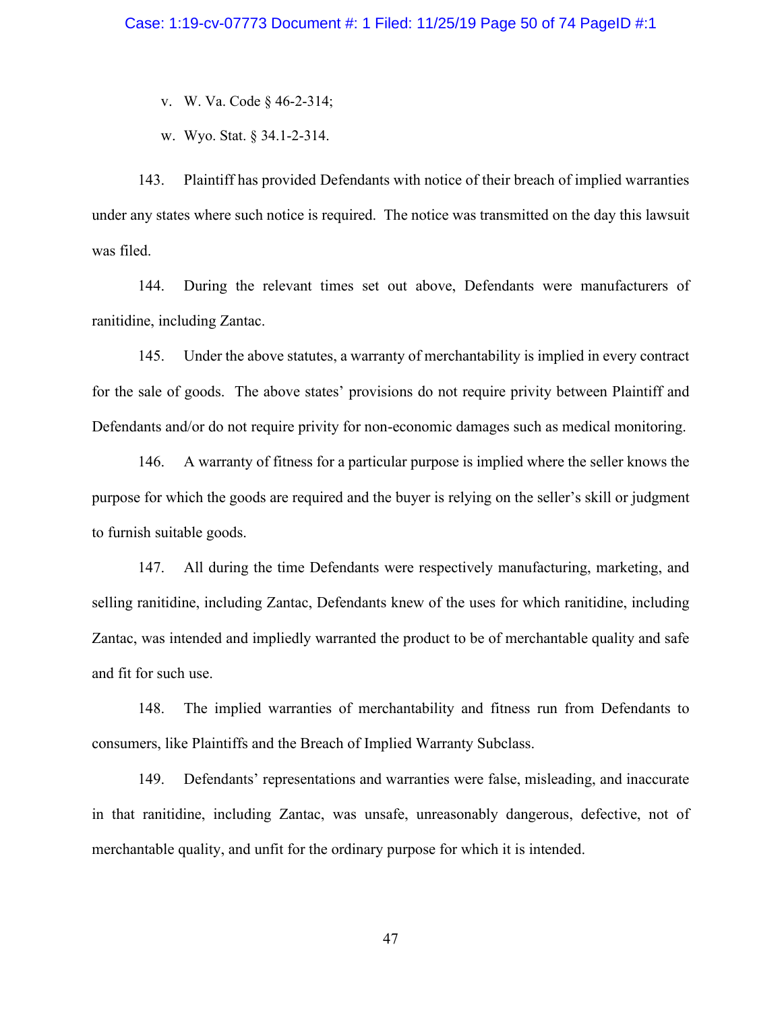#### Case: 1:19-cv-07773 Document #: 1 Filed: 11/25/19 Page 50 of 74 PageID #:1

v. W. Va. Code § 46-2-314;

w. Wyo. Stat. § 34.1-2-314.

143. Plaintiff has provided Defendants with notice of their breach of implied warranties under any states where such notice is required. The notice was transmitted on the day this lawsuit was filed.

144. During the relevant times set out above, Defendants were manufacturers of ranitidine, including Zantac.

145. Under the above statutes, a warranty of merchantability is implied in every contract for the sale of goods. The above states' provisions do not require privity between Plaintiff and Defendants and/or do not require privity for non-economic damages such as medical monitoring.

146. A warranty of fitness for a particular purpose is implied where the seller knows the purpose for which the goods are required and the buyer is relying on the seller's skill or judgment to furnish suitable goods.

147. All during the time Defendants were respectively manufacturing, marketing, and selling ranitidine, including Zantac, Defendants knew of the uses for which ranitidine, including Zantac, was intended and impliedly warranted the product to be of merchantable quality and safe and fit for such use.

148. The implied warranties of merchantability and fitness run from Defendants to consumers, like Plaintiffs and the Breach of Implied Warranty Subclass.

149. Defendants' representations and warranties were false, misleading, and inaccurate in that ranitidine, including Zantac, was unsafe, unreasonably dangerous, defective, not of merchantable quality, and unfit for the ordinary purpose for which it is intended.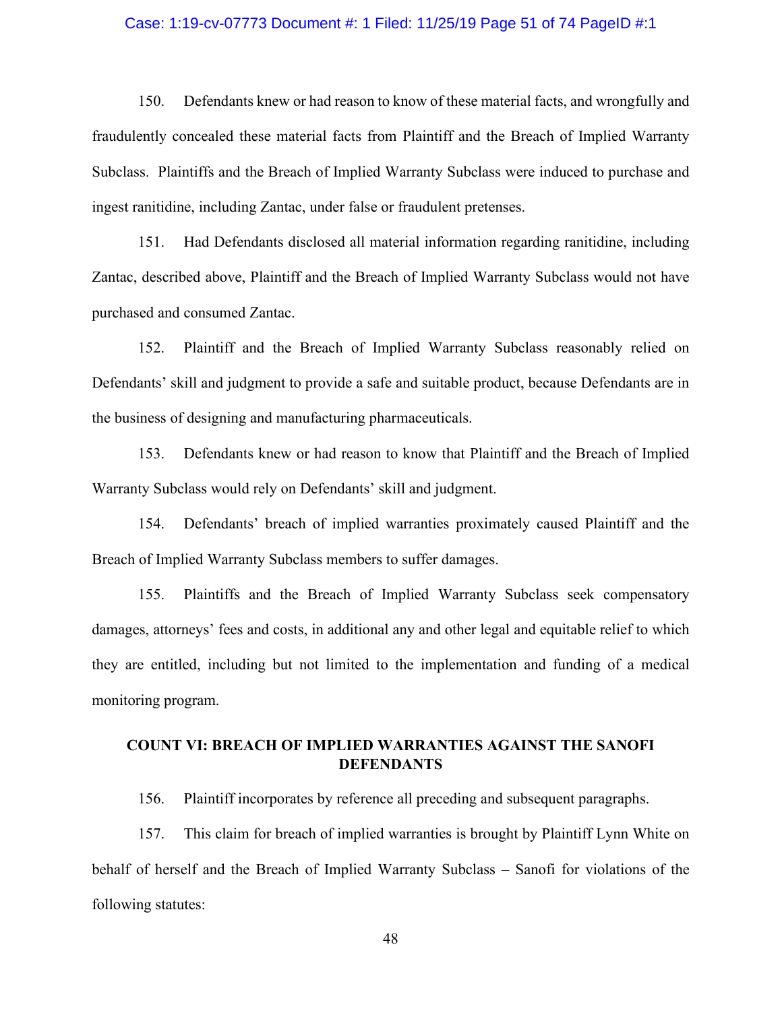### Case: 1:19-cv-07773 Document #: 1 Filed: 11/25/19 Page 51 of 74 PageID #:1

150. Defendants knew or had reason to know of these material facts, and wrongfully and fraudulently concealed these material facts from Plaintiff and the Breach of Implied Warranty Subclass. Plaintiffs and the Breach of Implied Warranty Subclass were induced to purchase and ingest ranitidine, including Zantac, under false or fraudulent pretenses.

151. Had Defendants disclosed all material information regarding ranitidine, including Zantac, described above, Plaintiff and the Breach of Implied Warranty Subclass would not have purchased and consumed Zantac.

152. Plaintiff and the Breach of Implied Warranty Subclass reasonably relied on Defendants' skill and judgment to provide a safe and suitable product, because Defendants are in the business of designing and manufacturing pharmaceuticals.

153. Defendants knew or had reason to know that Plaintiff and the Breach of Implied Warranty Subclass would rely on Defendants' skill and judgment.

154. Defendants' breach of implied warranties proximately caused Plaintiff and the Breach of Implied Warranty Subclass members to suffer damages.

155. Plaintiffs and the Breach of Implied Warranty Subclass seek compensatory damages, attorneys' fees and costs, in additional any and other legal and equitable relief to which they are entitled, including but not limited to the implementation and funding of a medical monitoring program.

# **COUNT VI: BREACH OF IMPLIED WARRANTIES AGAINST THE SANOFI DEFENDANTS**

156. Plaintiff incorporates by reference all preceding and subsequent paragraphs.

157. This claim for breach of implied warranties is brought by Plaintiff Lynn White on behalf of herself and the Breach of Implied Warranty Subclass – Sanofi for violations of the following statutes: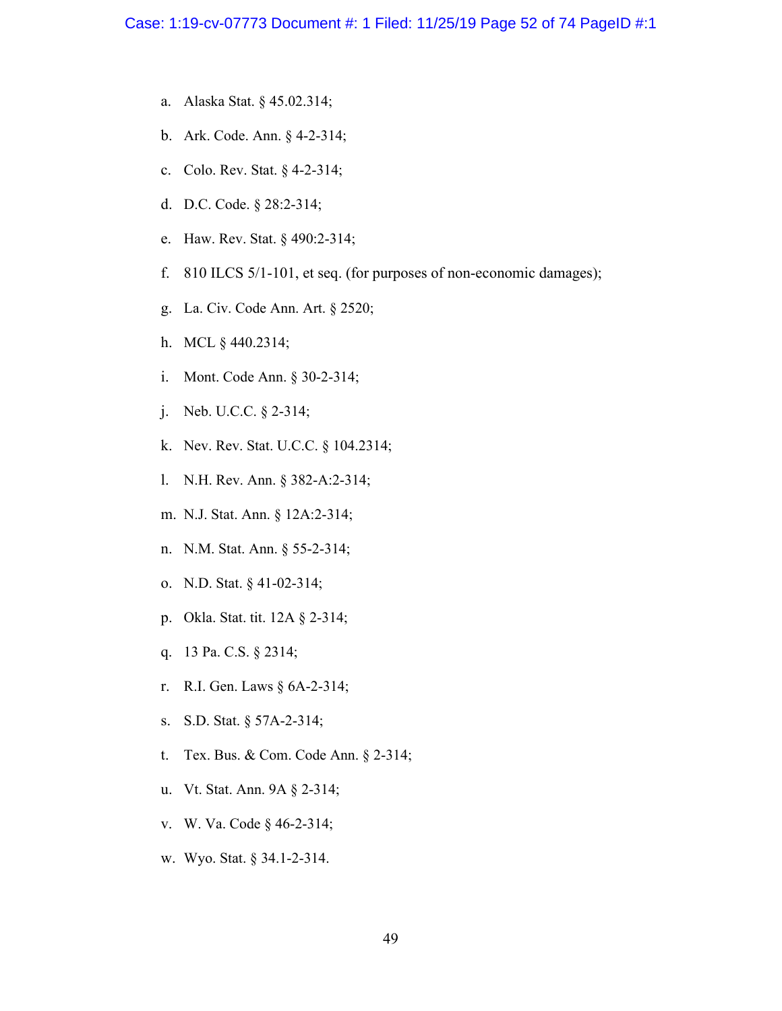- a. Alaska Stat. § 45.02.314;
- b. Ark. Code. Ann. § 4-2-314;
- c. Colo. Rev. Stat. § 4-2-314;
- d. D.C. Code. § 28:2-314;
- e. Haw. Rev. Stat. § 490:2-314;
- f. 810 ILCS 5/1-101, et seq. (for purposes of non-economic damages);
- g. La. Civ. Code Ann. Art. § 2520;
- h. MCL § 440.2314;
- i. Mont. Code Ann. § 30-2-314;
- j. Neb. U.C.C. § 2-314;
- k. Nev. Rev. Stat. U.C.C. § 104.2314;
- l. N.H. Rev. Ann. § 382-A:2-314;
- m. N.J. Stat. Ann. § 12A:2-314;
- n. N.M. Stat. Ann. § 55-2-314;
- o. N.D. Stat. § 41-02-314;
- p. Okla. Stat. tit. 12A § 2-314;
- q. 13 Pa. C.S. § 2314;
- r. R.I. Gen. Laws § 6A-2-314;
- s. S.D. Stat. § 57A-2-314;
- t. Tex. Bus. & Com. Code Ann. § 2-314;
- u. Vt. Stat. Ann. 9A § 2-314;
- v. W. Va. Code § 46-2-314;
- w. Wyo. Stat. § 34.1-2-314.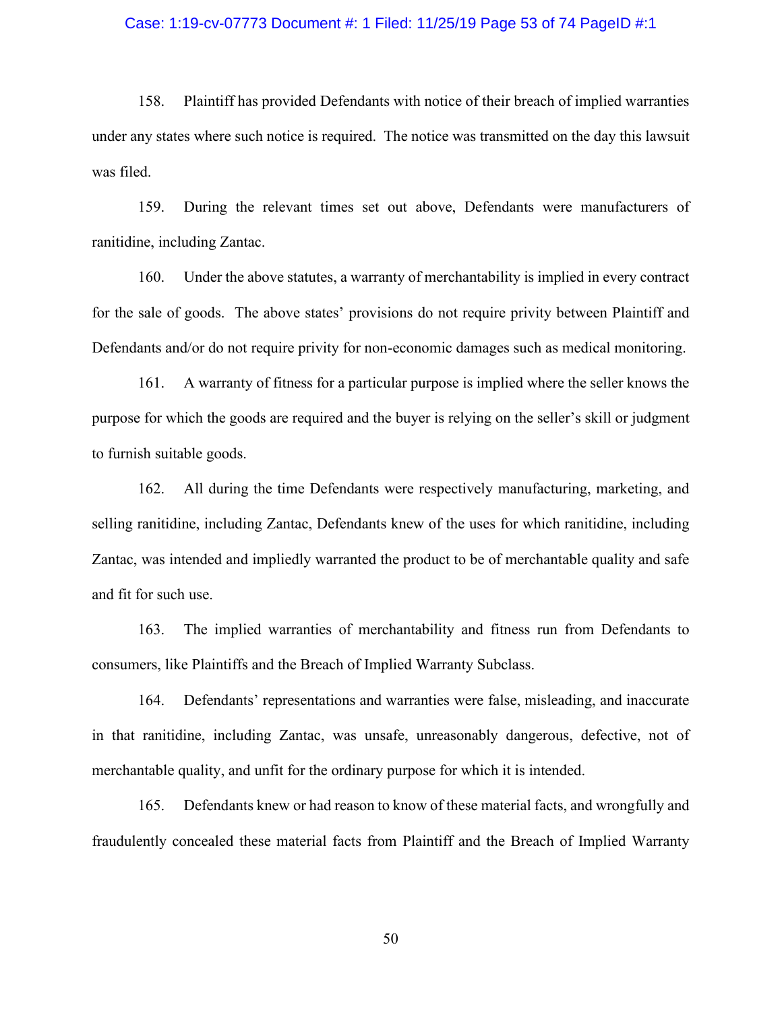### Case: 1:19-cv-07773 Document #: 1 Filed: 11/25/19 Page 53 of 74 PageID #:1

158. Plaintiff has provided Defendants with notice of their breach of implied warranties under any states where such notice is required. The notice was transmitted on the day this lawsuit was filed.

159. During the relevant times set out above, Defendants were manufacturers of ranitidine, including Zantac.

160. Under the above statutes, a warranty of merchantability is implied in every contract for the sale of goods. The above states' provisions do not require privity between Plaintiff and Defendants and/or do not require privity for non-economic damages such as medical monitoring.

161. A warranty of fitness for a particular purpose is implied where the seller knows the purpose for which the goods are required and the buyer is relying on the seller's skill or judgment to furnish suitable goods.

162. All during the time Defendants were respectively manufacturing, marketing, and selling ranitidine, including Zantac, Defendants knew of the uses for which ranitidine, including Zantac, was intended and impliedly warranted the product to be of merchantable quality and safe and fit for such use.

163. The implied warranties of merchantability and fitness run from Defendants to consumers, like Plaintiffs and the Breach of Implied Warranty Subclass.

164. Defendants' representations and warranties were false, misleading, and inaccurate in that ranitidine, including Zantac, was unsafe, unreasonably dangerous, defective, not of merchantable quality, and unfit for the ordinary purpose for which it is intended.

165. Defendants knew or had reason to know of these material facts, and wrongfully and fraudulently concealed these material facts from Plaintiff and the Breach of Implied Warranty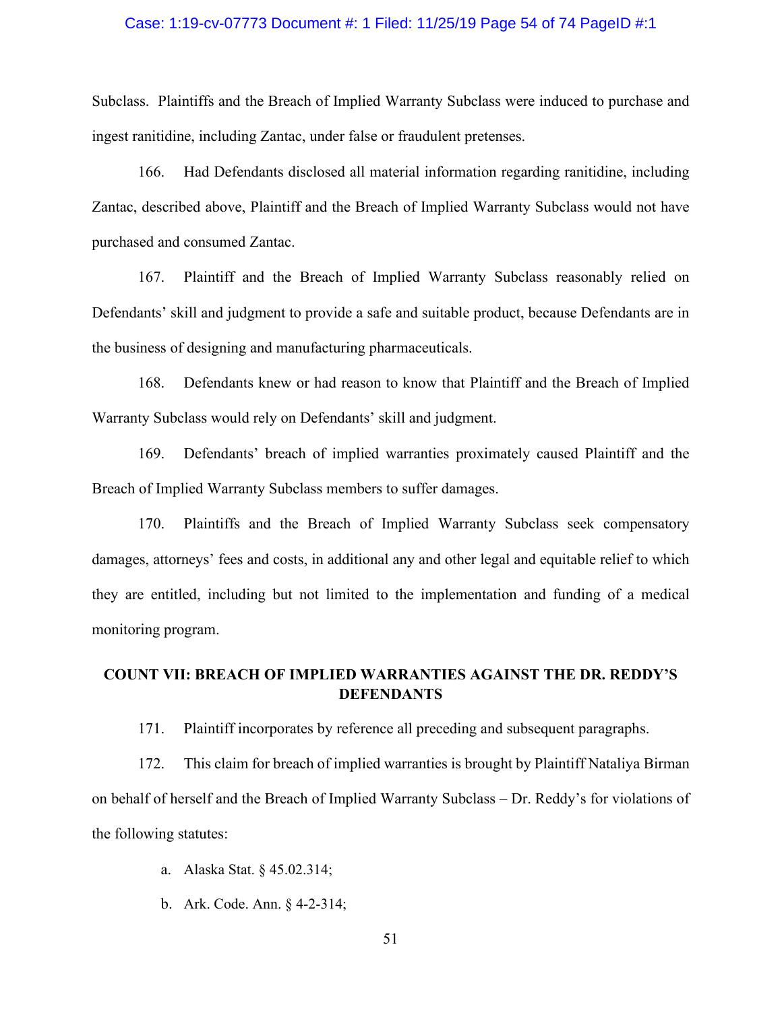### Case: 1:19-cv-07773 Document #: 1 Filed: 11/25/19 Page 54 of 74 PageID #:1

Subclass. Plaintiffs and the Breach of Implied Warranty Subclass were induced to purchase and ingest ranitidine, including Zantac, under false or fraudulent pretenses.

166. Had Defendants disclosed all material information regarding ranitidine, including Zantac, described above, Plaintiff and the Breach of Implied Warranty Subclass would not have purchased and consumed Zantac.

167. Plaintiff and the Breach of Implied Warranty Subclass reasonably relied on Defendants' skill and judgment to provide a safe and suitable product, because Defendants are in the business of designing and manufacturing pharmaceuticals.

168. Defendants knew or had reason to know that Plaintiff and the Breach of Implied Warranty Subclass would rely on Defendants' skill and judgment.

169. Defendants' breach of implied warranties proximately caused Plaintiff and the Breach of Implied Warranty Subclass members to suffer damages.

170. Plaintiffs and the Breach of Implied Warranty Subclass seek compensatory damages, attorneys' fees and costs, in additional any and other legal and equitable relief to which they are entitled, including but not limited to the implementation and funding of a medical monitoring program.

# **COUNT VII: BREACH OF IMPLIED WARRANTIES AGAINST THE DR. REDDY'S DEFENDANTS**

171. Plaintiff incorporates by reference all preceding and subsequent paragraphs.

172. This claim for breach of implied warranties is brought by Plaintiff Nataliya Birman on behalf of herself and the Breach of Implied Warranty Subclass – Dr. Reddy's for violations of the following statutes:

- a. Alaska Stat. § 45.02.314;
- b. Ark. Code. Ann. § 4-2-314;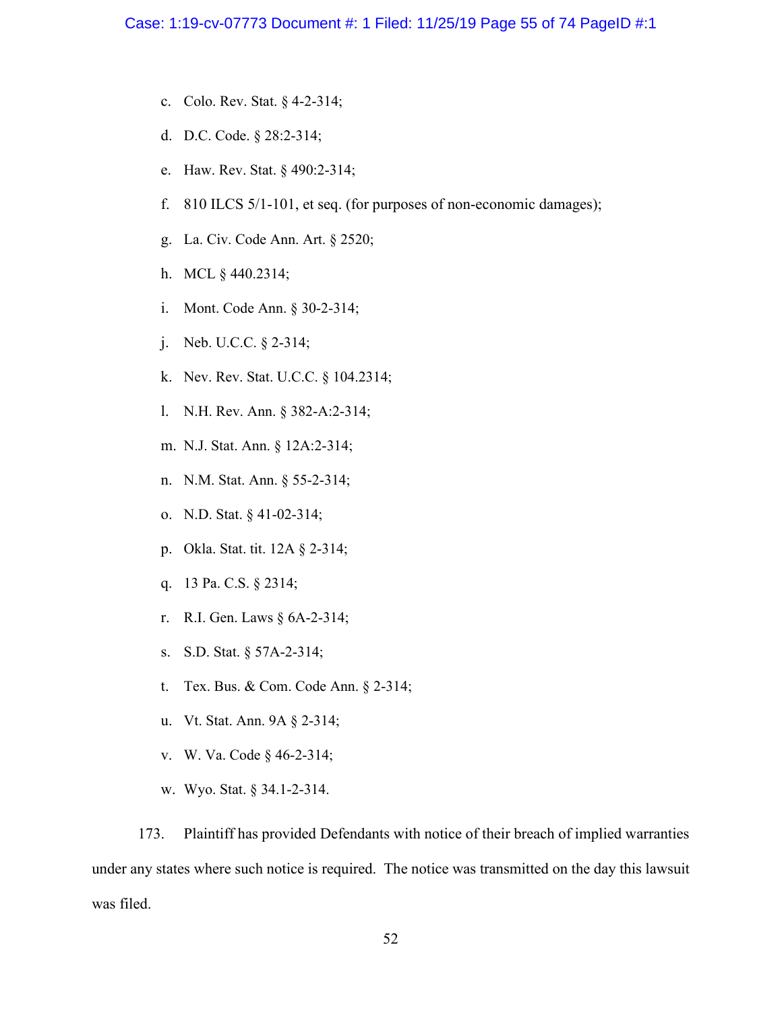- c. Colo. Rev. Stat. § 4-2-314;
- d. D.C. Code. § 28:2-314;
- e. Haw. Rev. Stat. § 490:2-314;
- f. 810 ILCS 5/1-101, et seq. (for purposes of non-economic damages);
- g. La. Civ. Code Ann. Art. § 2520;
- h. MCL § 440.2314;
- i. Mont. Code Ann. § 30-2-314;
- j. Neb. U.C.C. § 2-314;
- k. Nev. Rev. Stat. U.C.C. § 104.2314;
- l. N.H. Rev. Ann. § 382-A:2-314;
- m. N.J. Stat. Ann. § 12A:2-314;
- n. N.M. Stat. Ann. § 55-2-314;
- o. N.D. Stat. § 41-02-314;
- p. Okla. Stat. tit. 12A § 2-314;
- q. 13 Pa. C.S. § 2314;
- r. R.I. Gen. Laws § 6A-2-314;
- s. S.D. Stat. § 57A-2-314;
- t. Tex. Bus. & Com. Code Ann. § 2-314;
- u. Vt. Stat. Ann. 9A § 2-314;
- v. W. Va. Code § 46-2-314;
- w. Wyo. Stat. § 34.1-2-314.

173. Plaintiff has provided Defendants with notice of their breach of implied warranties under any states where such notice is required. The notice was transmitted on the day this lawsuit was filed.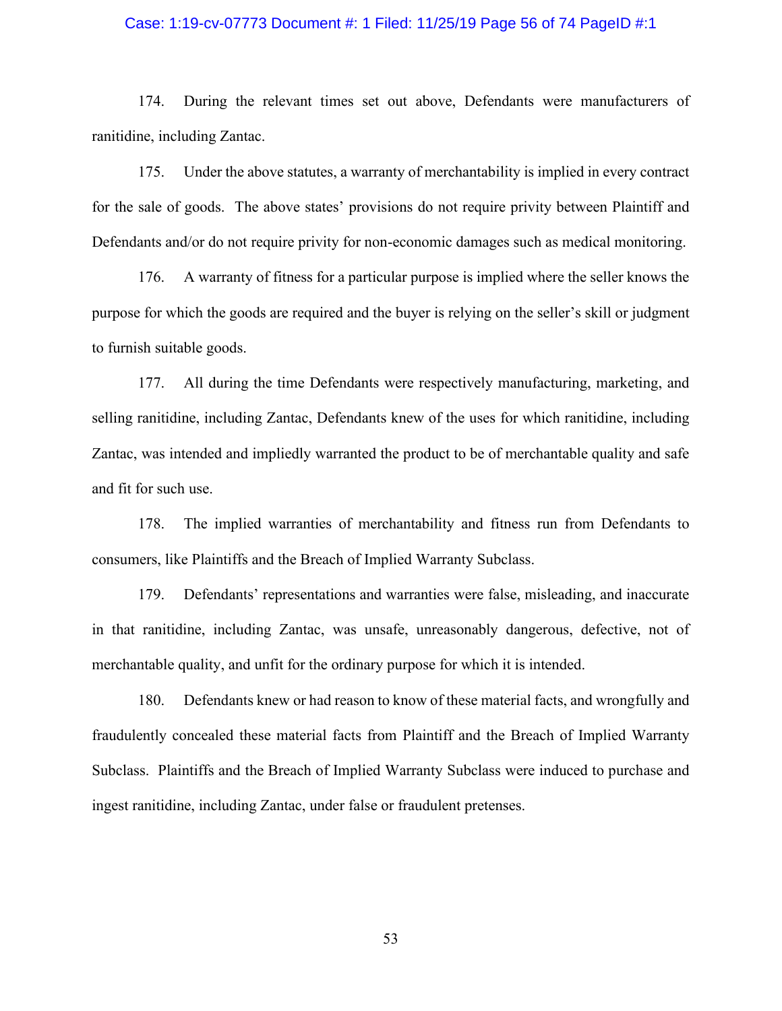### Case: 1:19-cv-07773 Document #: 1 Filed: 11/25/19 Page 56 of 74 PageID #:1

174. During the relevant times set out above, Defendants were manufacturers of ranitidine, including Zantac.

175. Under the above statutes, a warranty of merchantability is implied in every contract for the sale of goods. The above states' provisions do not require privity between Plaintiff and Defendants and/or do not require privity for non-economic damages such as medical monitoring.

176. A warranty of fitness for a particular purpose is implied where the seller knows the purpose for which the goods are required and the buyer is relying on the seller's skill or judgment to furnish suitable goods.

177. All during the time Defendants were respectively manufacturing, marketing, and selling ranitidine, including Zantac, Defendants knew of the uses for which ranitidine, including Zantac, was intended and impliedly warranted the product to be of merchantable quality and safe and fit for such use.

178. The implied warranties of merchantability and fitness run from Defendants to consumers, like Plaintiffs and the Breach of Implied Warranty Subclass.

179. Defendants' representations and warranties were false, misleading, and inaccurate in that ranitidine, including Zantac, was unsafe, unreasonably dangerous, defective, not of merchantable quality, and unfit for the ordinary purpose for which it is intended.

180. Defendants knew or had reason to know of these material facts, and wrongfully and fraudulently concealed these material facts from Plaintiff and the Breach of Implied Warranty Subclass. Plaintiffs and the Breach of Implied Warranty Subclass were induced to purchase and ingest ranitidine, including Zantac, under false or fraudulent pretenses.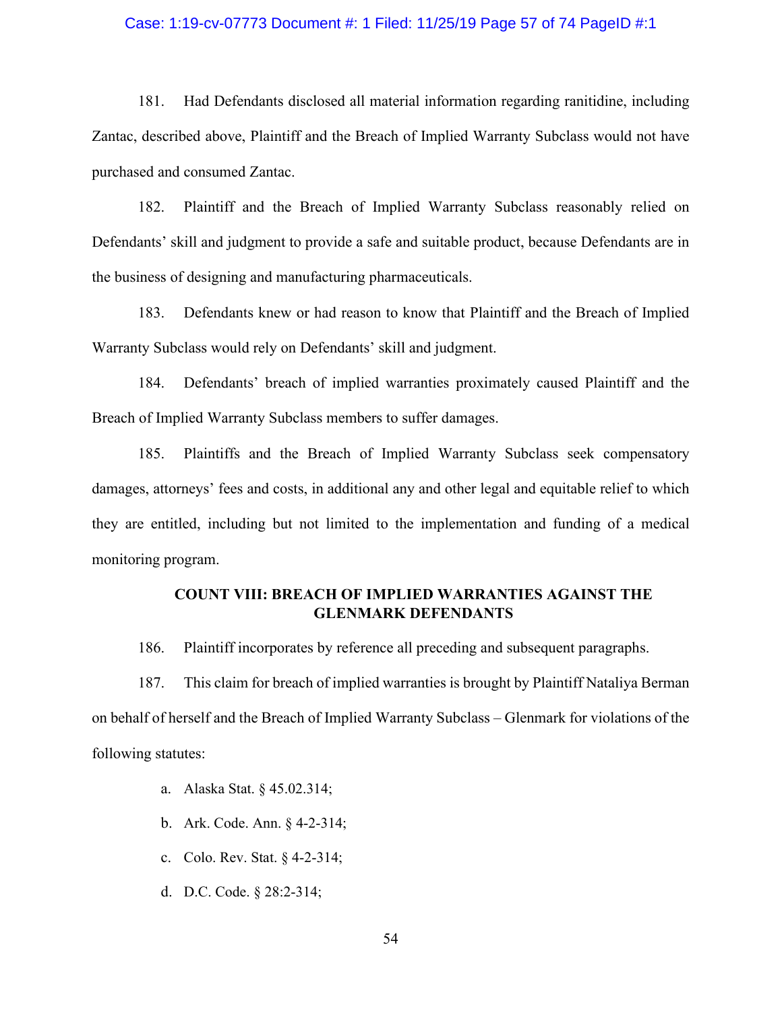### Case: 1:19-cv-07773 Document #: 1 Filed: 11/25/19 Page 57 of 74 PageID #:1

181. Had Defendants disclosed all material information regarding ranitidine, including Zantac, described above, Plaintiff and the Breach of Implied Warranty Subclass would not have purchased and consumed Zantac.

182. Plaintiff and the Breach of Implied Warranty Subclass reasonably relied on Defendants' skill and judgment to provide a safe and suitable product, because Defendants are in the business of designing and manufacturing pharmaceuticals.

183. Defendants knew or had reason to know that Plaintiff and the Breach of Implied Warranty Subclass would rely on Defendants' skill and judgment.

184. Defendants' breach of implied warranties proximately caused Plaintiff and the Breach of Implied Warranty Subclass members to suffer damages.

185. Plaintiffs and the Breach of Implied Warranty Subclass seek compensatory damages, attorneys' fees and costs, in additional any and other legal and equitable relief to which they are entitled, including but not limited to the implementation and funding of a medical monitoring program.

## **COUNT VIII: BREACH OF IMPLIED WARRANTIES AGAINST THE GLENMARK DEFENDANTS**

186. Plaintiff incorporates by reference all preceding and subsequent paragraphs.

187. This claim for breach of implied warranties is brought by Plaintiff Nataliya Berman on behalf of herself and the Breach of Implied Warranty Subclass – Glenmark for violations of the following statutes:

- a. Alaska Stat. § 45.02.314;
- b. Ark. Code. Ann. § 4-2-314;
- c. Colo. Rev. Stat. § 4-2-314;
- d. D.C. Code. § 28:2-314;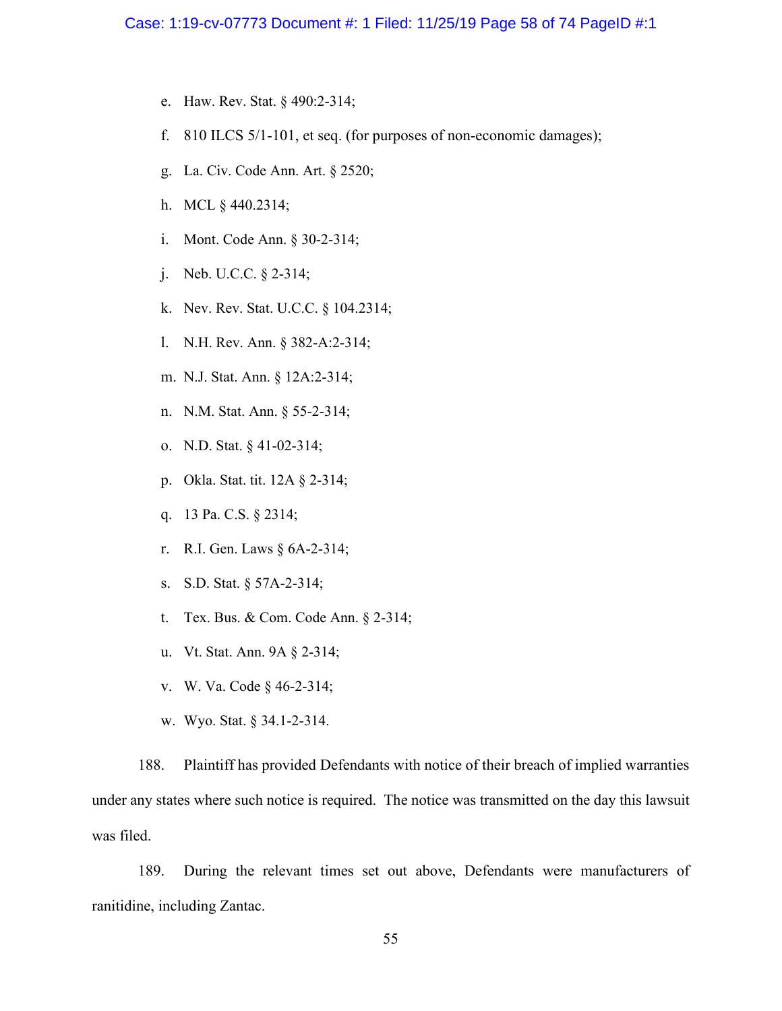- e. Haw. Rev. Stat. § 490:2-314;
- f. 810 ILCS 5/1-101, et seq. (for purposes of non-economic damages);
- g. La. Civ. Code Ann. Art. § 2520;
- h. MCL § 440.2314;
- i. Mont. Code Ann. § 30-2-314;
- j. Neb. U.C.C. § 2-314;
- k. Nev. Rev. Stat. U.C.C. § 104.2314;
- l. N.H. Rev. Ann. § 382-A:2-314;
- m. N.J. Stat. Ann. § 12A:2-314;
- n. N.M. Stat. Ann. § 55-2-314;
- o. N.D. Stat. § 41-02-314;
- p. Okla. Stat. tit. 12A § 2-314;
- q. 13 Pa. C.S. § 2314;
- r. R.I. Gen. Laws § 6A-2-314;
- s. S.D. Stat. § 57A-2-314;
- t. Tex. Bus. & Com. Code Ann. § 2-314;
- u. Vt. Stat. Ann. 9A § 2-314;
- v. W. Va. Code § 46-2-314;
- w. Wyo. Stat. § 34.1-2-314.

188. Plaintiff has provided Defendants with notice of their breach of implied warranties under any states where such notice is required. The notice was transmitted on the day this lawsuit was filed.

189. During the relevant times set out above, Defendants were manufacturers of ranitidine, including Zantac.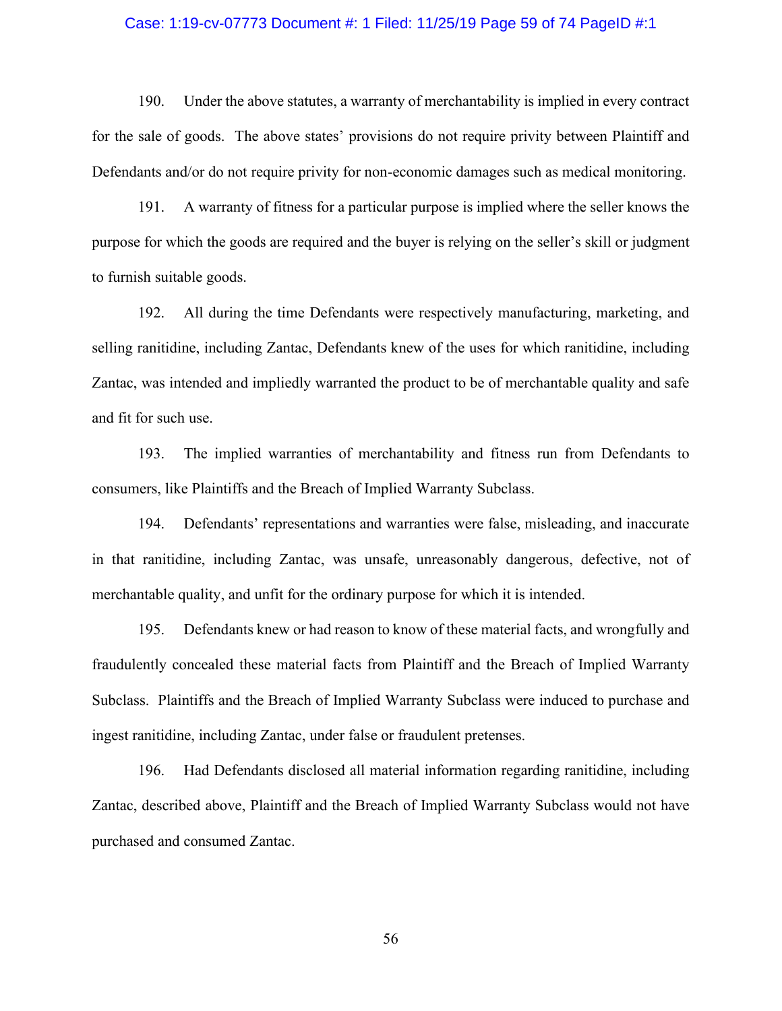#### Case: 1:19-cv-07773 Document #: 1 Filed: 11/25/19 Page 59 of 74 PageID #:1

190. Under the above statutes, a warranty of merchantability is implied in every contract for the sale of goods. The above states' provisions do not require privity between Plaintiff and Defendants and/or do not require privity for non-economic damages such as medical monitoring.

191. A warranty of fitness for a particular purpose is implied where the seller knows the purpose for which the goods are required and the buyer is relying on the seller's skill or judgment to furnish suitable goods.

192. All during the time Defendants were respectively manufacturing, marketing, and selling ranitidine, including Zantac, Defendants knew of the uses for which ranitidine, including Zantac, was intended and impliedly warranted the product to be of merchantable quality and safe and fit for such use.

193. The implied warranties of merchantability and fitness run from Defendants to consumers, like Plaintiffs and the Breach of Implied Warranty Subclass.

194. Defendants' representations and warranties were false, misleading, and inaccurate in that ranitidine, including Zantac, was unsafe, unreasonably dangerous, defective, not of merchantable quality, and unfit for the ordinary purpose for which it is intended.

195. Defendants knew or had reason to know of these material facts, and wrongfully and fraudulently concealed these material facts from Plaintiff and the Breach of Implied Warranty Subclass. Plaintiffs and the Breach of Implied Warranty Subclass were induced to purchase and ingest ranitidine, including Zantac, under false or fraudulent pretenses.

196. Had Defendants disclosed all material information regarding ranitidine, including Zantac, described above, Plaintiff and the Breach of Implied Warranty Subclass would not have purchased and consumed Zantac.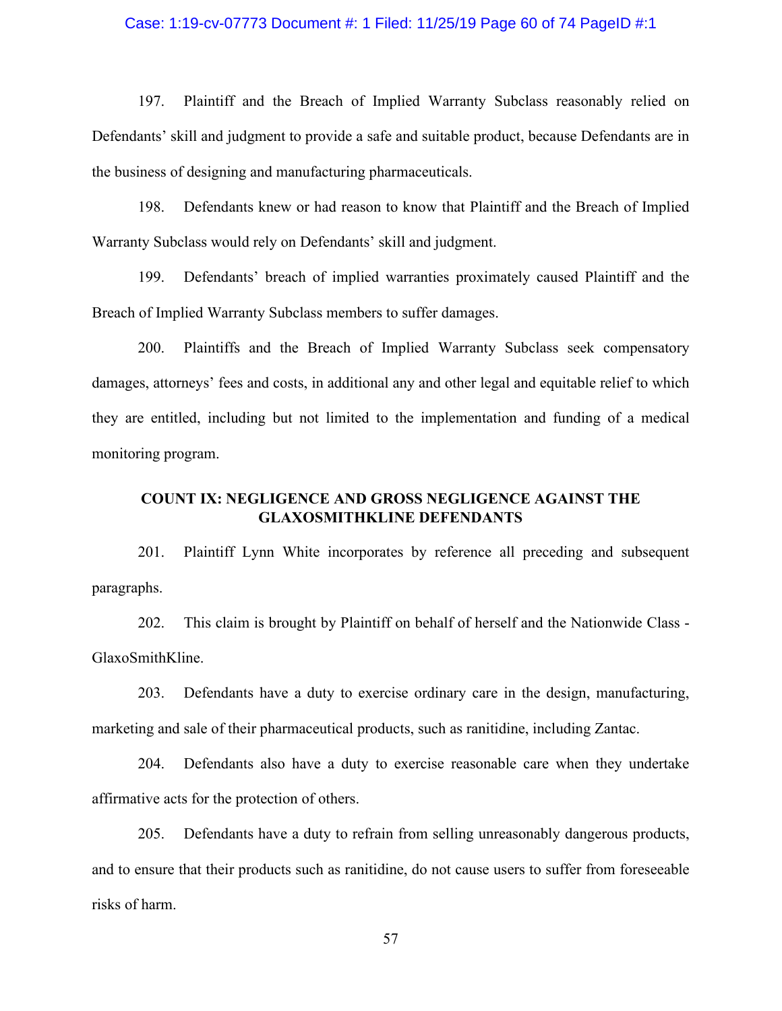### Case: 1:19-cv-07773 Document #: 1 Filed: 11/25/19 Page 60 of 74 PageID #:1

197. Plaintiff and the Breach of Implied Warranty Subclass reasonably relied on Defendants' skill and judgment to provide a safe and suitable product, because Defendants are in the business of designing and manufacturing pharmaceuticals.

198. Defendants knew or had reason to know that Plaintiff and the Breach of Implied Warranty Subclass would rely on Defendants' skill and judgment.

199. Defendants' breach of implied warranties proximately caused Plaintiff and the Breach of Implied Warranty Subclass members to suffer damages.

200. Plaintiffs and the Breach of Implied Warranty Subclass seek compensatory damages, attorneys' fees and costs, in additional any and other legal and equitable relief to which they are entitled, including but not limited to the implementation and funding of a medical monitoring program.

## **COUNT IX: NEGLIGENCE AND GROSS NEGLIGENCE AGAINST THE GLAXOSMITHKLINE DEFENDANTS**

201. Plaintiff Lynn White incorporates by reference all preceding and subsequent paragraphs.

202. This claim is brought by Plaintiff on behalf of herself and the Nationwide Class - GlaxoSmithKline.

203. Defendants have a duty to exercise ordinary care in the design, manufacturing, marketing and sale of their pharmaceutical products, such as ranitidine, including Zantac.

204. Defendants also have a duty to exercise reasonable care when they undertake affirmative acts for the protection of others.

205. Defendants have a duty to refrain from selling unreasonably dangerous products, and to ensure that their products such as ranitidine, do not cause users to suffer from foreseeable risks of harm.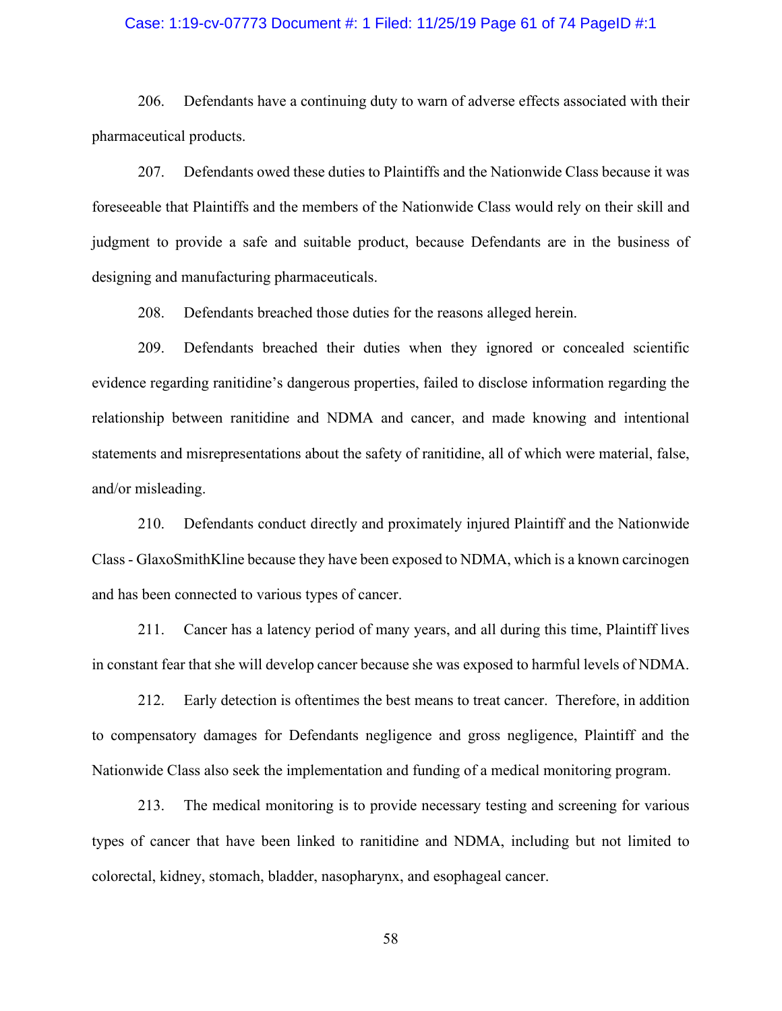### Case: 1:19-cv-07773 Document #: 1 Filed: 11/25/19 Page 61 of 74 PageID #:1

206. Defendants have a continuing duty to warn of adverse effects associated with their pharmaceutical products.

207. Defendants owed these duties to Plaintiffs and the Nationwide Class because it was foreseeable that Plaintiffs and the members of the Nationwide Class would rely on their skill and judgment to provide a safe and suitable product, because Defendants are in the business of designing and manufacturing pharmaceuticals.

208. Defendants breached those duties for the reasons alleged herein.

209. Defendants breached their duties when they ignored or concealed scientific evidence regarding ranitidine's dangerous properties, failed to disclose information regarding the relationship between ranitidine and NDMA and cancer, and made knowing and intentional statements and misrepresentations about the safety of ranitidine, all of which were material, false, and/or misleading.

210. Defendants conduct directly and proximately injured Plaintiff and the Nationwide Class - GlaxoSmithKline because they have been exposed to NDMA, which is a known carcinogen and has been connected to various types of cancer.

211. Cancer has a latency period of many years, and all during this time, Plaintiff lives in constant fear that she will develop cancer because she was exposed to harmful levels of NDMA.

212. Early detection is oftentimes the best means to treat cancer. Therefore, in addition to compensatory damages for Defendants negligence and gross negligence, Plaintiff and the Nationwide Class also seek the implementation and funding of a medical monitoring program.

213. The medical monitoring is to provide necessary testing and screening for various types of cancer that have been linked to ranitidine and NDMA, including but not limited to colorectal, kidney, stomach, bladder, nasopharynx, and esophageal cancer.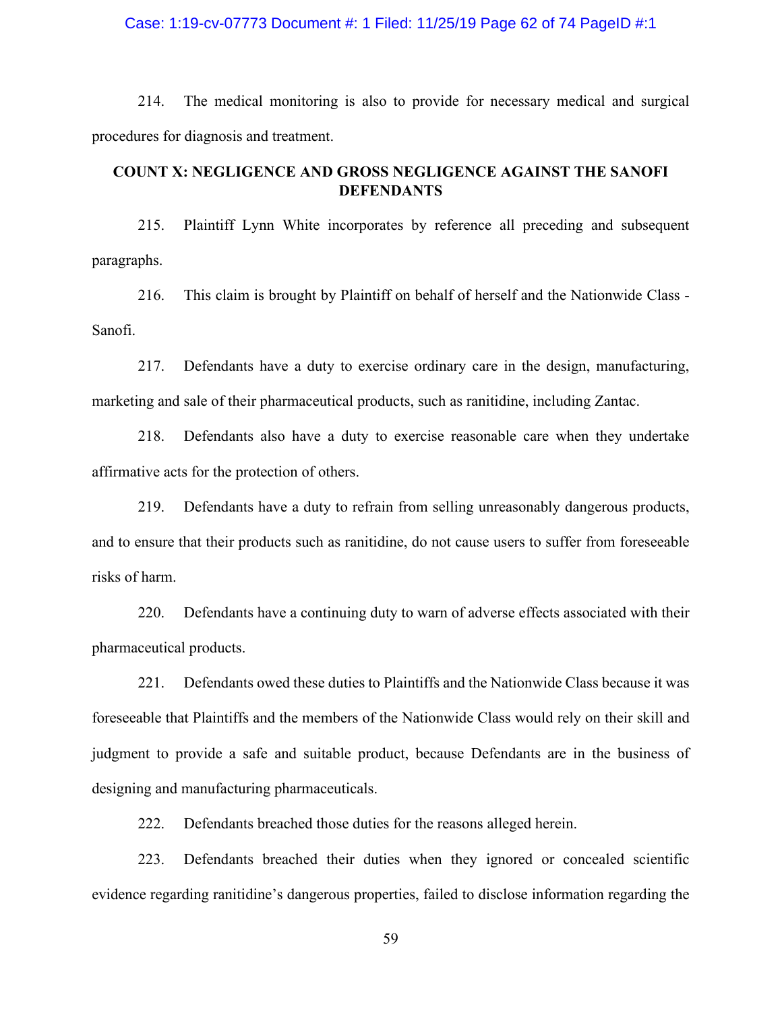Case: 1:19-cv-07773 Document #: 1 Filed: 11/25/19 Page 62 of 74 PageID #:1

214. The medical monitoring is also to provide for necessary medical and surgical procedures for diagnosis and treatment.

## **COUNT X: NEGLIGENCE AND GROSS NEGLIGENCE AGAINST THE SANOFI DEFENDANTS**

215. Plaintiff Lynn White incorporates by reference all preceding and subsequent paragraphs.

216. This claim is brought by Plaintiff on behalf of herself and the Nationwide Class - Sanofi.

217. Defendants have a duty to exercise ordinary care in the design, manufacturing, marketing and sale of their pharmaceutical products, such as ranitidine, including Zantac.

218. Defendants also have a duty to exercise reasonable care when they undertake affirmative acts for the protection of others.

219. Defendants have a duty to refrain from selling unreasonably dangerous products, and to ensure that their products such as ranitidine, do not cause users to suffer from foreseeable risks of harm.

220. Defendants have a continuing duty to warn of adverse effects associated with their pharmaceutical products.

221. Defendants owed these duties to Plaintiffs and the Nationwide Class because it was foreseeable that Plaintiffs and the members of the Nationwide Class would rely on their skill and judgment to provide a safe and suitable product, because Defendants are in the business of designing and manufacturing pharmaceuticals.

222. Defendants breached those duties for the reasons alleged herein.

223. Defendants breached their duties when they ignored or concealed scientific evidence regarding ranitidine's dangerous properties, failed to disclose information regarding the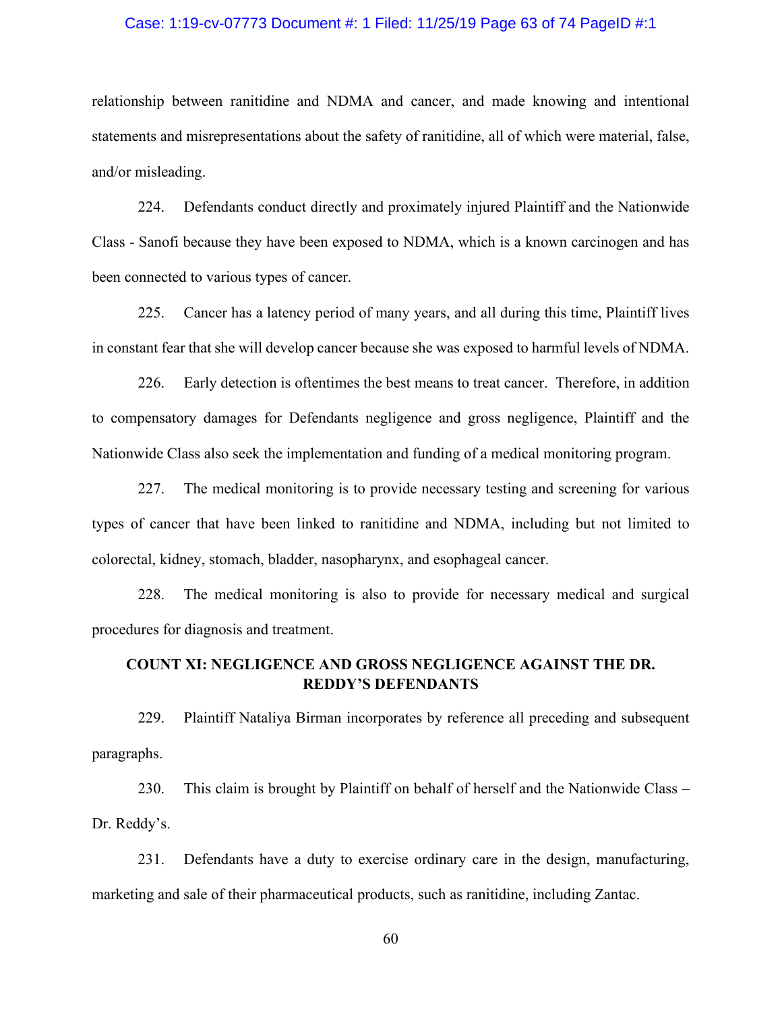### Case: 1:19-cv-07773 Document #: 1 Filed: 11/25/19 Page 63 of 74 PageID #:1

relationship between ranitidine and NDMA and cancer, and made knowing and intentional statements and misrepresentations about the safety of ranitidine, all of which were material, false, and/or misleading.

224. Defendants conduct directly and proximately injured Plaintiff and the Nationwide Class - Sanofi because they have been exposed to NDMA, which is a known carcinogen and has been connected to various types of cancer.

225. Cancer has a latency period of many years, and all during this time, Plaintiff lives in constant fear that she will develop cancer because she was exposed to harmful levels of NDMA.

226. Early detection is oftentimes the best means to treat cancer. Therefore, in addition to compensatory damages for Defendants negligence and gross negligence, Plaintiff and the Nationwide Class also seek the implementation and funding of a medical monitoring program.

227. The medical monitoring is to provide necessary testing and screening for various types of cancer that have been linked to ranitidine and NDMA, including but not limited to colorectal, kidney, stomach, bladder, nasopharynx, and esophageal cancer.

228. The medical monitoring is also to provide for necessary medical and surgical procedures for diagnosis and treatment.

### **COUNT XI: NEGLIGENCE AND GROSS NEGLIGENCE AGAINST THE DR. REDDY'S DEFENDANTS**

229. Plaintiff Nataliya Birman incorporates by reference all preceding and subsequent paragraphs.

230. This claim is brought by Plaintiff on behalf of herself and the Nationwide Class – Dr. Reddy's.

231. Defendants have a duty to exercise ordinary care in the design, manufacturing, marketing and sale of their pharmaceutical products, such as ranitidine, including Zantac.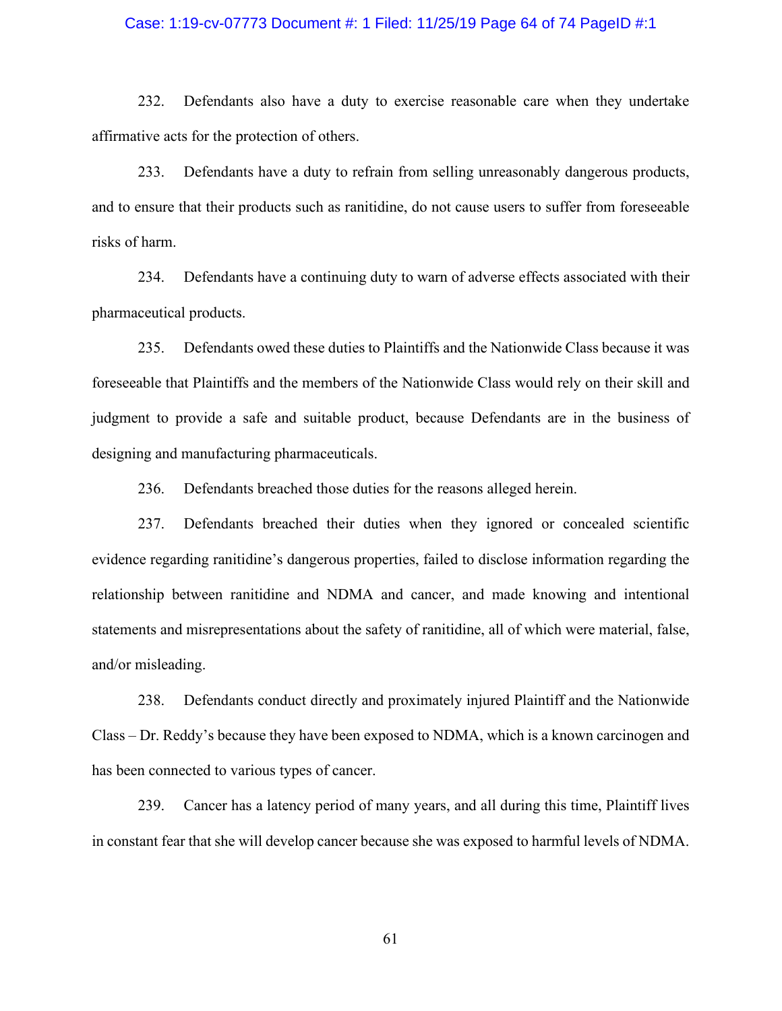### Case: 1:19-cv-07773 Document #: 1 Filed: 11/25/19 Page 64 of 74 PageID #:1

232. Defendants also have a duty to exercise reasonable care when they undertake affirmative acts for the protection of others.

233. Defendants have a duty to refrain from selling unreasonably dangerous products, and to ensure that their products such as ranitidine, do not cause users to suffer from foreseeable risks of harm.

234. Defendants have a continuing duty to warn of adverse effects associated with their pharmaceutical products.

235. Defendants owed these duties to Plaintiffs and the Nationwide Class because it was foreseeable that Plaintiffs and the members of the Nationwide Class would rely on their skill and judgment to provide a safe and suitable product, because Defendants are in the business of designing and manufacturing pharmaceuticals.

236. Defendants breached those duties for the reasons alleged herein.

237. Defendants breached their duties when they ignored or concealed scientific evidence regarding ranitidine's dangerous properties, failed to disclose information regarding the relationship between ranitidine and NDMA and cancer, and made knowing and intentional statements and misrepresentations about the safety of ranitidine, all of which were material, false, and/or misleading.

238. Defendants conduct directly and proximately injured Plaintiff and the Nationwide Class – Dr. Reddy's because they have been exposed to NDMA, which is a known carcinogen and has been connected to various types of cancer.

239. Cancer has a latency period of many years, and all during this time, Plaintiff lives in constant fear that she will develop cancer because she was exposed to harmful levels of NDMA.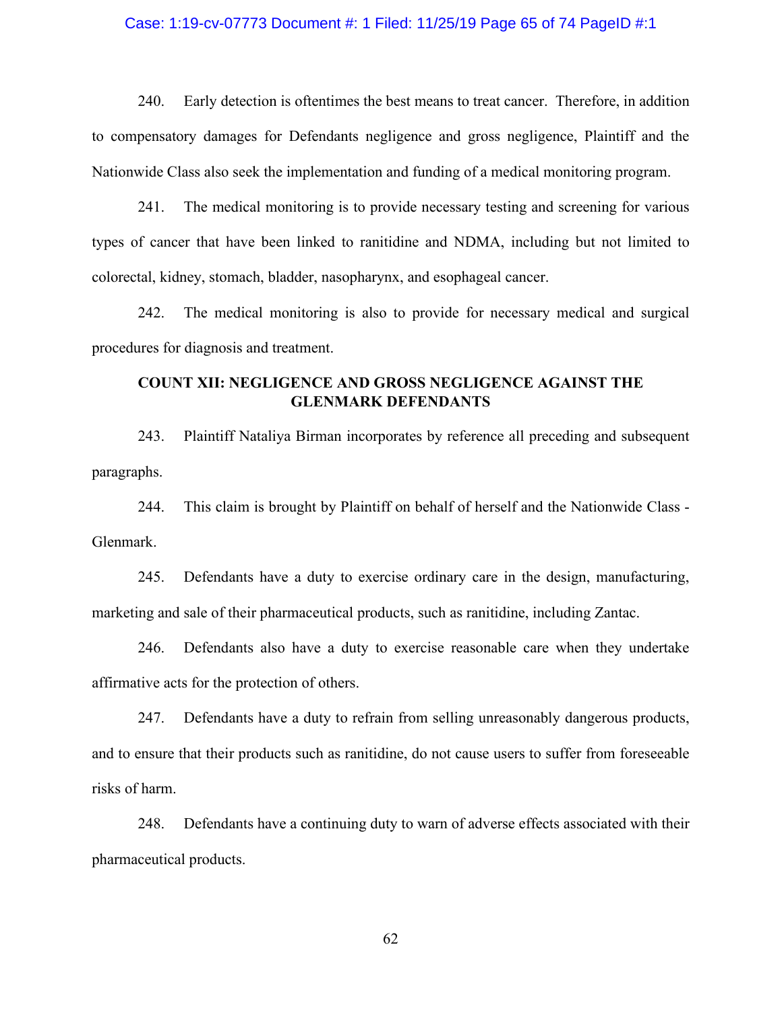### Case: 1:19-cv-07773 Document #: 1 Filed: 11/25/19 Page 65 of 74 PageID #:1

240. Early detection is oftentimes the best means to treat cancer. Therefore, in addition to compensatory damages for Defendants negligence and gross negligence, Plaintiff and the Nationwide Class also seek the implementation and funding of a medical monitoring program.

241. The medical monitoring is to provide necessary testing and screening for various types of cancer that have been linked to ranitidine and NDMA, including but not limited to colorectal, kidney, stomach, bladder, nasopharynx, and esophageal cancer.

242. The medical monitoring is also to provide for necessary medical and surgical procedures for diagnosis and treatment.

### **COUNT XII: NEGLIGENCE AND GROSS NEGLIGENCE AGAINST THE GLENMARK DEFENDANTS**

243. Plaintiff Nataliya Birman incorporates by reference all preceding and subsequent paragraphs.

244. This claim is brought by Plaintiff on behalf of herself and the Nationwide Class - Glenmark.

245. Defendants have a duty to exercise ordinary care in the design, manufacturing, marketing and sale of their pharmaceutical products, such as ranitidine, including Zantac.

246. Defendants also have a duty to exercise reasonable care when they undertake affirmative acts for the protection of others.

247. Defendants have a duty to refrain from selling unreasonably dangerous products, and to ensure that their products such as ranitidine, do not cause users to suffer from foreseeable risks of harm.

248. Defendants have a continuing duty to warn of adverse effects associated with their pharmaceutical products.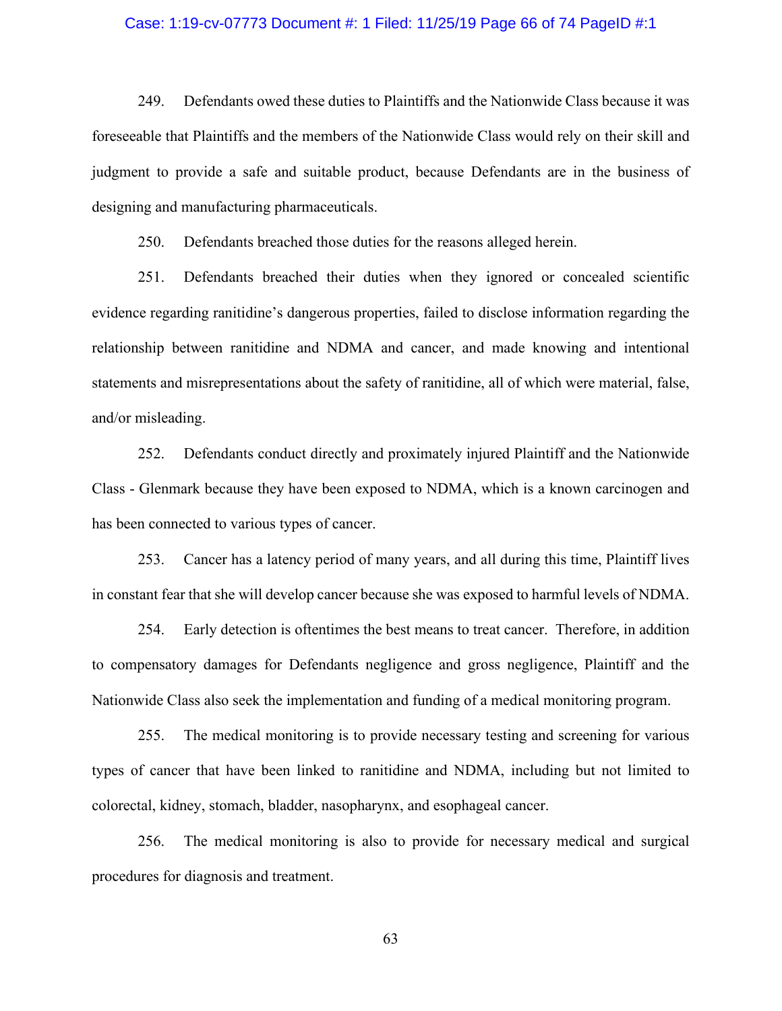### Case: 1:19-cv-07773 Document #: 1 Filed: 11/25/19 Page 66 of 74 PageID #:1

249. Defendants owed these duties to Plaintiffs and the Nationwide Class because it was foreseeable that Plaintiffs and the members of the Nationwide Class would rely on their skill and judgment to provide a safe and suitable product, because Defendants are in the business of designing and manufacturing pharmaceuticals.

250. Defendants breached those duties for the reasons alleged herein.

251. Defendants breached their duties when they ignored or concealed scientific evidence regarding ranitidine's dangerous properties, failed to disclose information regarding the relationship between ranitidine and NDMA and cancer, and made knowing and intentional statements and misrepresentations about the safety of ranitidine, all of which were material, false, and/or misleading.

252. Defendants conduct directly and proximately injured Plaintiff and the Nationwide Class - Glenmark because they have been exposed to NDMA, which is a known carcinogen and has been connected to various types of cancer.

253. Cancer has a latency period of many years, and all during this time, Plaintiff lives in constant fear that she will develop cancer because she was exposed to harmful levels of NDMA.

254. Early detection is oftentimes the best means to treat cancer. Therefore, in addition to compensatory damages for Defendants negligence and gross negligence, Plaintiff and the Nationwide Class also seek the implementation and funding of a medical monitoring program.

255. The medical monitoring is to provide necessary testing and screening for various types of cancer that have been linked to ranitidine and NDMA, including but not limited to colorectal, kidney, stomach, bladder, nasopharynx, and esophageal cancer.

256. The medical monitoring is also to provide for necessary medical and surgical procedures for diagnosis and treatment.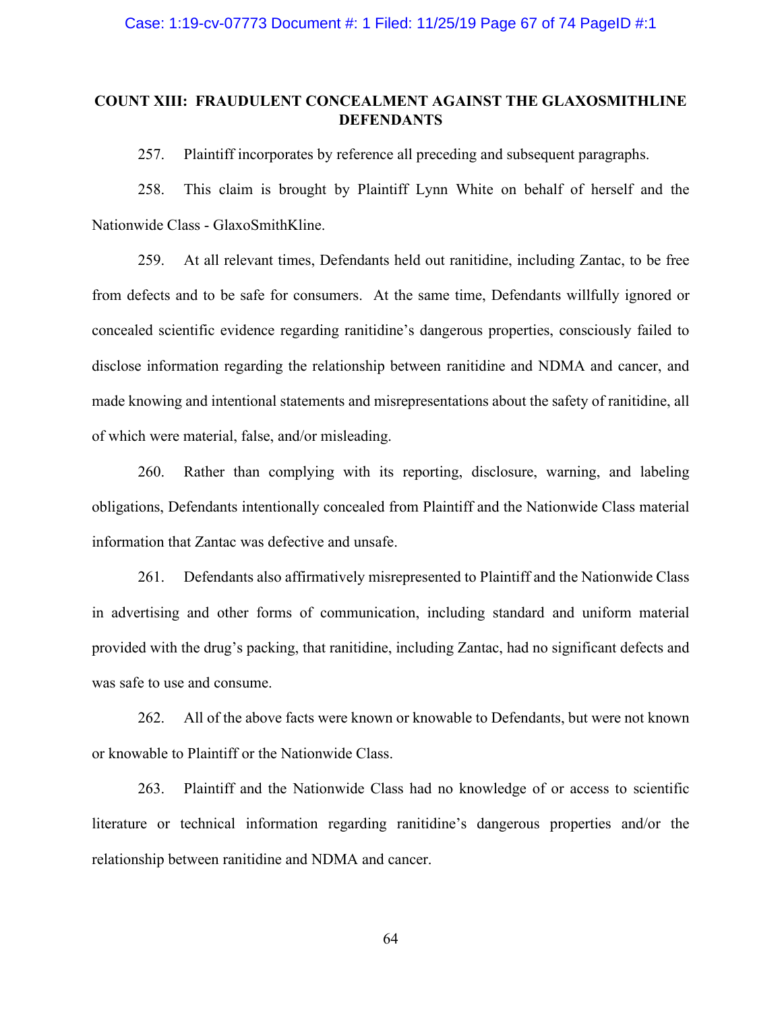### **COUNT XIII: FRAUDULENT CONCEALMENT AGAINST THE GLAXOSMITHLINE DEFENDANTS**

257. Plaintiff incorporates by reference all preceding and subsequent paragraphs.

258. This claim is brought by Plaintiff Lynn White on behalf of herself and the Nationwide Class - GlaxoSmithKline.

259. At all relevant times, Defendants held out ranitidine, including Zantac, to be free from defects and to be safe for consumers. At the same time, Defendants willfully ignored or concealed scientific evidence regarding ranitidine's dangerous properties, consciously failed to disclose information regarding the relationship between ranitidine and NDMA and cancer, and made knowing and intentional statements and misrepresentations about the safety of ranitidine, all of which were material, false, and/or misleading.

260. Rather than complying with its reporting, disclosure, warning, and labeling obligations, Defendants intentionally concealed from Plaintiff and the Nationwide Class material information that Zantac was defective and unsafe.

261. Defendants also affirmatively misrepresented to Plaintiff and the Nationwide Class in advertising and other forms of communication, including standard and uniform material provided with the drug's packing, that ranitidine, including Zantac, had no significant defects and was safe to use and consume.

262. All of the above facts were known or knowable to Defendants, but were not known or knowable to Plaintiff or the Nationwide Class.

263. Plaintiff and the Nationwide Class had no knowledge of or access to scientific literature or technical information regarding ranitidine's dangerous properties and/or the relationship between ranitidine and NDMA and cancer.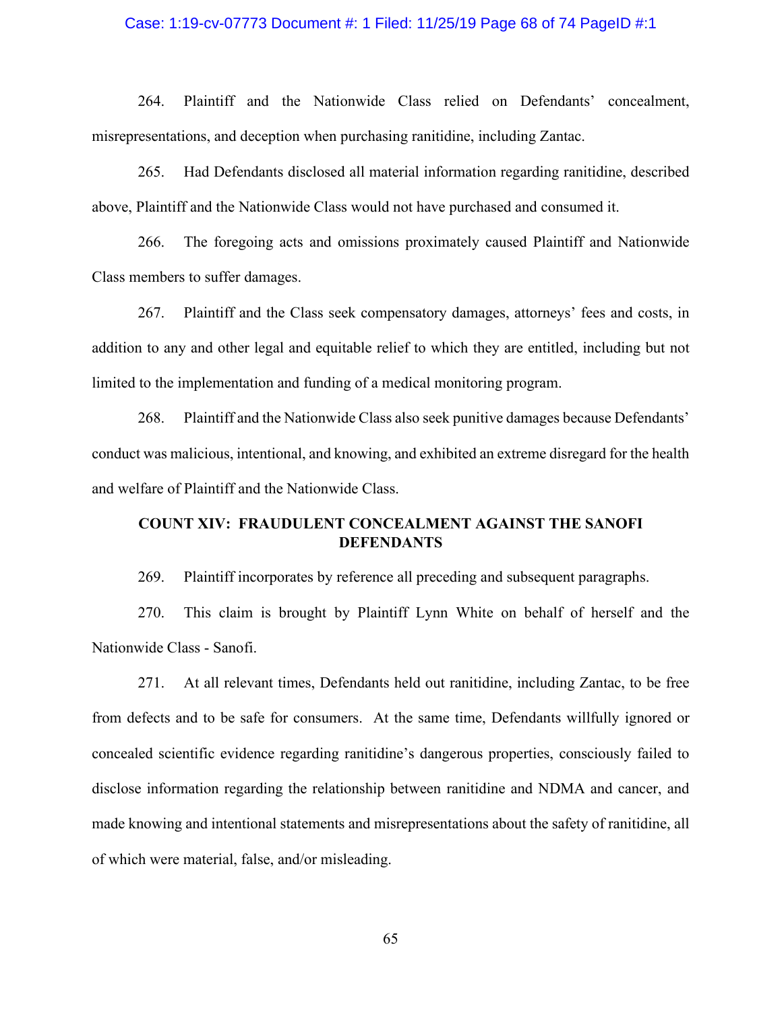### Case: 1:19-cv-07773 Document #: 1 Filed: 11/25/19 Page 68 of 74 PageID #:1

264. Plaintiff and the Nationwide Class relied on Defendants' concealment, misrepresentations, and deception when purchasing ranitidine, including Zantac.

265. Had Defendants disclosed all material information regarding ranitidine, described above, Plaintiff and the Nationwide Class would not have purchased and consumed it.

266. The foregoing acts and omissions proximately caused Plaintiff and Nationwide Class members to suffer damages.

267. Plaintiff and the Class seek compensatory damages, attorneys' fees and costs, in addition to any and other legal and equitable relief to which they are entitled, including but not limited to the implementation and funding of a medical monitoring program.

268. Plaintiff and the Nationwide Class also seek punitive damages because Defendants' conduct was malicious, intentional, and knowing, and exhibited an extreme disregard for the health and welfare of Plaintiff and the Nationwide Class.

## **COUNT XIV: FRAUDULENT CONCEALMENT AGAINST THE SANOFI DEFENDANTS**

269. Plaintiff incorporates by reference all preceding and subsequent paragraphs.

270. This claim is brought by Plaintiff Lynn White on behalf of herself and the Nationwide Class - Sanofi.

271. At all relevant times, Defendants held out ranitidine, including Zantac, to be free from defects and to be safe for consumers. At the same time, Defendants willfully ignored or concealed scientific evidence regarding ranitidine's dangerous properties, consciously failed to disclose information regarding the relationship between ranitidine and NDMA and cancer, and made knowing and intentional statements and misrepresentations about the safety of ranitidine, all of which were material, false, and/or misleading.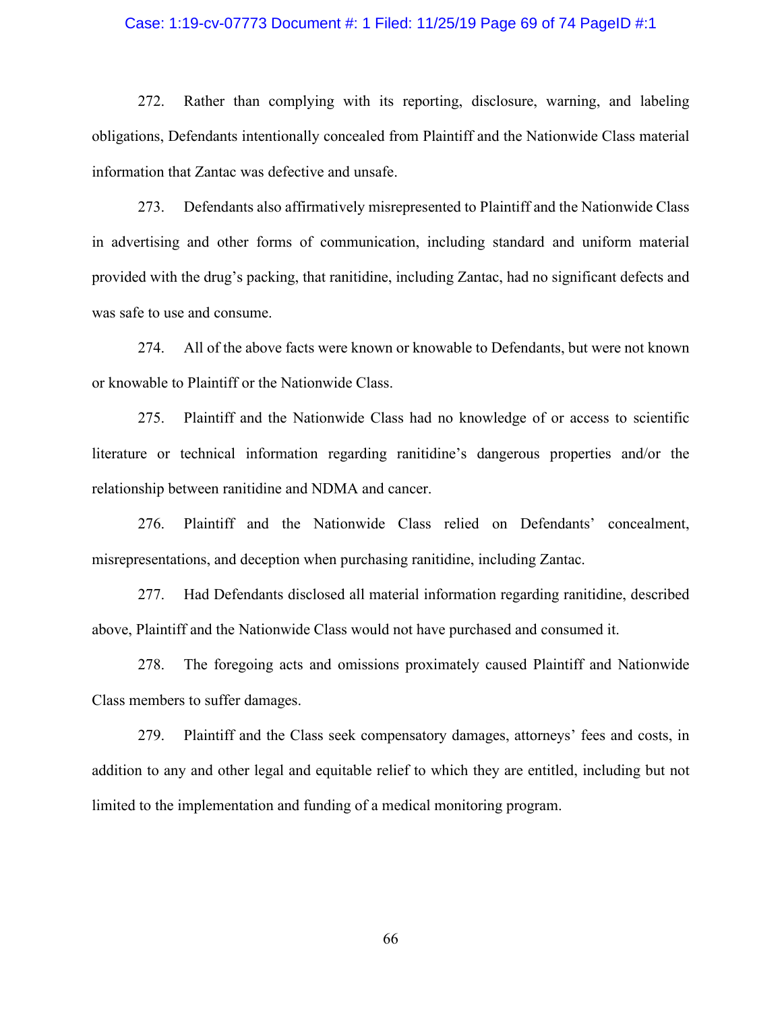### Case: 1:19-cv-07773 Document #: 1 Filed: 11/25/19 Page 69 of 74 PageID #:1

272. Rather than complying with its reporting, disclosure, warning, and labeling obligations, Defendants intentionally concealed from Plaintiff and the Nationwide Class material information that Zantac was defective and unsafe.

273. Defendants also affirmatively misrepresented to Plaintiff and the Nationwide Class in advertising and other forms of communication, including standard and uniform material provided with the drug's packing, that ranitidine, including Zantac, had no significant defects and was safe to use and consume.

274. All of the above facts were known or knowable to Defendants, but were not known or knowable to Plaintiff or the Nationwide Class.

275. Plaintiff and the Nationwide Class had no knowledge of or access to scientific literature or technical information regarding ranitidine's dangerous properties and/or the relationship between ranitidine and NDMA and cancer.

276. Plaintiff and the Nationwide Class relied on Defendants' concealment, misrepresentations, and deception when purchasing ranitidine, including Zantac.

277. Had Defendants disclosed all material information regarding ranitidine, described above, Plaintiff and the Nationwide Class would not have purchased and consumed it.

278. The foregoing acts and omissions proximately caused Plaintiff and Nationwide Class members to suffer damages.

279. Plaintiff and the Class seek compensatory damages, attorneys' fees and costs, in addition to any and other legal and equitable relief to which they are entitled, including but not limited to the implementation and funding of a medical monitoring program.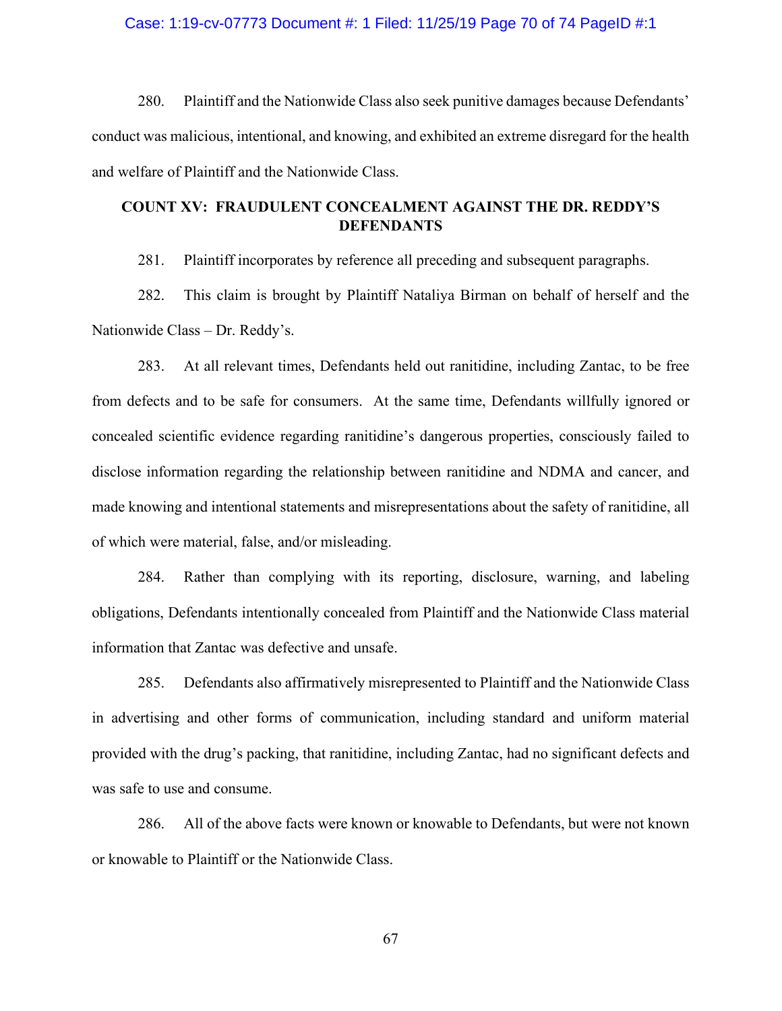### Case: 1:19-cv-07773 Document #: 1 Filed: 11/25/19 Page 70 of 74 PageID #:1

280. Plaintiff and the Nationwide Class also seek punitive damages because Defendants' conduct was malicious, intentional, and knowing, and exhibited an extreme disregard for the health and welfare of Plaintiff and the Nationwide Class.

# **COUNT XV: FRAUDULENT CONCEALMENT AGAINST THE DR. REDDY'S DEFENDANTS**

281. Plaintiff incorporates by reference all preceding and subsequent paragraphs.

282. This claim is brought by Plaintiff Nataliya Birman on behalf of herself and the Nationwide Class – Dr. Reddy's.

283. At all relevant times, Defendants held out ranitidine, including Zantac, to be free from defects and to be safe for consumers. At the same time, Defendants willfully ignored or concealed scientific evidence regarding ranitidine's dangerous properties, consciously failed to disclose information regarding the relationship between ranitidine and NDMA and cancer, and made knowing and intentional statements and misrepresentations about the safety of ranitidine, all of which were material, false, and/or misleading.

284. Rather than complying with its reporting, disclosure, warning, and labeling obligations, Defendants intentionally concealed from Plaintiff and the Nationwide Class material information that Zantac was defective and unsafe.

285. Defendants also affirmatively misrepresented to Plaintiff and the Nationwide Class in advertising and other forms of communication, including standard and uniform material provided with the drug's packing, that ranitidine, including Zantac, had no significant defects and was safe to use and consume.

286. All of the above facts were known or knowable to Defendants, but were not known or knowable to Plaintiff or the Nationwide Class.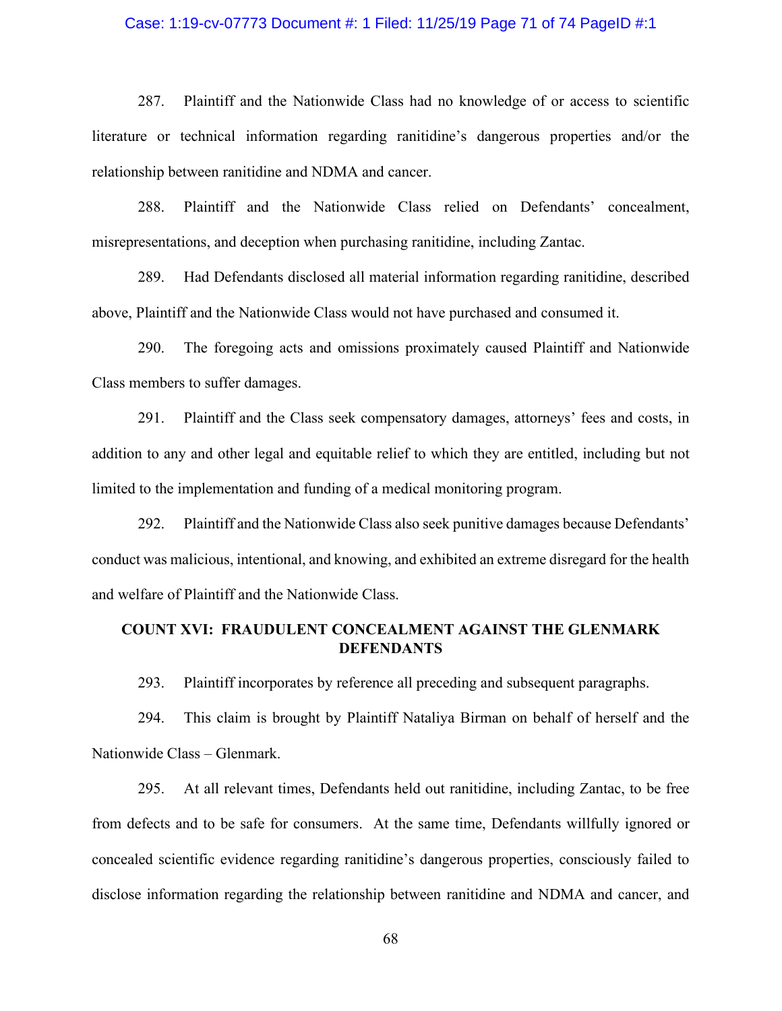### Case: 1:19-cv-07773 Document #: 1 Filed: 11/25/19 Page 71 of 74 PageID #:1

287. Plaintiff and the Nationwide Class had no knowledge of or access to scientific literature or technical information regarding ranitidine's dangerous properties and/or the relationship between ranitidine and NDMA and cancer.

288. Plaintiff and the Nationwide Class relied on Defendants' concealment, misrepresentations, and deception when purchasing ranitidine, including Zantac.

289. Had Defendants disclosed all material information regarding ranitidine, described above, Plaintiff and the Nationwide Class would not have purchased and consumed it.

290. The foregoing acts and omissions proximately caused Plaintiff and Nationwide Class members to suffer damages.

291. Plaintiff and the Class seek compensatory damages, attorneys' fees and costs, in addition to any and other legal and equitable relief to which they are entitled, including but not limited to the implementation and funding of a medical monitoring program.

292. Plaintiff and the Nationwide Class also seek punitive damages because Defendants' conduct was malicious, intentional, and knowing, and exhibited an extreme disregard for the health and welfare of Plaintiff and the Nationwide Class.

### **COUNT XVI: FRAUDULENT CONCEALMENT AGAINST THE GLENMARK DEFENDANTS**

293. Plaintiff incorporates by reference all preceding and subsequent paragraphs.

294. This claim is brought by Plaintiff Nataliya Birman on behalf of herself and the Nationwide Class – Glenmark.

295. At all relevant times, Defendants held out ranitidine, including Zantac, to be free from defects and to be safe for consumers. At the same time, Defendants willfully ignored or concealed scientific evidence regarding ranitidine's dangerous properties, consciously failed to disclose information regarding the relationship between ranitidine and NDMA and cancer, and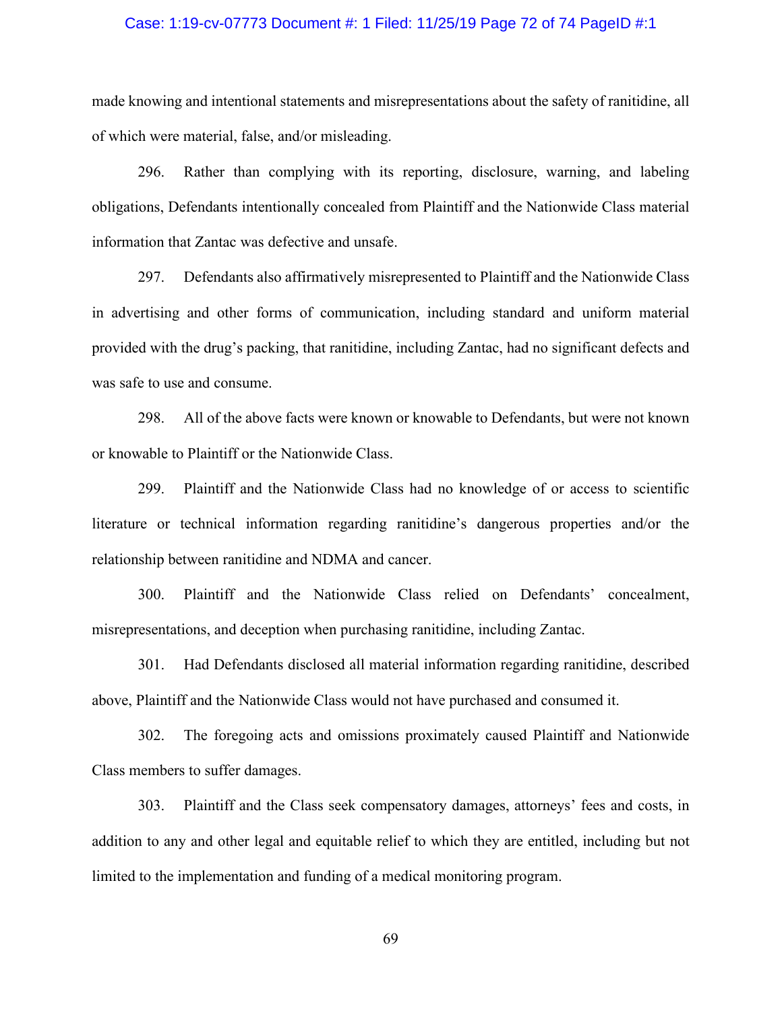### Case: 1:19-cv-07773 Document #: 1 Filed: 11/25/19 Page 72 of 74 PageID #:1

made knowing and intentional statements and misrepresentations about the safety of ranitidine, all of which were material, false, and/or misleading.

296. Rather than complying with its reporting, disclosure, warning, and labeling obligations, Defendants intentionally concealed from Plaintiff and the Nationwide Class material information that Zantac was defective and unsafe.

297. Defendants also affirmatively misrepresented to Plaintiff and the Nationwide Class in advertising and other forms of communication, including standard and uniform material provided with the drug's packing, that ranitidine, including Zantac, had no significant defects and was safe to use and consume.

298. All of the above facts were known or knowable to Defendants, but were not known or knowable to Plaintiff or the Nationwide Class.

299. Plaintiff and the Nationwide Class had no knowledge of or access to scientific literature or technical information regarding ranitidine's dangerous properties and/or the relationship between ranitidine and NDMA and cancer.

300. Plaintiff and the Nationwide Class relied on Defendants' concealment, misrepresentations, and deception when purchasing ranitidine, including Zantac.

301. Had Defendants disclosed all material information regarding ranitidine, described above, Plaintiff and the Nationwide Class would not have purchased and consumed it.

302. The foregoing acts and omissions proximately caused Plaintiff and Nationwide Class members to suffer damages.

303. Plaintiff and the Class seek compensatory damages, attorneys' fees and costs, in addition to any and other legal and equitable relief to which they are entitled, including but not limited to the implementation and funding of a medical monitoring program.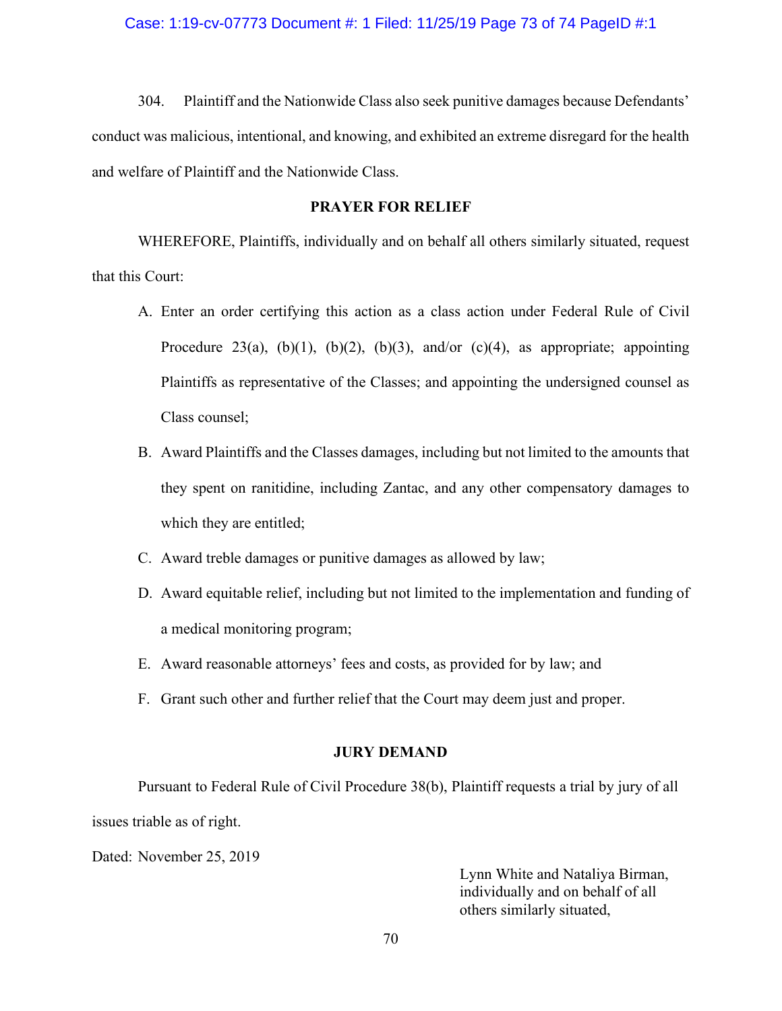304. Plaintiff and the Nationwide Class also seek punitive damages because Defendants' conduct was malicious, intentional, and knowing, and exhibited an extreme disregard for the health and welfare of Plaintiff and the Nationwide Class.

## **PRAYER FOR RELIEF**

WHEREFORE, Plaintiffs, individually and on behalf all others similarly situated, request that this Court:

- A. Enter an order certifying this action as a class action under Federal Rule of Civil Procedure 23(a), (b)(1), (b)(2), (b)(3), and/or (c)(4), as appropriate; appointing Plaintiffs as representative of the Classes; and appointing the undersigned counsel as Class counsel;
- B. Award Plaintiffs and the Classes damages, including but not limited to the amounts that they spent on ranitidine, including Zantac, and any other compensatory damages to which they are entitled;
- C. Award treble damages or punitive damages as allowed by law;
- D. Award equitable relief, including but not limited to the implementation and funding of a medical monitoring program;
- E. Award reasonable attorneys' fees and costs, as provided for by law; and
- F. Grant such other and further relief that the Court may deem just and proper.

## **JURY DEMAND**

Pursuant to Federal Rule of Civil Procedure 38(b), Plaintiff requests a trial by jury of all issues triable as of right.

Dated: November 25, 2019

Lynn White and Nataliya Birman, individually and on behalf of all others similarly situated,